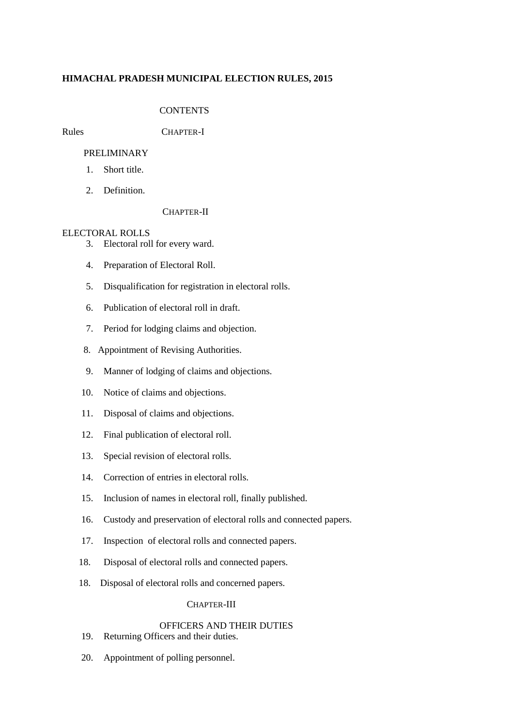# **HIMACHAL PRADESH MUNICIPAL ELECTION RULES, 2015**

# **CONTENTS**

Rules CHAPTER-I

## PRELIMINARY

- 1. Short title.
- 2. Definition.

## CHAPTER-II

## ELECTORAL ROLLS

- 3. Electoral roll for every ward.
- 4. Preparation of Electoral Roll.
- 5. Disqualification for registration in electoral rolls.
- 6. Publication of electoral roll in draft.
- 7. Period for lodging claims and objection.
- 8. Appointment of Revising Authorities.
- 9. Manner of lodging of claims and objections.
- 10. Notice of claims and objections.
- 11. Disposal of claims and objections.
- 12. Final publication of electoral roll.
- 13. Special revision of electoral rolls.
- 14. Correction of entries in electoral rolls.
- 15. Inclusion of names in electoral roll, finally published.
- 16. Custody and preservation of electoral rolls and connected papers.
- 17. Inspection of electoral rolls and connected papers.
- 18. Disposal of electoral rolls and connected papers.
- 18. Disposal of electoral rolls and concerned papers.

## CHAPTER-III

## OFFICERS AND THEIR DUTIES

- 19. Returning Officers and their duties.
- 20. Appointment of polling personnel.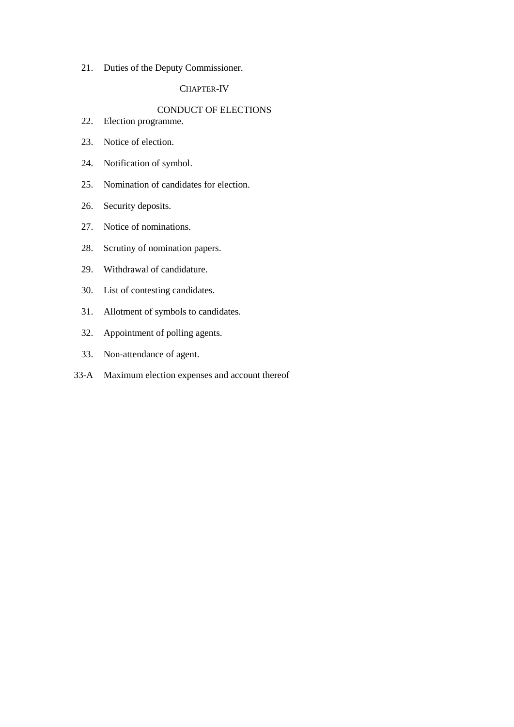21. Duties of the Deputy Commissioner.

## CHAPTER-IV

# CONDUCT OF ELECTIONS

- 22. Election programme.
- 23. Notice of election.
- 24. Notification of symbol.
- 25. Nomination of candidates for election.
- 26. Security deposits.
- 27. Notice of nominations.
- 28. Scrutiny of nomination papers.
- 29. Withdrawal of candidature.
- 30. List of contesting candidates.
- 31. Allotment of symbols to candidates.
- 32. Appointment of polling agents.
- 33. Non-attendance of agent.
- 33-A Maximum election expenses and account thereof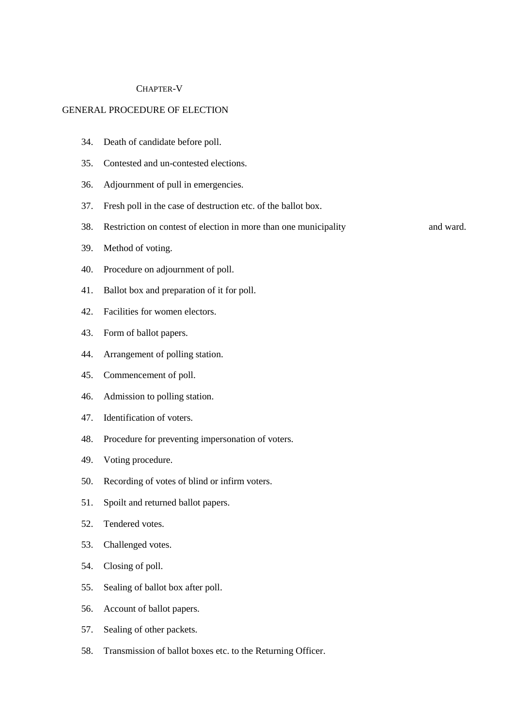#### CHAPTER-V

# GENERAL PROCEDURE OF ELECTION

- 34. Death of candidate before poll.
- 35. Contested and un-contested elections.
- 36. Adjournment of pull in emergencies.
- 37. Fresh poll in the case of destruction etc. of the ballot box.
- 38. Restriction on contest of election in more than one municipality and ward.
- 39. Method of voting.
- 40. Procedure on adjournment of poll.
- 41. Ballot box and preparation of it for poll.
- 42. Facilities for women electors.
- 43. Form of ballot papers.
- 44. Arrangement of polling station.
- 45. Commencement of poll.
- 46. Admission to polling station.
- 47. Identification of voters.
- 48. Procedure for preventing impersonation of voters.
- 49. Voting procedure.
- 50. Recording of votes of blind or infirm voters.
- 51. Spoilt and returned ballot papers.
- 52. Tendered votes.
- 53. Challenged votes.
- 54. Closing of poll.
- 55. Sealing of ballot box after poll.
- 56. Account of ballot papers.
- 57. Sealing of other packets.
- 58. Transmission of ballot boxes etc. to the Returning Officer.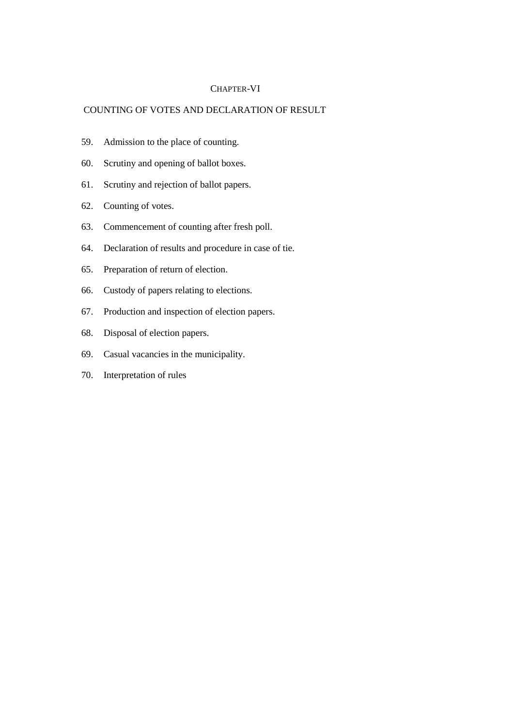#### CHAPTER-VI

# COUNTING OF VOTES AND DECLARATION OF RESULT

- 59. Admission to the place of counting.
- 60. Scrutiny and opening of ballot boxes.
- 61. Scrutiny and rejection of ballot papers.
- 62. Counting of votes.
- 63. Commencement of counting after fresh poll.
- 64. Declaration of results and procedure in case of tie.
- 65. Preparation of return of election.
- 66. Custody of papers relating to elections.
- 67. Production and inspection of election papers.
- 68. Disposal of election papers.
- 69. Casual vacancies in the municipality.
- 70. Interpretation of rules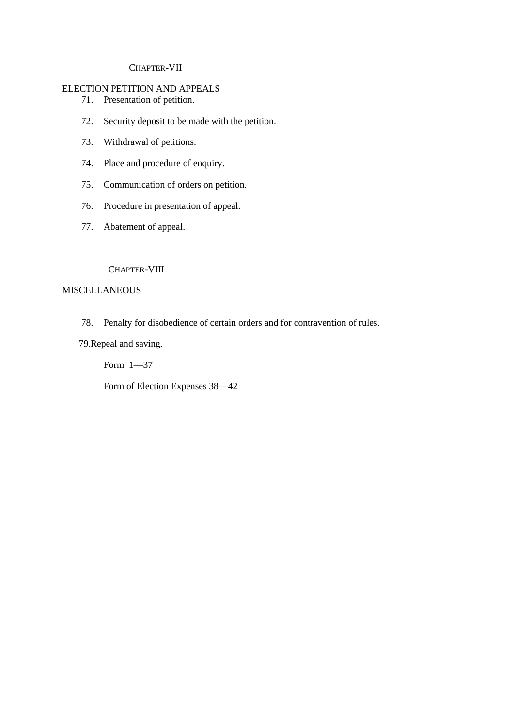# CHAPTER-VII

## ELECTION PETITION AND APPEALS

- 71. Presentation of petition.
- 72. Security deposit to be made with the petition.
- 73. Withdrawal of petitions.
- 74. Place and procedure of enquiry.
- 75. Communication of orders on petition.
- 76. Procedure in presentation of appeal.
- 77. Abatement of appeal.

## CHAPTER-VIII

## **MISCELLANEOUS**

78. Penalty for disobedience of certain orders and for contravention of rules.

79.Repeal and saving.

Form 1—37

Form of Election Expenses 38—42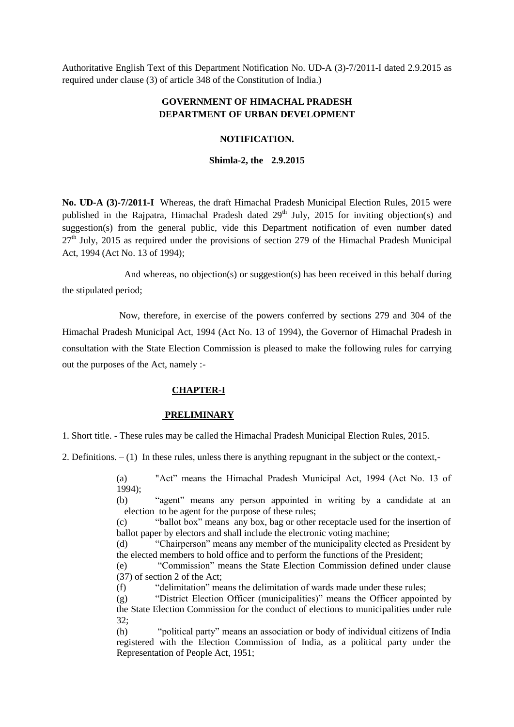Authoritative English Text of this Department Notification No. UD-A (3)-7/2011-I dated 2.9.2015 as required under clause (3) of article 348 of the Constitution of India.)

# **GOVERNMENT OF HIMACHAL PRADESH DEPARTMENT OF URBAN DEVELOPMENT**

## **NOTIFICATION.**

**Shimla-2, the 2.9.2015**

**No. UD-A (3)-7/2011-I** Whereas, the draft Himachal Pradesh Municipal Election Rules, 2015 were published in the Rajpatra, Himachal Pradesh dated  $29<sup>th</sup>$  July, 2015 for inviting objection(s) and suggestion(s) from the general public, vide this Department notification of even number dated  $27<sup>th</sup>$  July, 2015 as required under the provisions of section 279 of the Himachal Pradesh Municipal Act, 1994 (Act No. 13 of 1994);

And whereas, no objection(s) or suggestion(s) has been received in this behalf during the stipulated period;

 Now, therefore, in exercise of the powers conferred by sections 279 and 304 of the Himachal Pradesh Municipal Act, 1994 (Act No. 13 of 1994), the Governor of Himachal Pradesh in consultation with the State Election Commission is pleased to make the following rules for carrying out the purposes of the Act, namely :-

## **CHAPTER-I**

#### **PRELIMINARY**

1. Short title. - These rules may be called the Himachal Pradesh Municipal Election Rules, 2015.

2. Definitions. – (1) In these rules, unless there is anything repugnant in the subject or the context,-

(a) "Act" means the Himachal Pradesh Municipal Act, 1994 (Act No. 13 of 1994);

(b) "agent" means any person appointed in writing by a candidate at an election to be agent for the purpose of these rules;

(c) "ballot box" means any box, bag or other receptacle used for the insertion of ballot paper by electors and shall include the electronic voting machine;

(d) <sup>Chairperson</sub> means any member of the municipality elected as President by</sup> the elected members to hold office and to perform the functions of the President;

(e) <sup>"</sup>Commission" means the State Election Commission defined under clause (37) of section 2 of the Act;

(f) 
"delimitation" means the delimitation of wards made under these rules;

 $(g)$  
"District Election Officer (municipalities)" means the Officer appointed by the State Election Commission for the conduct of elections to municipalities under rule 32;

(h) 
"political party" means an association or body of individual citizens of India registered with the Election Commission of India, as a political party under the Representation of People Act, 1951;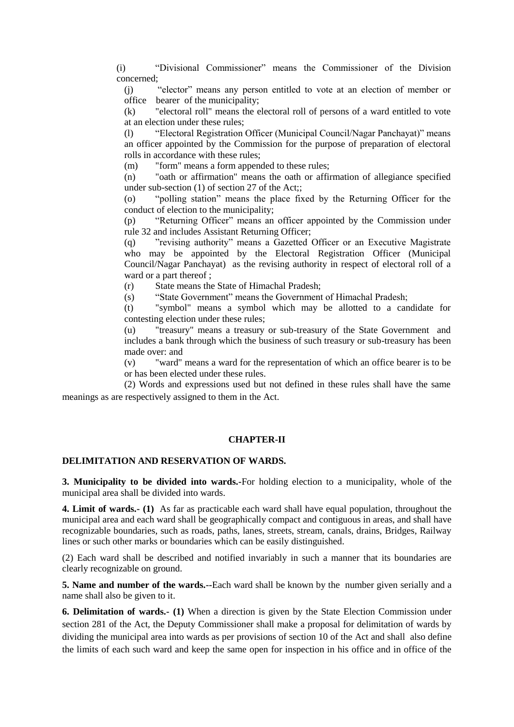(i) 
"Divisional Commissioner" means the Commissioner of the Division concerned;

(j) "elector" means any person entitled to vote at an election of member or office bearer of the municipality;

(k) "electoral roll" means the electoral roll of persons of a ward entitled to vote at an election under these rules;

(1) 
"Electoral Registration Officer (Municipal Council/Nagar Panchayat)" means an officer appointed by the Commission for the purpose of preparation of electoral rolls in accordance with these rules;

(m) "form" means a form appended to these rules;

(n) "oath or affirmation" means the oath or affirmation of allegiance specified under sub-section (1) of section 27 of the Act;;

(o) "polling station" means the place fixed by the Returning Officer for the conduct of election to the municipality;

(p) "Returning Officer" means an officer appointed by the Commission under rule 32 and includes Assistant Returning Officer;

(q) "revising authority" means a Gazetted Officer or an Executive Magistrate who may be appointed by the Electoral Registration Officer (Municipal Council/Nagar Panchayat) as the revising authority in respect of electoral roll of a ward or a part thereof ;

(r) State means the State of Himachal Pradesh;

(s) 
"State Government" means the Government of Himachal Pradesh;

(t) "symbol" means a symbol which may be allotted to a candidate for contesting election under these rules;

(u) "treasury" means a treasury or sub-treasury of the State Government and includes a bank through which the business of such treasury or sub-treasury has been made over: and

(v) "ward" means a ward for the representation of which an office bearer is to be or has been elected under these rules.

(2) Words and expressions used but not defined in these rules shall have the same meanings as are respectively assigned to them in the Act.

## **CHAPTER-II**

#### **DELIMITATION AND RESERVATION OF WARDS.**

**3. Municipality to be divided into wards.-**For holding election to a municipality, whole of the municipal area shall be divided into wards.

**4. Limit of wards.- (1)** As far as practicable each ward shall have equal population, throughout the municipal area and each ward shall be geographically compact and contiguous in areas, and shall have recognizable boundaries, such as roads, paths, lanes, streets, stream, canals, drains, Bridges, Railway lines or such other marks or boundaries which can be easily distinguished.

(2) Each ward shall be described and notified invariably in such a manner that its boundaries are clearly recognizable on ground.

**5. Name and number of the wards.--**Each ward shall be known by the number given serially and a name shall also be given to it.

**6. Delimitation of wards.- (1)** When a direction is given by the State Election Commission under section 281 of the Act, the Deputy Commissioner shall make a proposal for delimitation of wards by dividing the municipal area into wards as per provisions of section 10 of the Act and shall also define the limits of each such ward and keep the same open for inspection in his office and in office of the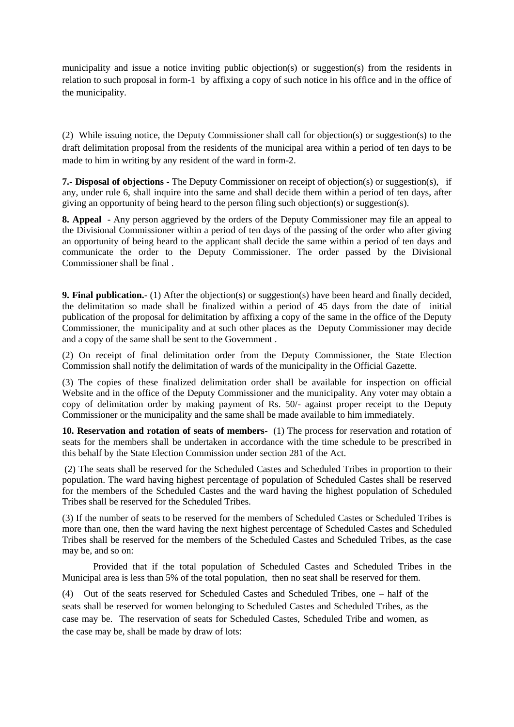municipality and issue a notice inviting public objection(s) or suggestion(s) from the residents in relation to such proposal in form-1 by affixing a copy of such notice in his office and in the office of the municipality.

(2) While issuing notice, the Deputy Commissioner shall call for objection(s) or suggestion(s) to the draft delimitation proposal from the residents of the municipal area within a period of ten days to be made to him in writing by any resident of the ward in form-2.

**7.- Disposal of objections -** The Deputy Commissioner on receipt of objection(s) or suggestion(s), if any, under rule 6, shall inquire into the same and shall decide them within a period of ten days, after giving an opportunity of being heard to the person filing such objection(s) or suggestion(s).

**8. Appeal** - Any person aggrieved by the orders of the Deputy Commissioner may file an appeal to the Divisional Commissioner within a period of ten days of the passing of the order who after giving an opportunity of being heard to the applicant shall decide the same within a period of ten days and communicate the order to the Deputy Commissioner. The order passed by the Divisional Commissioner shall be final .

**9. Final publication.-** (1) After the objection(s) or suggestion(s) have been heard and finally decided, the delimitation so made shall be finalized within a period of 45 days from the date of initial publication of the proposal for delimitation by affixing a copy of the same in the office of the Deputy Commissioner, the municipality and at such other places as the Deputy Commissioner may decide and a copy of the same shall be sent to the Government .

(2) On receipt of final delimitation order from the Deputy Commissioner, the State Election Commission shall notify the delimitation of wards of the municipality in the Official Gazette.

(3) The copies of these finalized delimitation order shall be available for inspection on official Website and in the office of the Deputy Commissioner and the municipality. Any voter may obtain a copy of delimitation order by making payment of Rs. 50/- against proper receipt to the Deputy Commissioner or the municipality and the same shall be made available to him immediately.

**10. Reservation and rotation of seats of members-** (1) The process for reservation and rotation of seats for the members shall be undertaken in accordance with the time schedule to be prescribed in this behalf by the State Election Commission under section 281 of the Act.

(2) The seats shall be reserved for the Scheduled Castes and Scheduled Tribes in proportion to their population. The ward having highest percentage of population of Scheduled Castes shall be reserved for the members of the Scheduled Castes and the ward having the highest population of Scheduled Tribes shall be reserved for the Scheduled Tribes.

(3) If the number of seats to be reserved for the members of Scheduled Castes or Scheduled Tribes is more than one, then the ward having the next highest percentage of Scheduled Castes and Scheduled Tribes shall be reserved for the members of the Scheduled Castes and Scheduled Tribes, as the case may be, and so on:

Provided that if the total population of Scheduled Castes and Scheduled Tribes in the Municipal area is less than 5% of the total population, then no seat shall be reserved for them.

(4) Out of the seats reserved for Scheduled Castes and Scheduled Tribes, one – half of the seats shall be reserved for women belonging to Scheduled Castes and Scheduled Tribes, as the case may be. The reservation of seats for Scheduled Castes, Scheduled Tribe and women, as the case may be, shall be made by draw of lots: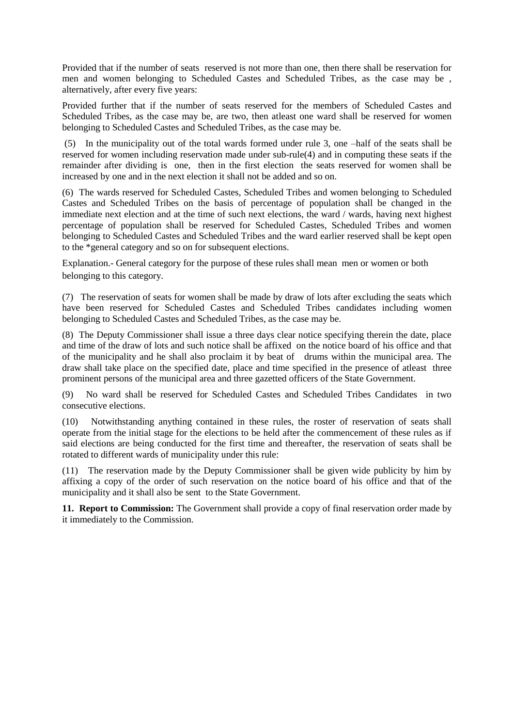Provided that if the number of seats reserved is not more than one, then there shall be reservation for men and women belonging to Scheduled Castes and Scheduled Tribes, as the case may be , alternatively, after every five years:

Provided further that if the number of seats reserved for the members of Scheduled Castes and Scheduled Tribes, as the case may be, are two, then atleast one ward shall be reserved for women belonging to Scheduled Castes and Scheduled Tribes, as the case may be.

(5) In the municipality out of the total wards formed under rule 3, one –half of the seats shall be reserved for women including reservation made under sub-rule(4) and in computing these seats if the remainder after dividing is one, then in the first election the seats reserved for women shall be increased by one and in the next election it shall not be added and so on.

(6) The wards reserved for Scheduled Castes, Scheduled Tribes and women belonging to Scheduled Castes and Scheduled Tribes on the basis of percentage of population shall be changed in the immediate next election and at the time of such next elections, the ward / wards, having next highest percentage of population shall be reserved for Scheduled Castes, Scheduled Tribes and women belonging to Scheduled Castes and Scheduled Tribes and the ward earlier reserved shall be kept open to the \*general category and so on for subsequent elections.

Explanation.- General category for the purpose of these rules shall mean men or women or both belonging to this category.

(7) The reservation of seats for women shall be made by draw of lots after excluding the seats which have been reserved for Scheduled Castes and Scheduled Tribes candidates including women belonging to Scheduled Castes and Scheduled Tribes, as the case may be.

(8) The Deputy Commissioner shall issue a three days clear notice specifying therein the date, place and time of the draw of lots and such notice shall be affixed on the notice board of his office and that of the municipality and he shall also proclaim it by beat of drums within the municipal area. The draw shall take place on the specified date, place and time specified in the presence of atleast three prominent persons of the municipal area and three gazetted officers of the State Government.

(9) No ward shall be reserved for Scheduled Castes and Scheduled Tribes Candidates in two consecutive elections.

(10) Notwithstanding anything contained in these rules, the roster of reservation of seats shall operate from the initial stage for the elections to be held after the commencement of these rules as if said elections are being conducted for the first time and thereafter, the reservation of seats shall be rotated to different wards of municipality under this rule:

(11) The reservation made by the Deputy Commissioner shall be given wide publicity by him by affixing a copy of the order of such reservation on the notice board of his office and that of the municipality and it shall also be sent to the State Government.

**11. Report to Commission:** The Government shall provide a copy of final reservation order made by it immediately to the Commission.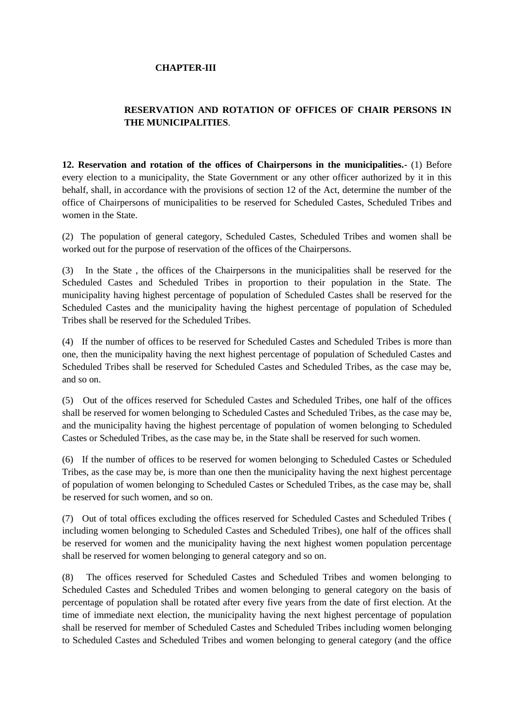## **CHAPTER-III**

# **RESERVATION AND ROTATION OF OFFICES OF CHAIR PERSONS IN THE MUNICIPALITIES**.

**12. Reservation and rotation of the offices of Chairpersons in the municipalities.-** (1) Before every election to a municipality, the State Government or any other officer authorized by it in this behalf, shall, in accordance with the provisions of section 12 of the Act, determine the number of the office of Chairpersons of municipalities to be reserved for Scheduled Castes, Scheduled Tribes and women in the State.

(2) The population of general category, Scheduled Castes, Scheduled Tribes and women shall be worked out for the purpose of reservation of the offices of the Chairpersons.

(3) In the State , the offices of the Chairpersons in the municipalities shall be reserved for the Scheduled Castes and Scheduled Tribes in proportion to their population in the State. The municipality having highest percentage of population of Scheduled Castes shall be reserved for the Scheduled Castes and the municipality having the highest percentage of population of Scheduled Tribes shall be reserved for the Scheduled Tribes.

(4) If the number of offices to be reserved for Scheduled Castes and Scheduled Tribes is more than one, then the municipality having the next highest percentage of population of Scheduled Castes and Scheduled Tribes shall be reserved for Scheduled Castes and Scheduled Tribes, as the case may be, and so on.

(5) Out of the offices reserved for Scheduled Castes and Scheduled Tribes, one half of the offices shall be reserved for women belonging to Scheduled Castes and Scheduled Tribes, as the case may be, and the municipality having the highest percentage of population of women belonging to Scheduled Castes or Scheduled Tribes, as the case may be, in the State shall be reserved for such women.

(6) If the number of offices to be reserved for women belonging to Scheduled Castes or Scheduled Tribes, as the case may be, is more than one then the municipality having the next highest percentage of population of women belonging to Scheduled Castes or Scheduled Tribes, as the case may be, shall be reserved for such women, and so on.

(7) Out of total offices excluding the offices reserved for Scheduled Castes and Scheduled Tribes ( including women belonging to Scheduled Castes and Scheduled Tribes), one half of the offices shall be reserved for women and the municipality having the next highest women population percentage shall be reserved for women belonging to general category and so on.

(8) The offices reserved for Scheduled Castes and Scheduled Tribes and women belonging to Scheduled Castes and Scheduled Tribes and women belonging to general category on the basis of percentage of population shall be rotated after every five years from the date of first election. At the time of immediate next election, the municipality having the next highest percentage of population shall be reserved for member of Scheduled Castes and Scheduled Tribes including women belonging to Scheduled Castes and Scheduled Tribes and women belonging to general category (and the office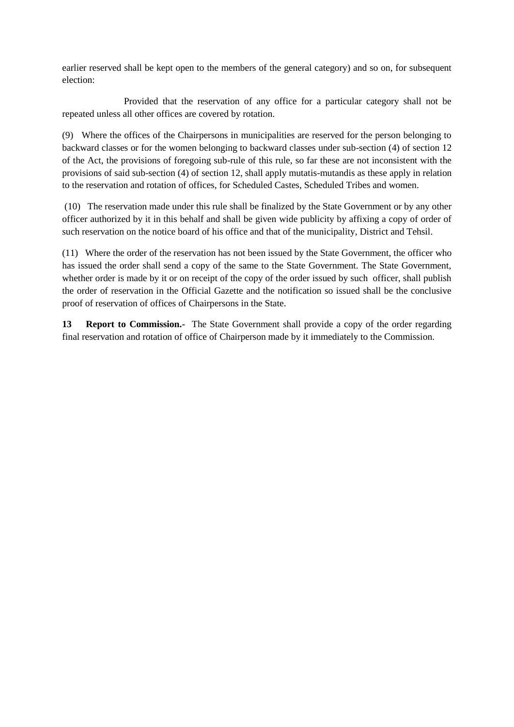earlier reserved shall be kept open to the members of the general category) and so on, for subsequent election:

 Provided that the reservation of any office for a particular category shall not be repeated unless all other offices are covered by rotation.

(9) Where the offices of the Chairpersons in municipalities are reserved for the person belonging to backward classes or for the women belonging to backward classes under sub-section (4) of section 12 of the Act, the provisions of foregoing sub-rule of this rule, so far these are not inconsistent with the provisions of said sub-section (4) of section 12, shall apply mutatis-mutandis as these apply in relation to the reservation and rotation of offices, for Scheduled Castes, Scheduled Tribes and women.

(10) The reservation made under this rule shall be finalized by the State Government or by any other officer authorized by it in this behalf and shall be given wide publicity by affixing a copy of order of such reservation on the notice board of his office and that of the municipality, District and Tehsil.

(11) Where the order of the reservation has not been issued by the State Government, the officer who has issued the order shall send a copy of the same to the State Government. The State Government, whether order is made by it or on receipt of the copy of the order issued by such officer, shall publish the order of reservation in the Official Gazette and the notification so issued shall be the conclusive proof of reservation of offices of Chairpersons in the State.

**13 Report to Commission.**- The State Government shall provide a copy of the order regarding final reservation and rotation of office of Chairperson made by it immediately to the Commission.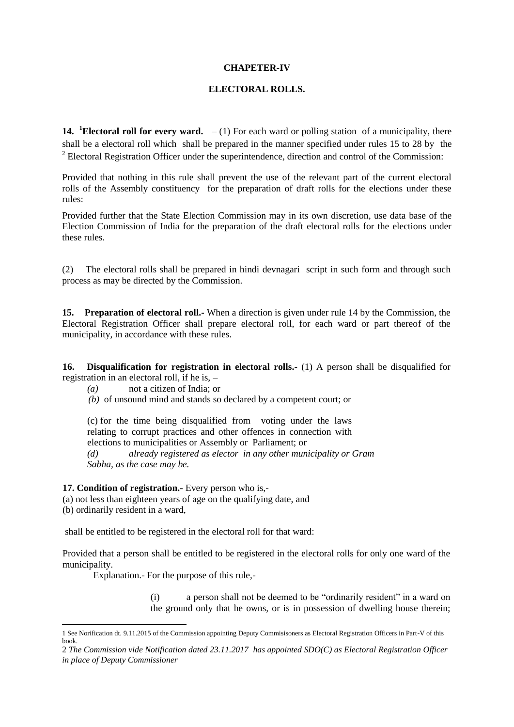#### **CHAPETER-IV**

#### **ELECTORAL ROLLS.**

**14. <sup>1</sup>Electoral roll for every ward.**  $- (1)$  For each ward or polling station of a municipality, there shall be a electoral roll which shall be prepared in the manner specified under rules 15 to 28 by the  $2^2$  Electoral Registration Officer under the superintendence, direction and control of the Commission:

Provided that nothing in this rule shall prevent the use of the relevant part of the current electoral rolls of the Assembly constituency for the preparation of draft rolls for the elections under these rules:

Provided further that the State Election Commission may in its own discretion, use data base of the Election Commission of India for the preparation of the draft electoral rolls for the elections under these rules.

(2) The electoral rolls shall be prepared in hindi devnagari script in such form and through such process as may be directed by the Commission.

**15. Preparation of electoral roll.-** When a direction is given under rule 14 by the Commission, the Electoral Registration Officer shall prepare electoral roll, for each ward or part thereof of the municipality, in accordance with these rules.

**16. Disqualification for registration in electoral rolls.-** (1) A person shall be disqualified for registration in an electoral roll, if he is, –

*(a)* not a citizen of India; or

 *(b)* of unsound mind and stands so declared by a competent court; or

(c) for the time being disqualified from voting under the laws relating to corrupt practices and other offences in connection with elections to municipalities or Assembly or Parliament; or *(d) already registered as elector in any other municipality or Gram Sabha, as the case may be.*

**17. Condition of registration.-** Every person who is,-

(a) not less than eighteen years of age on the qualifying date, and (b) ordinarily resident in a ward,

shall be entitled to be registered in the electoral roll for that ward:

Provided that a person shall be entitled to be registered in the electoral rolls for only one ward of the municipality.

Explanation.- For the purpose of this rule,-

**.** 

(i) a person shall not be deemed to be "ordinarily resident" in a ward on the ground only that he owns, or is in possession of dwelling house therein;

<sup>1</sup> See Norification dt. 9.11.2015 of the Commission appointing Deputy Commisisoners as Electoral Registration Officers in Part-V of this book.

<sup>2</sup> *The Commission vide Notification dated 23.11.2017 has appointed SDO(C) as Electoral Registration Officer in place of Deputy Commissioner*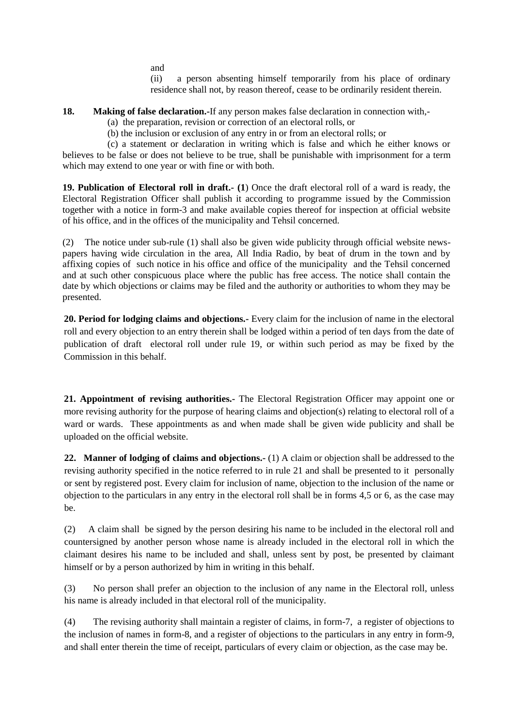and

(ii) a person absenting himself temporarily from his place of ordinary residence shall not, by reason thereof, cease to be ordinarily resident therein.

# **18. Making of false declaration.-**If any person makes false declaration in connection with,-

- (a) the preparation, revision or correction of an electoral rolls, or
- (b) the inclusion or exclusion of any entry in or from an electoral rolls; or

 (c) a statement or declaration in writing which is false and which he either knows or believes to be false or does not believe to be true, shall be punishable with imprisonment for a term which may extend to one year or with fine or with both.

**19. Publication of Electoral roll in draft.- (1**) Once the draft electoral roll of a ward is ready, the Electoral Registration Officer shall publish it according to programme issued by the Commission together with a notice in form-3 and make available copies thereof for inspection at official website of his office, and in the offices of the municipality and Tehsil concerned.

(2) The notice under sub-rule (1) shall also be given wide publicity through official website newspapers having wide circulation in the area, All India Radio, by beat of drum in the town and by affixing copies of such notice in his office and office of the municipality and the Tehsil concerned and at such other conspicuous place where the public has free access. The notice shall contain the date by which objections or claims may be filed and the authority or authorities to whom they may be presented.

**20. Period for lodging claims and objections.-** Every claim for the inclusion of name in the electoral roll and every objection to an entry therein shall be lodged within a period of ten days from the date of publication of draft electoral roll under rule 19, or within such period as may be fixed by the Commission in this behalf.

**21. Appointment of revising authorities.-** The Electoral Registration Officer may appoint one or more revising authority for the purpose of hearing claims and objection(s) relating to electoral roll of a ward or wards. These appointments as and when made shall be given wide publicity and shall be uploaded on the official website.

**22. Manner of lodging of claims and objections.-** (1) A claim or objection shall be addressed to the revising authority specified in the notice referred to in rule 21 and shall be presented to it personally or sent by registered post. Every claim for inclusion of name, objection to the inclusion of the name or objection to the particulars in any entry in the electoral roll shall be in forms 4,5 or 6, as the case may be.

(2) A claim shall be signed by the person desiring his name to be included in the electoral roll and countersigned by another person whose name is already included in the electoral roll in which the claimant desires his name to be included and shall, unless sent by post, be presented by claimant himself or by a person authorized by him in writing in this behalf.

(3) No person shall prefer an objection to the inclusion of any name in the Electoral roll, unless his name is already included in that electoral roll of the municipality.

(4) The revising authority shall maintain a register of claims, in form-7, a register of objections to the inclusion of names in form-8, and a register of objections to the particulars in any entry in form-9, and shall enter therein the time of receipt, particulars of every claim or objection, as the case may be.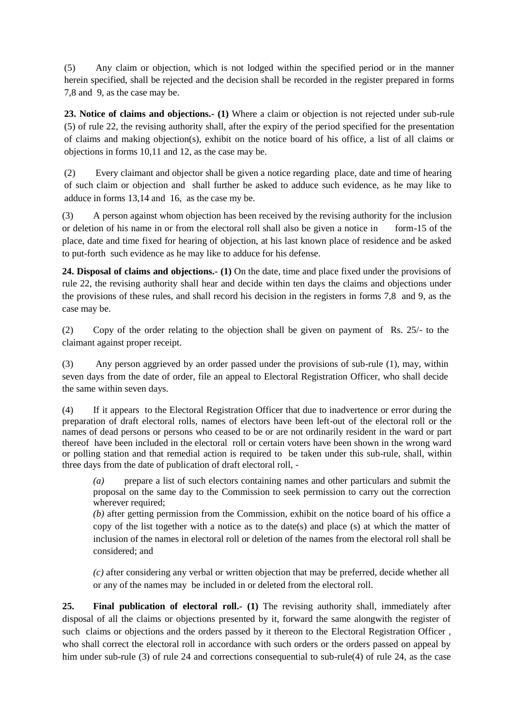(5) Any claim or objection, which is not lodged within the specified period or in the manner herein specified, shall be rejected and the decision shall be recorded in the register prepared in forms 7,8 and 9, as the case may be.

**23. Notice of claims and objections.- (1)** Where a claim or objection is not rejected under sub-rule (5) of rule 22, the revising authority shall, after the expiry of the period specified for the presentation of claims and making objection(s), exhibit on the notice board of his office, a list of all claims or objections in forms 10,11 and 12, as the case may be.

(2) Every claimant and objector shall be given a notice regarding place, date and time of hearing of such claim or objection and shall further be asked to adduce such evidence, as he may like to adduce in forms 13,14 and 16, as the case my be.

(3) A person against whom objection has been received by the revising authority for the inclusion or deletion of his name in or from the electoral roll shall also be given a notice in form-15 of the place, date and time fixed for hearing of objection, at his last known place of residence and be asked to put-forth such evidence as he may like to adduce for his defense.

**24. Disposal of claims and objections.- (1)** On the date, time and place fixed under the provisions of rule 22, the revising authority shall hear and decide within ten days the claims and objections under the provisions of these rules, and shall record his decision in the registers in forms 7,8 and 9, as the case may be.

(2) Copy of the order relating to the objection shall be given on payment of Rs. 25/- to the claimant against proper receipt.

(3) Any person aggrieved by an order passed under the provisions of sub-rule (1), may, within seven days from the date of order, file an appeal to Electoral Registration Officer, who shall decide the same within seven days.

(4) If it appears to the Electoral Registration Officer that due to inadvertence or error during the preparation of draft electoral rolls, names of electors have been left-out of the electoral roll or the names of dead persons or persons who ceased to be or are not ordinarily resident in the ward or part thereof have been included in the electoral roll or certain voters have been shown in the wrong ward or polling station and that remedial action is required to be taken under this sub-rule, shall, within three days from the date of publication of draft electoral roll, -

*(a)* prepare a list of such electors containing names and other particulars and submit the proposal on the same day to the Commission to seek permission to carry out the correction wherever required;

*(b)* after getting permission from the Commission, exhibit on the notice board of his office a copy of the list together with a notice as to the date(s) and place (s) at which the matter of inclusion of the names in electoral roll or deletion of the names from the electoral roll shall be considered; and

*(c)* after considering any verbal or written objection that may be preferred, decide whether all or any of the names may be included in or deleted from the electoral roll.

**25. Final publication of electoral roll.- (1)** The revising authority shall, immediately after disposal of all the claims or objections presented by it, forward the same alongwith the register of such claims or objections and the orders passed by it thereon to the Electoral Registration Officer , who shall correct the electoral roll in accordance with such orders or the orders passed on appeal by him under sub-rule (3) of rule 24 and corrections consequential to sub-rule(4) of rule 24, as the case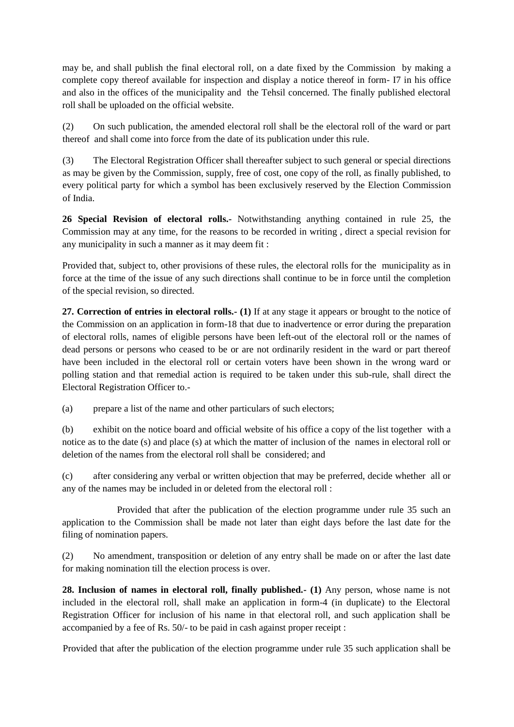may be, and shall publish the final electoral roll, on a date fixed by the Commission by making a complete copy thereof available for inspection and display a notice thereof in form- I7 in his office and also in the offices of the municipality and the Tehsil concerned. The finally published electoral roll shall be uploaded on the official website.

(2) On such publication, the amended electoral roll shall be the electoral roll of the ward or part thereof and shall come into force from the date of its publication under this rule.

(3) The Electoral Registration Officer shall thereafter subject to such general or special directions as may be given by the Commission, supply, free of cost, one copy of the roll, as finally published, to every political party for which a symbol has been exclusively reserved by the Election Commission of India.

**26 Special Revision of electoral rolls.-** Notwithstanding anything contained in rule 25, the Commission may at any time, for the reasons to be recorded in writing , direct a special revision for any municipality in such a manner as it may deem fit :

Provided that, subject to, other provisions of these rules, the electoral rolls for the municipality as in force at the time of the issue of any such directions shall continue to be in force until the completion of the special revision, so directed.

**27. Correction of entries in electoral rolls.- (1)** If at any stage it appears or brought to the notice of the Commission on an application in form-18 that due to inadvertence or error during the preparation of electoral rolls, names of eligible persons have been left-out of the electoral roll or the names of dead persons or persons who ceased to be or are not ordinarily resident in the ward or part thereof have been included in the electoral roll or certain voters have been shown in the wrong ward or polling station and that remedial action is required to be taken under this sub-rule, shall direct the Electoral Registration Officer to.-

(a) prepare a list of the name and other particulars of such electors;

(b) exhibit on the notice board and official website of his office a copy of the list together with a notice as to the date (s) and place (s) at which the matter of inclusion of the names in electoral roll or deletion of the names from the electoral roll shall be considered; and

(c) after considering any verbal or written objection that may be preferred, decide whether all or any of the names may be included in or deleted from the electoral roll :

 Provided that after the publication of the election programme under rule 35 such an application to the Commission shall be made not later than eight days before the last date for the filing of nomination papers.

(2) No amendment, transposition or deletion of any entry shall be made on or after the last date for making nomination till the election process is over.

**28. Inclusion of names in electoral roll, finally published.- (1)** Any person, whose name is not included in the electoral roll, shall make an application in form-4 (in duplicate) to the Electoral Registration Officer for inclusion of his name in that electoral roll, and such application shall be accompanied by a fee of Rs. 50/- to be paid in cash against proper receipt :

Provided that after the publication of the election programme under rule 35 such application shall be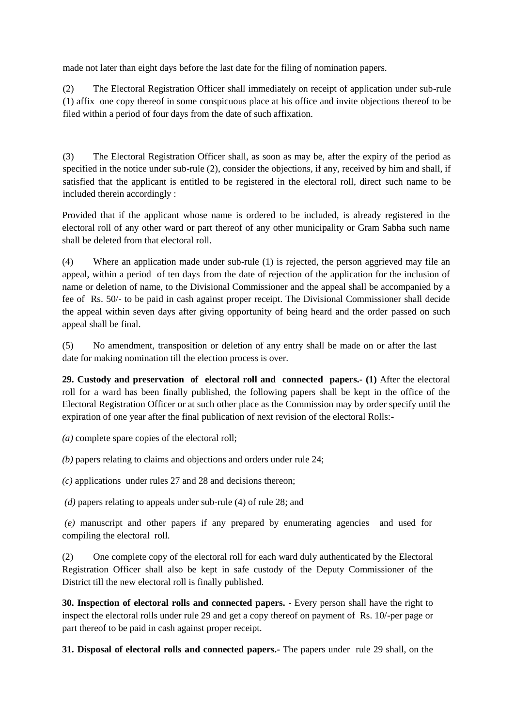made not later than eight days before the last date for the filing of nomination papers.

(2) The Electoral Registration Officer shall immediately on receipt of application under sub-rule (1) affix one copy thereof in some conspicuous place at his office and invite objections thereof to be filed within a period of four days from the date of such affixation.

(3) The Electoral Registration Officer shall, as soon as may be, after the expiry of the period as specified in the notice under sub-rule (2), consider the objections, if any, received by him and shall, if satisfied that the applicant is entitled to be registered in the electoral roll, direct such name to be included therein accordingly :

Provided that if the applicant whose name is ordered to be included, is already registered in the electoral roll of any other ward or part thereof of any other municipality or Gram Sabha such name shall be deleted from that electoral roll.

(4) Where an application made under sub-rule (1) is rejected, the person aggrieved may file an appeal, within a period of ten days from the date of rejection of the application for the inclusion of name or deletion of name, to the Divisional Commissioner and the appeal shall be accompanied by a fee of Rs. 50/- to be paid in cash against proper receipt. The Divisional Commissioner shall decide the appeal within seven days after giving opportunity of being heard and the order passed on such appeal shall be final.

(5) No amendment, transposition or deletion of any entry shall be made on or after the last date for making nomination till the election process is over.

**29. Custody and preservation of electoral roll and connected papers.- (1)** After the electoral roll for a ward has been finally published, the following papers shall be kept in the office of the Electoral Registration Officer or at such other place as the Commission may by order specify until the expiration of one year after the final publication of next revision of the electoral Rolls:-

*(a)* complete spare copies of the electoral roll;

*(b)* papers relating to claims and objections and orders under rule 24;

*(c)* applications under rules 27 and 28 and decisions thereon;

*(d)* papers relating to appeals under sub-rule (4) of rule 28; and

*(e)* manuscript and other papers if any prepared by enumerating agencies and used for compiling the electoral roll.

(2) One complete copy of the electoral roll for each ward duly authenticated by the Electoral Registration Officer shall also be kept in safe custody of the Deputy Commissioner of the District till the new electoral roll is finally published.

**30. Inspection of electoral rolls and connected papers.** - Every person shall have the right to inspect the electoral rolls under rule 29 and get a copy thereof on payment of Rs. 10/-per page or part thereof to be paid in cash against proper receipt.

**31. Disposal of electoral rolls and connected papers.-** The papers under rule 29 shall, on the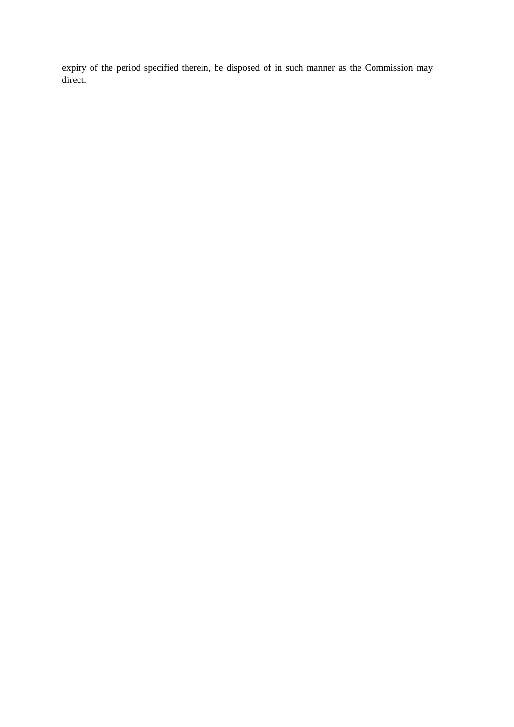expiry of the period specified therein, be disposed of in such manner as the Commission may direct.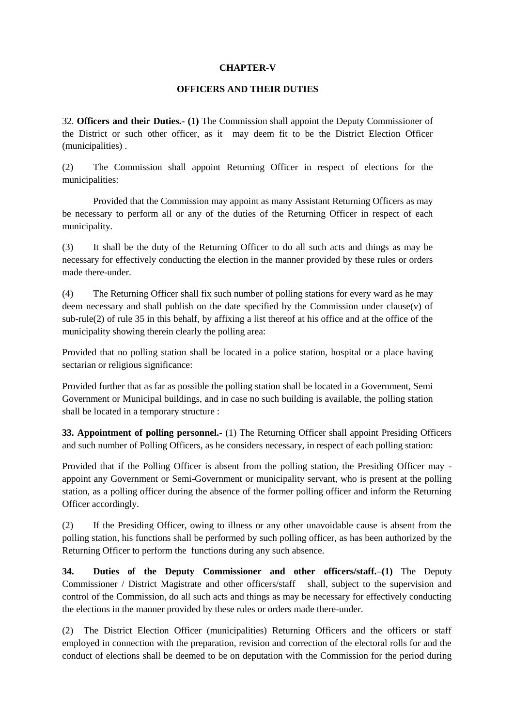## **CHAPTER-V**

## **OFFICERS AND THEIR DUTIES**

32. **Officers and their Duties.- (1)** The Commission shall appoint the Deputy Commissioner of the District or such other officer, as it may deem fit to be the District Election Officer (municipalities) .

(2) The Commission shall appoint Returning Officer in respect of elections for the municipalities:

Provided that the Commission may appoint as many Assistant Returning Officers as may be necessary to perform all or any of the duties of the Returning Officer in respect of each municipality.

(3) It shall be the duty of the Returning Officer to do all such acts and things as may be necessary for effectively conducting the election in the manner provided by these rules or orders made there-under.

(4) The Returning Officer shall fix such number of polling stations for every ward as he may deem necessary and shall publish on the date specified by the Commission under clause(v) of sub-rule(2) of rule 35 in this behalf, by affixing a list thereof at his office and at the office of the municipality showing therein clearly the polling area:

Provided that no polling station shall be located in a police station, hospital or a place having sectarian or religious significance:

Provided further that as far as possible the polling station shall be located in a Government, Semi Government or Municipal buildings, and in case no such building is available, the polling station shall be located in a temporary structure :

**33. Appointment of polling personnel.-** (1) The Returning Officer shall appoint Presiding Officers and such number of Polling Officers, as he considers necessary, in respect of each polling station:

Provided that if the Polling Officer is absent from the polling station, the Presiding Officer may appoint any Government or Semi-Government or municipality servant, who is present at the polling station, as a polling officer during the absence of the former polling officer and inform the Returning Officer accordingly.

(2) If the Presiding Officer, owing to illness or any other unavoidable cause is absent from the polling station, his functions shall be performed by such polling officer, as has been authorized by the Returning Officer to perform the functions during any such absence.

**34. Duties of the Deputy Commissioner and other officers/staff.–(1)** The Deputy Commissioner / District Magistrate and other officers/staff shall, subject to the supervision and control of the Commission, do all such acts and things as may be necessary for effectively conducting the elections in the manner provided by these rules or orders made there-under.

(2) The District Election Officer (municipalities) Returning Officers and the officers or staff employed in connection with the preparation, revision and correction of the electoral rolls for and the conduct of elections shall be deemed to be on deputation with the Commission for the period during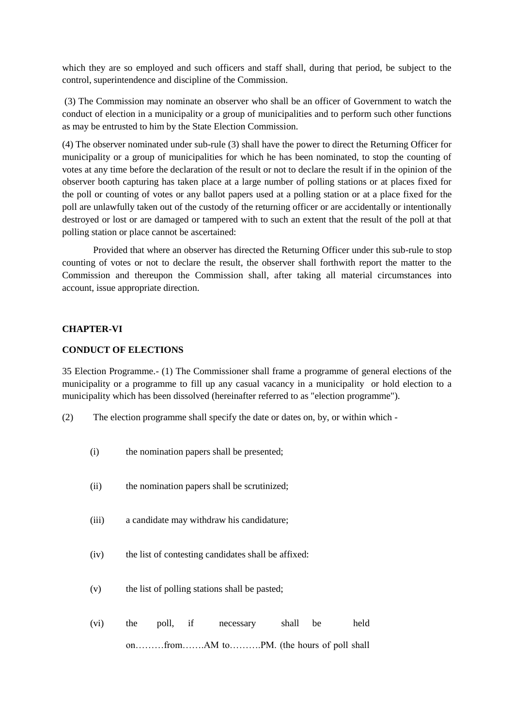which they are so employed and such officers and staff shall, during that period, be subject to the control, superintendence and discipline of the Commission.

(3) The Commission may nominate an observer who shall be an officer of Government to watch the conduct of election in a municipality or a group of municipalities and to perform such other functions as may be entrusted to him by the State Election Commission.

(4) The observer nominated under sub-rule (3) shall have the power to direct the Returning Officer for municipality or a group of municipalities for which he has been nominated, to stop the counting of votes at any time before the declaration of the result or not to declare the result if in the opinion of the observer booth capturing has taken place at a large number of polling stations or at places fixed for the poll or counting of votes or any ballot papers used at a polling station or at a place fixed for the poll are unlawfully taken out of the custody of the returning officer or are accidentally or intentionally destroyed or lost or are damaged or tampered with to such an extent that the result of the poll at that polling station or place cannot be ascertained:

Provided that where an observer has directed the Returning Officer under this sub-rule to stop counting of votes or not to declare the result, the observer shall forthwith report the matter to the Commission and thereupon the Commission shall, after taking all material circumstances into account, issue appropriate direction.

#### **CHAPTER-VI**

#### **CONDUCT OF ELECTIONS**

35 Election Programme.- (1) The Commissioner shall frame a programme of general elections of the municipality or a programme to fill up any casual vacancy in a municipality or hold election to a municipality which has been dissolved (hereinafter referred to as "election programme").

(2) The election programme shall specify the date or dates on, by, or within which -

- (i) the nomination papers shall be presented;
- (ii) the nomination papers shall be scrutinized;
- (iii) a candidate may withdraw his candidature;
- (iv) the list of contesting candidates shall be affixed:
- (v) the list of polling stations shall be pasted;
- (vi) the poll, if necessary shall be held on………from…….AM to……….PM. (the hours of poll shall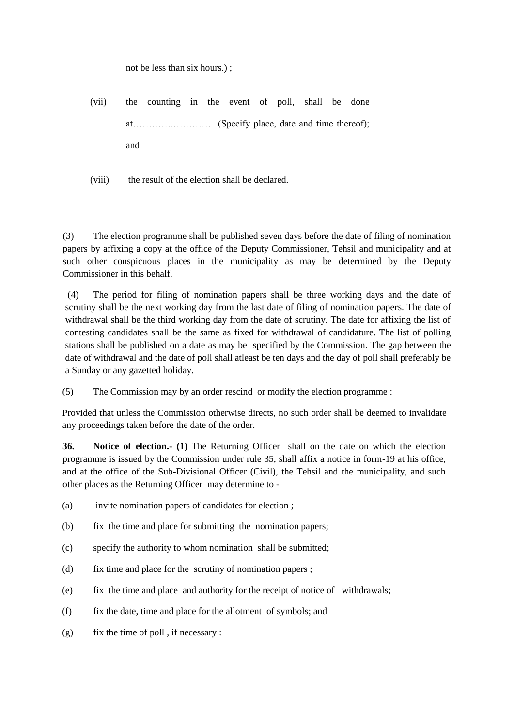not be less than six hours.) ;

(vii) the counting in the event of poll, shall be done at………….………… (Specify place, date and time thereof); and

(viii) the result of the election shall be declared.

(3) The election programme shall be published seven days before the date of filing of nomination papers by affixing a copy at the office of the Deputy Commissioner, Tehsil and municipality and at such other conspicuous places in the municipality as may be determined by the Deputy Commissioner in this behalf.

(4) The period for filing of nomination papers shall be three working days and the date of scrutiny shall be the next working day from the last date of filing of nomination papers. The date of withdrawal shall be the third working day from the date of scrutiny. The date for affixing the list of contesting candidates shall be the same as fixed for withdrawal of candidature. The list of polling stations shall be published on a date as may be specified by the Commission. The gap between the date of withdrawal and the date of poll shall atleast be ten days and the day of poll shall preferably be a Sunday or any gazetted holiday.

(5) The Commission may by an order rescind or modify the election programme :

Provided that unless the Commission otherwise directs, no such order shall be deemed to invalidate any proceedings taken before the date of the order.

**36. Notice of election.- (1)** The Returning Officer shall on the date on which the election programme is issued by the Commission under rule 35, shall affix a notice in form-19 at his office, and at the office of the Sub-Divisional Officer (Civil), the Tehsil and the municipality, and such other places as the Returning Officer may determine to -

- (a) invite nomination papers of candidates for election ;
- (b) fix the time and place for submitting the nomination papers;
- (c) specify the authority to whom nomination shall be submitted;
- (d) fix time and place for the scrutiny of nomination papers ;
- (e) fix the time and place and authority for the receipt of notice of withdrawals;
- (f) fix the date, time and place for the allotment of symbols; and
- $(g)$  fix the time of poll, if necessary :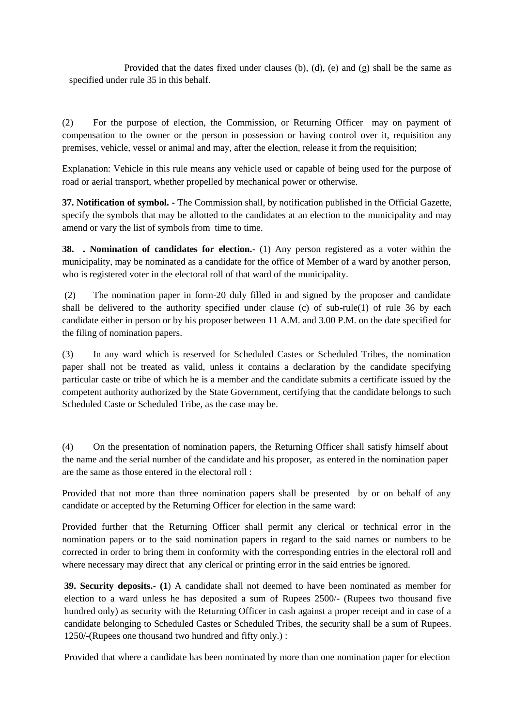Provided that the dates fixed under clauses (b), (d), (e) and (g) shall be the same as specified under rule 35 in this behalf.

(2) For the purpose of election, the Commission, or Returning Officer may on payment of compensation to the owner or the person in possession or having control over it, requisition any premises, vehicle, vessel or animal and may, after the election, release it from the requisition;

Explanation: Vehicle in this rule means any vehicle used or capable of being used for the purpose of road or aerial transport, whether propelled by mechanical power or otherwise.

**37. Notification of symbol. -** The Commission shall, by notification published in the Official Gazette, specify the symbols that may be allotted to the candidates at an election to the municipality and may amend or vary the list of symbols from time to time.

**38. . Nomination of candidates for election.-** (1) Any person registered as a voter within the municipality, may be nominated as a candidate for the office of Member of a ward by another person, who is registered voter in the electoral roll of that ward of the municipality.

(2) The nomination paper in form-20 duly filled in and signed by the proposer and candidate shall be delivered to the authority specified under clause (c) of sub-rule(1) of rule 36 by each candidate either in person or by his proposer between 11 A.M. and 3.00 P.M. on the date specified for the filing of nomination papers.

(3) In any ward which is reserved for Scheduled Castes or Scheduled Tribes, the nomination paper shall not be treated as valid, unless it contains a declaration by the candidate specifying particular caste or tribe of which he is a member and the candidate submits a certificate issued by the competent authority authorized by the State Government, certifying that the candidate belongs to such Scheduled Caste or Scheduled Tribe, as the case may be.

(4) On the presentation of nomination papers, the Returning Officer shall satisfy himself about the name and the serial number of the candidate and his proposer, as entered in the nomination paper are the same as those entered in the electoral roll :

Provided that not more than three nomination papers shall be presented by or on behalf of any candidate or accepted by the Returning Officer for election in the same ward:

Provided further that the Returning Officer shall permit any clerical or technical error in the nomination papers or to the said nomination papers in regard to the said names or numbers to be corrected in order to bring them in conformity with the corresponding entries in the electoral roll and where necessary may direct that any clerical or printing error in the said entries be ignored.

**39. Security deposits.- (1**) A candidate shall not deemed to have been nominated as member for election to a ward unless he has deposited a sum of Rupees 2500/- (Rupees two thousand five hundred only) as security with the Returning Officer in cash against a proper receipt and in case of a candidate belonging to Scheduled Castes or Scheduled Tribes, the security shall be a sum of Rupees. 1250/-(Rupees one thousand two hundred and fifty only.) :

Provided that where a candidate has been nominated by more than one nomination paper for election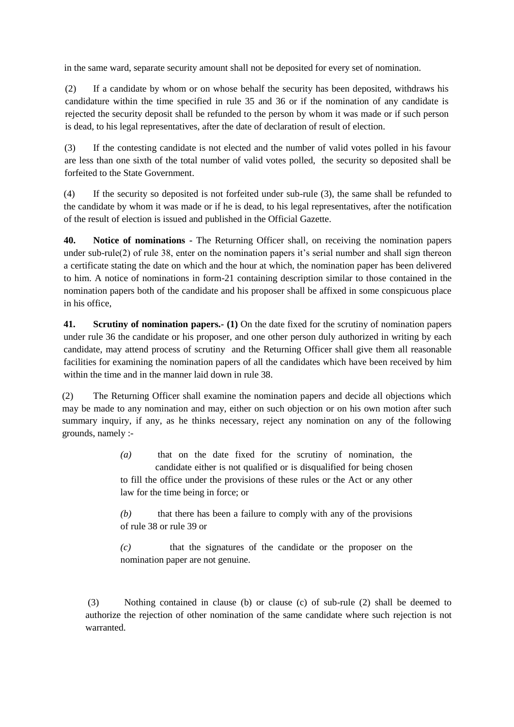in the same ward, separate security amount shall not be deposited for every set of nomination.

(2) If a candidate by whom or on whose behalf the security has been deposited, withdraws his candidature within the time specified in rule 35 and 36 or if the nomination of any candidate is rejected the security deposit shall be refunded to the person by whom it was made or if such person is dead, to his legal representatives, after the date of declaration of result of election.

(3) If the contesting candidate is not elected and the number of valid votes polled in his favour are less than one sixth of the total number of valid votes polled, the security so deposited shall be forfeited to the State Government.

(4) If the security so deposited is not forfeited under sub-rule (3), the same shall be refunded to the candidate by whom it was made or if he is dead, to his legal representatives, after the notification of the result of election is issued and published in the Official Gazette.

**40. Notice of nominations -** The Returning Officer shall, on receiving the nomination papers under sub-rule(2) of rule 38, enter on the nomination papers it's serial number and shall sign thereon a certificate stating the date on which and the hour at which, the nomination paper has been delivered to him. A notice of nominations in form-21 containing description similar to those contained in the nomination papers both of the candidate and his proposer shall be affixed in some conspicuous place in his office,

**41. Scrutiny of nomination papers.- (1)** On the date fixed for the scrutiny of nomination papers under rule 36 the candidate or his proposer, and one other person duly authorized in writing by each candidate, may attend process of scrutiny and the Returning Officer shall give them all reasonable facilities for examining the nomination papers of all the candidates which have been received by him within the time and in the manner laid down in rule 38.

(2) The Returning Officer shall examine the nomination papers and decide all objections which may be made to any nomination and may, either on such objection or on his own motion after such summary inquiry, if any, as he thinks necessary, reject any nomination on any of the following grounds, namely :-

> *(a)* that on the date fixed for the scrutiny of nomination, the candidate either is not qualified or is disqualified for being chosen to fill the office under the provisions of these rules or the Act or any other law for the time being in force; or

> *(b)* that there has been a failure to comply with any of the provisions of rule 38 or rule 39 or

> *(c)* that the signatures of the candidate or the proposer on the nomination paper are not genuine.

(3) Nothing contained in clause (b) or clause (c) of sub-rule (2) shall be deemed to authorize the rejection of other nomination of the same candidate where such rejection is not warranted.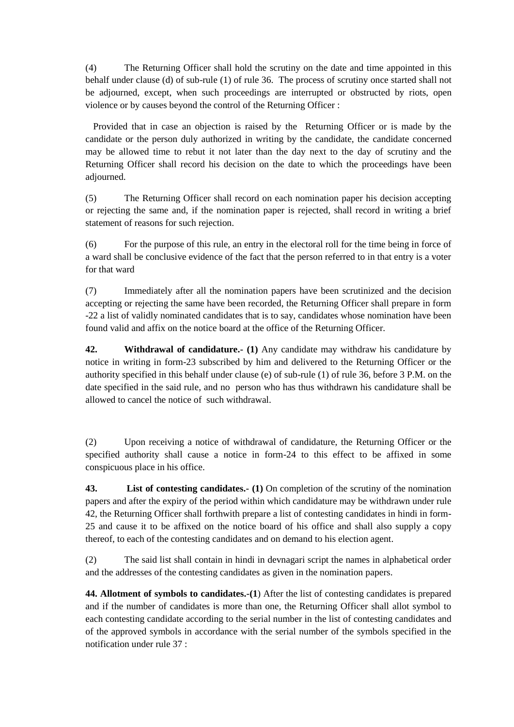(4) The Returning Officer shall hold the scrutiny on the date and time appointed in this behalf under clause (d) of sub-rule (1) of rule 36. The process of scrutiny once started shall not be adjourned, except, when such proceedings are interrupted or obstructed by riots, open violence or by causes beyond the control of the Returning Officer :

Provided that in case an objection is raised by the Returning Officer or is made by the candidate or the person duly authorized in writing by the candidate, the candidate concerned may be allowed time to rebut it not later than the day next to the day of scrutiny and the Returning Officer shall record his decision on the date to which the proceedings have been adjourned.

(5) The Returning Officer shall record on each nomination paper his decision accepting or rejecting the same and, if the nomination paper is rejected, shall record in writing a brief statement of reasons for such rejection.

(6) For the purpose of this rule, an entry in the electoral roll for the time being in force of a ward shall be conclusive evidence of the fact that the person referred to in that entry is a voter for that ward

(7) Immediately after all the nomination papers have been scrutinized and the decision accepting or rejecting the same have been recorded, the Returning Officer shall prepare in form -22 a list of validly nominated candidates that is to say, candidates whose nomination have been found valid and affix on the notice board at the office of the Returning Officer.

**42. Withdrawal of candidature.- (1)** Any candidate may withdraw his candidature by notice in writing in form-23 subscribed by him and delivered to the Returning Officer or the authority specified in this behalf under clause (e) of sub-rule (1) of rule 36, before 3 P.M. on the date specified in the said rule, and no person who has thus withdrawn his candidature shall be allowed to cancel the notice of such withdrawal.

(2) Upon receiving a notice of withdrawal of candidature, the Returning Officer or the specified authority shall cause a notice in form-24 to this effect to be affixed in some conspicuous place in his office.

**43. List of contesting candidates.- (1)** On completion of the scrutiny of the nomination papers and after the expiry of the period within which candidature may be withdrawn under rule 42, the Returning Officer shall forthwith prepare a list of contesting candidates in hindi in form-25 and cause it to be affixed on the notice board of his office and shall also supply a copy thereof, to each of the contesting candidates and on demand to his election agent.

(2) The said list shall contain in hindi in devnagari script the names in alphabetical order and the addresses of the contesting candidates as given in the nomination papers.

**44. Allotment of symbols to candidates.-(1**) After the list of contesting candidates is prepared and if the number of candidates is more than one, the Returning Officer shall allot symbol to each contesting candidate according to the serial number in the list of contesting candidates and of the approved symbols in accordance with the serial number of the symbols specified in the notification under rule 37 :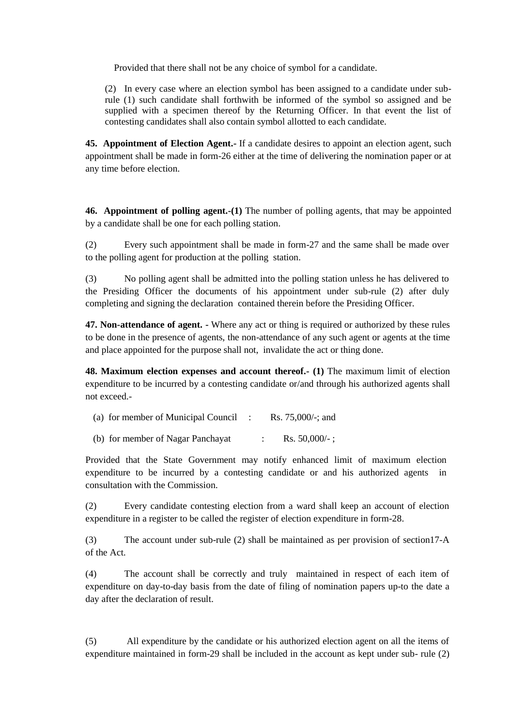Provided that there shall not be any choice of symbol for a candidate.

(2) In every case where an election symbol has been assigned to a candidate under subrule (1) such candidate shall forthwith be informed of the symbol so assigned and be supplied with a specimen thereof by the Returning Officer. In that event the list of contesting candidates shall also contain symbol allotted to each candidate.

**45. Appointment of Election Agent.-** If a candidate desires to appoint an election agent, such appointment shall be made in form-26 either at the time of delivering the nomination paper or at any time before election.

**46. Appointment of polling agent.-(1)** The number of polling agents, that may be appointed by a candidate shall be one for each polling station.

(2) Every such appointment shall be made in form-27 and the same shall be made over to the polling agent for production at the polling station.

(3) No polling agent shall be admitted into the polling station unless he has delivered to the Presiding Officer the documents of his appointment under sub-rule (2) after duly completing and signing the declaration contained therein before the Presiding Officer.

**47. Non-attendance of agent. -** Where any act or thing is required or authorized by these rules to be done in the presence of agents, the non-attendance of any such agent or agents at the time and place appointed for the purpose shall not, invalidate the act or thing done.

**48. Maximum election expenses and account thereof.- (1)** The maximum limit of election expenditure to be incurred by a contesting candidate or/and through his authorized agents shall not exceed.-

(a) for member of Municipal Council : Rs.  $75,000/$ ; and

(b) for member of Nagar Panchayat : Rs.  $50,000/$ ;

Provided that the State Government may notify enhanced limit of maximum election expenditure to be incurred by a contesting candidate or and his authorized agents in consultation with the Commission.

(2) Every candidate contesting election from a ward shall keep an account of election expenditure in a register to be called the register of election expenditure in form-28.

(3) The account under sub-rule (2) shall be maintained as per provision of section17-A of the Act.

(4) The account shall be correctly and truly maintained in respect of each item of expenditure on day-to-day basis from the date of filing of nomination papers up-to the date a day after the declaration of result.

(5) All expenditure by the candidate or his authorized election agent on all the items of expenditure maintained in form-29 shall be included in the account as kept under sub- rule (2)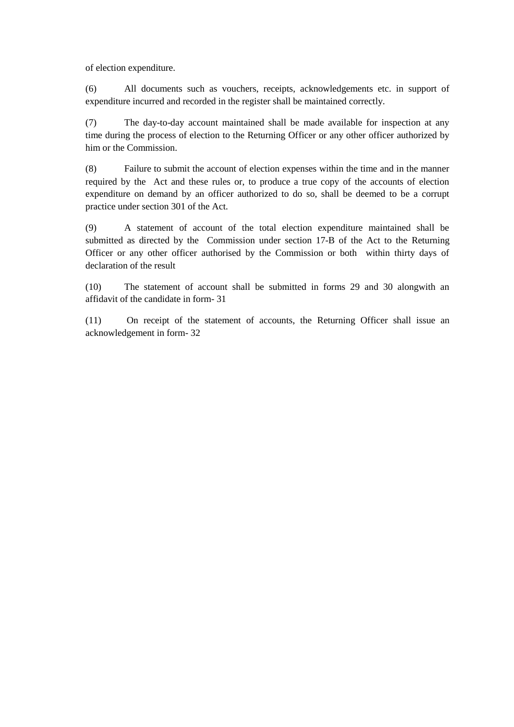of election expenditure.

(6) All documents such as vouchers, receipts, acknowledgements etc. in support of expenditure incurred and recorded in the register shall be maintained correctly.

(7) The day-to-day account maintained shall be made available for inspection at any time during the process of election to the Returning Officer or any other officer authorized by him or the Commission.

(8) Failure to submit the account of election expenses within the time and in the manner required by the Act and these rules or, to produce a true copy of the accounts of election expenditure on demand by an officer authorized to do so, shall be deemed to be a corrupt practice under section 301 of the Act.

(9) A statement of account of the total election expenditure maintained shall be submitted as directed by the Commission under section 17-B of the Act to the Returning Officer or any other officer authorised by the Commission or both within thirty days of declaration of the result

(10) The statement of account shall be submitted in forms 29 and 30 alongwith an affidavit of the candidate in form- 31

(11) On receipt of the statement of accounts, the Returning Officer shall issue an acknowledgement in form- 32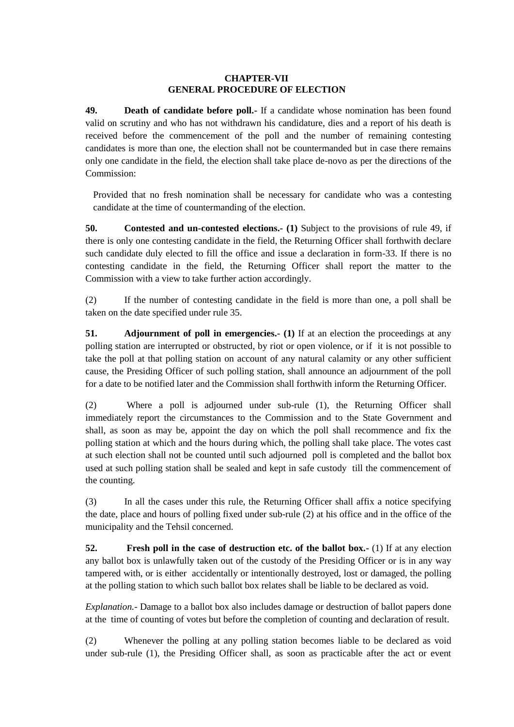# **CHAPTER-VII GENERAL PROCEDURE OF ELECTION**

**49. Death of candidate before poll.-** If a candidate whose nomination has been found valid on scrutiny and who has not withdrawn his candidature, dies and a report of his death is received before the commencement of the poll and the number of remaining contesting candidates is more than one, the election shall not be countermanded but in case there remains only one candidate in the field, the election shall take place de-novo as per the directions of the Commission:

Provided that no fresh nomination shall be necessary for candidate who was a contesting candidate at the time of countermanding of the election.

**50. Contested and un-contested elections.- (1)** Subject to the provisions of rule 49, if there is only one contesting candidate in the field, the Returning Officer shall forthwith declare such candidate duly elected to fill the office and issue a declaration in form-33. If there is no contesting candidate in the field, the Returning Officer shall report the matter to the Commission with a view to take further action accordingly.

(2) If the number of contesting candidate in the field is more than one, a poll shall be taken on the date specified under rule 35.

**51.** Adjournment of poll in emergencies. (1) If at an election the proceedings at any polling station are interrupted or obstructed, by riot or open violence, or if it is not possible to take the poll at that polling station on account of any natural calamity or any other sufficient cause, the Presiding Officer of such polling station, shall announce an adjournment of the poll for a date to be notified later and the Commission shall forthwith inform the Returning Officer.

(2) Where a poll is adjourned under sub-rule (1), the Returning Officer shall immediately report the circumstances to the Commission and to the State Government and shall, as soon as may be, appoint the day on which the poll shall recommence and fix the polling station at which and the hours during which, the polling shall take place. The votes cast at such election shall not be counted until such adjourned poll is completed and the ballot box used at such polling station shall be sealed and kept in safe custody till the commencement of the counting.

(3) In all the cases under this rule, the Returning Officer shall affix a notice specifying the date, place and hours of polling fixed under sub-rule (2) at his office and in the office of the municipality and the Tehsil concerned.

**52. Fresh poll in the case of destruction etc. of the ballot box.-** (1) If at any election any ballot box is unlawfully taken out of the custody of the Presiding Officer or is in any way tampered with, or is either accidentally or intentionally destroyed, lost or damaged, the polling at the polling station to which such ballot box relates shall be liable to be declared as void.

*Explanation.-* Damage to a ballot box also includes damage or destruction of ballot papers done at the time of counting of votes but before the completion of counting and declaration of result.

(2) Whenever the polling at any polling station becomes liable to be declared as void under sub-rule (1), the Presiding Officer shall, as soon as practicable after the act or event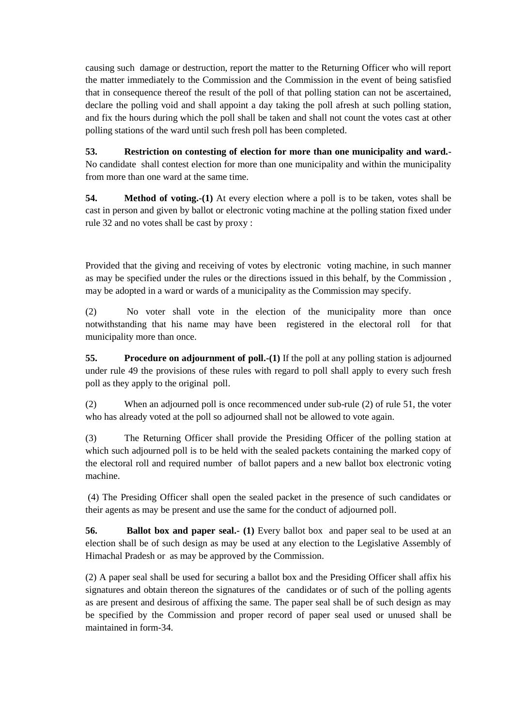causing such damage or destruction, report the matter to the Returning Officer who will report the matter immediately to the Commission and the Commission in the event of being satisfied that in consequence thereof the result of the poll of that polling station can not be ascertained, declare the polling void and shall appoint a day taking the poll afresh at such polling station, and fix the hours during which the poll shall be taken and shall not count the votes cast at other polling stations of the ward until such fresh poll has been completed.

**53. Restriction on contesting of election for more than one municipality and ward.-** No candidate shall contest election for more than one municipality and within the municipality from more than one ward at the same time.

**54.** Method of voting.-(1) At every election where a poll is to be taken, votes shall be cast in person and given by ballot or electronic voting machine at the polling station fixed under rule 32 and no votes shall be cast by proxy :

Provided that the giving and receiving of votes by electronic voting machine, in such manner as may be specified under the rules or the directions issued in this behalf, by the Commission , may be adopted in a ward or wards of a municipality as the Commission may specify.

(2) No voter shall vote in the election of the municipality more than once notwithstanding that his name may have been registered in the electoral roll for that municipality more than once.

**55. Procedure on adjournment of poll.-(1)** If the poll at any polling station is adjourned under rule 49 the provisions of these rules with regard to poll shall apply to every such fresh poll as they apply to the original poll.

(2) When an adjourned poll is once recommenced under sub-rule (2) of rule 51, the voter who has already voted at the poll so adjourned shall not be allowed to vote again.

(3) The Returning Officer shall provide the Presiding Officer of the polling station at which such adjourned poll is to be held with the sealed packets containing the marked copy of the electoral roll and required number of ballot papers and a new ballot box electronic voting machine.

(4) The Presiding Officer shall open the sealed packet in the presence of such candidates or their agents as may be present and use the same for the conduct of adjourned poll.

**56. Ballot box and paper seal.** (1) Every ballot box and paper seal to be used at an election shall be of such design as may be used at any election to the Legislative Assembly of Himachal Pradesh or as may be approved by the Commission.

(2) A paper seal shall be used for securing a ballot box and the Presiding Officer shall affix his signatures and obtain thereon the signatures of the candidates or of such of the polling agents as are present and desirous of affixing the same. The paper seal shall be of such design as may be specified by the Commission and proper record of paper seal used or unused shall be maintained in form-34.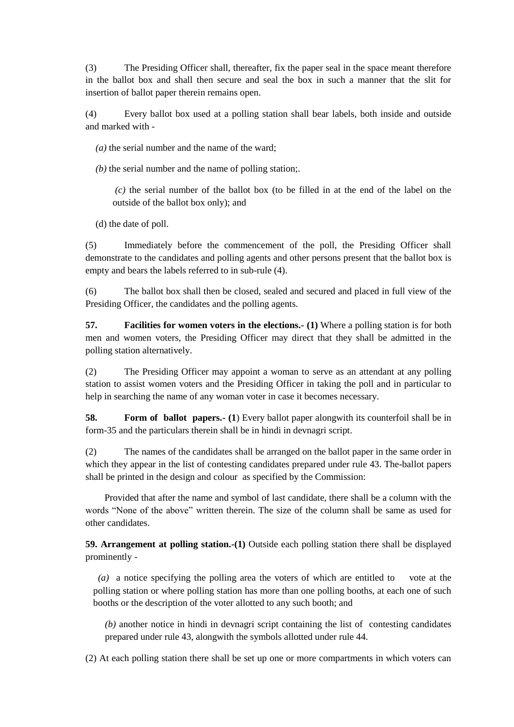(3) The Presiding Officer shall, thereafter, fix the paper seal in the space meant therefore in the ballot box and shall then secure and seal the box in such a manner that the slit for insertion of ballot paper therein remains open.

(4) Every ballot box used at a polling station shall bear labels, both inside and outside and marked with -

*(a)* the serial number and the name of the ward;

*(b)* the serial number and the name of polling station;.

*(c)* the serial number of the ballot box (to be filled in at the end of the label on the outside of the ballot box only); and

(d) the date of poll.

(5) Immediately before the commencement of the poll, the Presiding Officer shall demonstrate to the candidates and polling agents and other persons present that the ballot box is empty and bears the labels referred to in sub-rule (4).

(6) The ballot box shall then be closed, sealed and secured and placed in full view of the Presiding Officer, the candidates and the polling agents.

**57. Facilities for women voters in the elections.- (1)** Where a polling station is for both men and women voters, the Presiding Officer may direct that they shall be admitted in the polling station alternatively.

(2) The Presiding Officer may appoint a woman to serve as an attendant at any polling station to assist women voters and the Presiding Officer in taking the poll and in particular to help in searching the name of any woman voter in case it becomes necessary.

**58. Form of ballot papers.** (1) Every ballot paper alongwith its counterfoil shall be in form-35 and the particulars therein shall be in hindi in devnagri script.

(2) The names of the candidates shall be arranged on the ballot paper in the same order in which they appear in the list of contesting candidates prepared under rule 43. The-ballot papers shall be printed in the design and colour as specified by the Commission:

 Provided that after the name and symbol of last candidate, there shall be a column with the words "None of the above" written therein. The size of the column shall be same as used for other candidates.

**59. Arrangement at polling station.-(1)** Outside each polling station there shall be displayed prominently -

 *(a)* a notice specifying the polling area the voters of which are entitled to vote at the polling station or where polling station has more than one polling booths, at each one of such booths or the description of the voter allotted to any such booth; and

*(b)* another notice in hindi in devnagri script containing the list of contesting candidates prepared under rule 43, alongwith the symbols allotted under rule 44.

(2) At each polling station there shall be set up one or more compartments in which voters can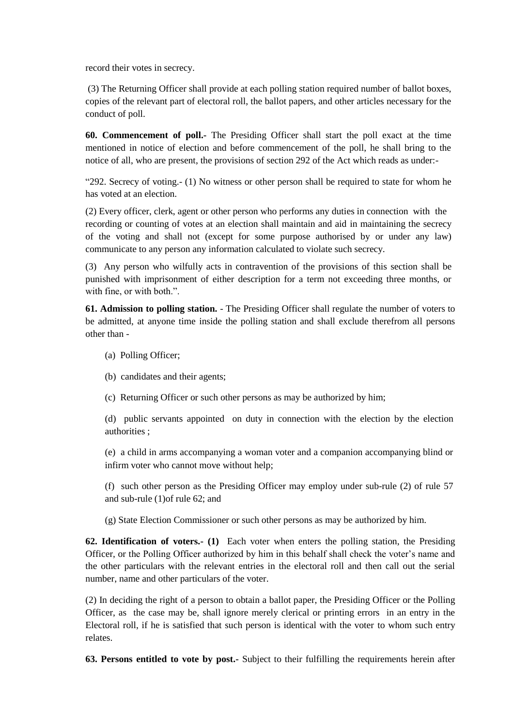record their votes in secrecy.

(3) The Returning Officer shall provide at each polling station required number of ballot boxes, copies of the relevant part of electoral roll, the ballot papers, and other articles necessary for the conduct of poll.

**60. Commencement of poll.-** The Presiding Officer shall start the poll exact at the time mentioned in notice of election and before commencement of the poll, he shall bring to the notice of all, who are present, the provisions of section 292 of the Act which reads as under:-

―292. Secrecy of voting.- (1) No witness or other person shall be required to state for whom he has voted at an election.

(2) Every officer, clerk, agent or other person who performs any duties in connection with the recording or counting of votes at an election shall maintain and aid in maintaining the secrecy of the voting and shall not (except for some purpose authorised by or under any law) communicate to any person any information calculated to violate such secrecy.

(3) Any person who wilfully acts in contravention of the provisions of this section shall be punished with imprisonment of either description for a term not exceeding three months, or with fine, or with both.".

**61. Admission to polling station.** - The Presiding Officer shall regulate the number of voters to be admitted, at anyone time inside the polling station and shall exclude therefrom all persons other than -

- (a) Polling Officer;
- (b) candidates and their agents;
- (c) Returning Officer or such other persons as may be authorized by him;

(d) public servants appointed on duty in connection with the election by the election authorities ;

(e) a child in arms accompanying a woman voter and a companion accompanying blind or infirm voter who cannot move without help;

(f) such other person as the Presiding Officer may employ under sub-rule (2) of rule 57 and sub-rule (1)of rule 62; and

(g) State Election Commissioner or such other persons as may be authorized by him.

**62. Identification of voters.- (1)** Each voter when enters the polling station, the Presiding Officer, or the Polling Officer authorized by him in this behalf shall check the voter's name and the other particulars with the relevant entries in the electoral roll and then call out the serial number, name and other particulars of the voter.

(2) In deciding the right of a person to obtain a ballot paper, the Presiding Officer or the Polling Officer, as the case may be, shall ignore merely clerical or printing errors in an entry in the Electoral roll, if he is satisfied that such person is identical with the voter to whom such entry relates.

**63. Persons entitled to vote by post.-** Subject to their fulfilling the requirements herein after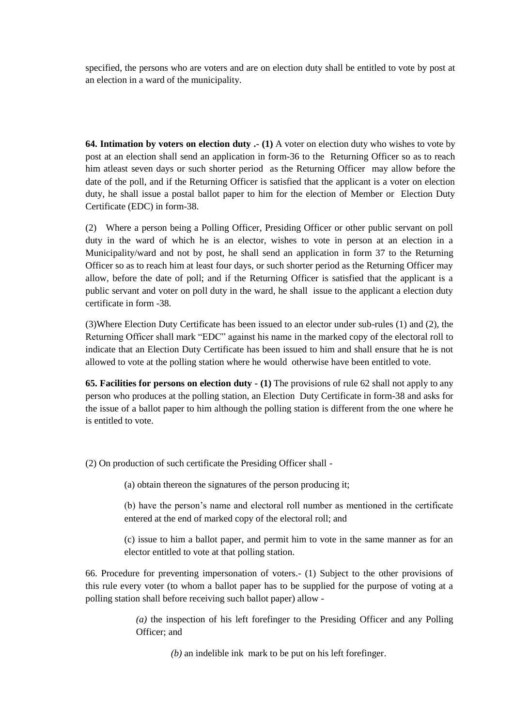specified, the persons who are voters and are on election duty shall be entitled to vote by post at an election in a ward of the municipality.

**64. Intimation by voters on election duty .- (1)** A voter on election duty who wishes to vote by post at an election shall send an application in form-36 to the Returning Officer so as to reach him atleast seven days or such shorter period as the Returning Officer may allow before the date of the poll, and if the Returning Officer is satisfied that the applicant is a voter on election duty, he shall issue a postal ballot paper to him for the election of Member or Election Duty Certificate (EDC) in form-38.

(2) Where a person being a Polling Officer, Presiding Officer or other public servant on poll duty in the ward of which he is an elector, wishes to vote in person at an election in a Municipality/ward and not by post, he shall send an application in form 37 to the Returning Officer so as to reach him at least four days, or such shorter period as the Returning Officer may allow, before the date of poll; and if the Returning Officer is satisfied that the applicant is a public servant and voter on poll duty in the ward, he shall issue to the applicant a election duty certificate in form -38.

(3)Where Election Duty Certificate has been issued to an elector under sub-rules (1) and (2), the Returning Officer shall mark "EDC" against his name in the marked copy of the electoral roll to indicate that an Election Duty Certificate has been issued to him and shall ensure that he is not allowed to vote at the polling station where he would otherwise have been entitled to vote.

**65. Facilities for persons on election duty - (1)** The provisions of rule 62 shall not apply to any person who produces at the polling station, an Election Duty Certificate in form-38 and asks for the issue of a ballot paper to him although the polling station is different from the one where he is entitled to vote.

(2) On production of such certificate the Presiding Officer shall -

(a) obtain thereon the signatures of the person producing it;

(b) have the person's name and electoral roll number as mentioned in the certificate entered at the end of marked copy of the electoral roll; and

(c) issue to him a ballot paper, and permit him to vote in the same manner as for an elector entitled to vote at that polling station.

66. Procedure for preventing impersonation of voters.- (1) Subject to the other provisions of this rule every voter (to whom a ballot paper has to be supplied for the purpose of voting at a polling station shall before receiving such ballot paper) allow -

> *(a)* the inspection of his left forefinger to the Presiding Officer and any Polling Officer; and

> > *(b)* an indelible ink mark to be put on his left forefinger.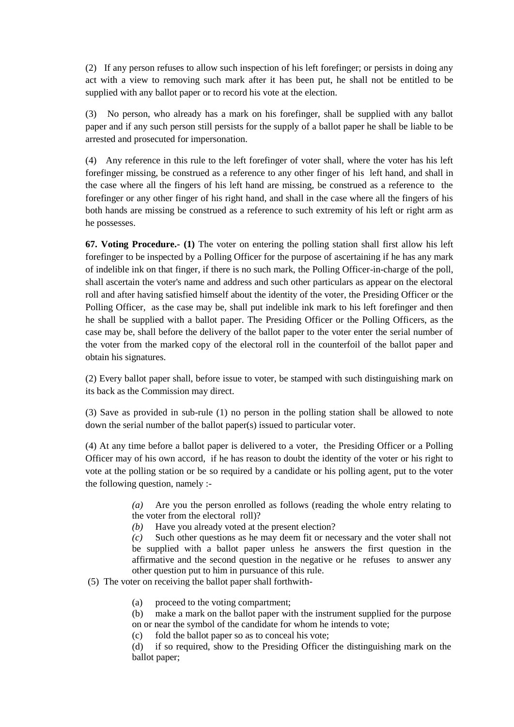(2) If any person refuses to allow such inspection of his left forefinger; or persists in doing any act with a view to removing such mark after it has been put, he shall not be entitled to be supplied with any ballot paper or to record his vote at the election.

(3) No person, who already has a mark on his forefinger, shall be supplied with any ballot paper and if any such person still persists for the supply of a ballot paper he shall be liable to be arrested and prosecuted for impersonation.

(4) Any reference in this rule to the left forefinger of voter shall, where the voter has his left forefinger missing, be construed as a reference to any other finger of his left hand, and shall in the case where all the fingers of his left hand are missing, be construed as a reference to the forefinger or any other finger of his right hand, and shall in the case where all the fingers of his both hands are missing be construed as a reference to such extremity of his left or right arm as he possesses.

**67. Voting Procedure.- (1)** The voter on entering the polling station shall first allow his left forefinger to be inspected by a Polling Officer for the purpose of ascertaining if he has any mark of indelible ink on that finger, if there is no such mark, the Polling Officer-in-charge of the poll, shall ascertain the voter's name and address and such other particulars as appear on the electoral roll and after having satisfied himself about the identity of the voter, the Presiding Officer or the Polling Officer, as the case may be, shall put indelible ink mark to his left forefinger and then he shall be supplied with a ballot paper. The Presiding Officer or the Polling Officers, as the case may be, shall before the delivery of the ballot paper to the voter enter the serial number of the voter from the marked copy of the electoral roll in the counterfoil of the ballot paper and obtain his signatures.

(2) Every ballot paper shall, before issue to voter, be stamped with such distinguishing mark on its back as the Commission may direct.

(3) Save as provided in sub-rule (1) no person in the polling station shall be allowed to note down the serial number of the ballot paper(s) issued to particular voter.

(4) At any time before a ballot paper is delivered to a voter, the Presiding Officer or a Polling Officer may of his own accord, if he has reason to doubt the identity of the voter or his right to vote at the polling station or be so required by a candidate or his polling agent, put to the voter the following question, namely :-

> *(a)* Are you the person enrolled as follows (reading the whole entry relating to the voter from the electoral roll)?

*(b)* Have you already voted at the present election?

*(c)* Such other questions as he may deem fit or necessary and the voter shall not be supplied with a ballot paper unless he answers the first question in the affirmative and the second question in the negative or he refuses to answer any other question put to him in pursuance of this rule.

(5) The voter on receiving the ballot paper shall forthwith-

- (a) proceed to the voting compartment;
- (b) make a mark on the ballot paper with the instrument supplied for the purpose on or near the symbol of the candidate for whom he intends to vote;

(c) fold the ballot paper so as to conceal his vote;

(d) if so required, show to the Presiding Officer the distinguishing mark on the ballot paper;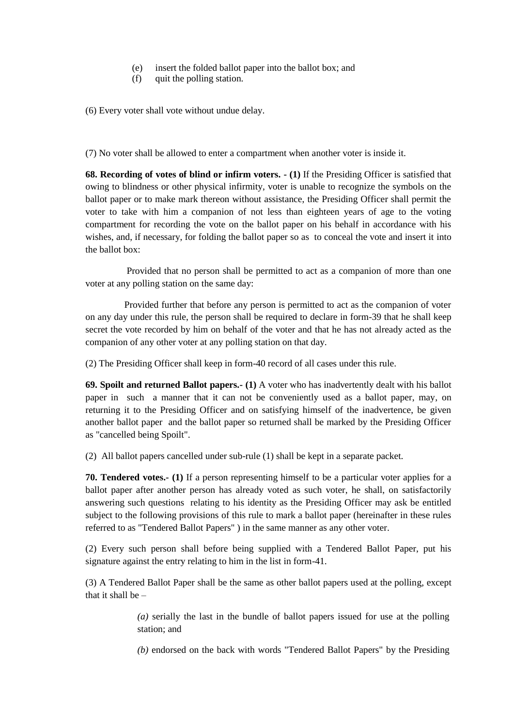- (e) insert the folded ballot paper into the ballot box; and
- (f) quit the polling station.

(6) Every voter shall vote without undue delay.

(7) No voter shall be allowed to enter a compartment when another voter is inside it.

**68. Recording of votes of blind or infirm voters. - (1)** If the Presiding Officer is satisfied that owing to blindness or other physical infirmity, voter is unable to recognize the symbols on the ballot paper or to make mark thereon without assistance, the Presiding Officer shall permit the voter to take with him a companion of not less than eighteen years of age to the voting compartment for recording the vote on the ballot paper on his behalf in accordance with his wishes, and, if necessary, for folding the ballot paper so as to conceal the vote and insert it into the ballot box:

Provided that no person shall be permitted to act as a companion of more than one voter at any polling station on the same day:

Provided further that before any person is permitted to act as the companion of voter on any day under this rule, the person shall be required to declare in form-39 that he shall keep secret the vote recorded by him on behalf of the voter and that he has not already acted as the companion of any other voter at any polling station on that day.

(2) The Presiding Officer shall keep in form-40 record of all cases under this rule.

**69. Spoilt and returned Ballot papers.- (1)** A voter who has inadvertently dealt with his ballot paper in such a manner that it can not be conveniently used as a ballot paper, may, on returning it to the Presiding Officer and on satisfying himself of the inadvertence, be given another ballot paper and the ballot paper so returned shall be marked by the Presiding Officer as "cancelled being Spoilt".

(2) All ballot papers cancelled under sub-rule (1) shall be kept in a separate packet.

**70. Tendered votes.- (1)** If a person representing himself to be a particular voter applies for a ballot paper after another person has already voted as such voter, he shall, on satisfactorily answering such questions relating to his identity as the Presiding Officer may ask be entitled subject to the following provisions of this rule to mark a ballot paper (hereinafter in these rules referred to as "Tendered Ballot Papers" ) in the same manner as any other voter.

(2) Every such person shall before being supplied with a Tendered Ballot Paper, put his signature against the entry relating to him in the list in form-41.

(3) A Tendered Ballot Paper shall be the same as other ballot papers used at the polling, except that it shall be –

> *(a)* serially the last in the bundle of ballot papers issued for use at the polling station; and

> *(b)* endorsed on the back with words "Tendered Ballot Papers" by the Presiding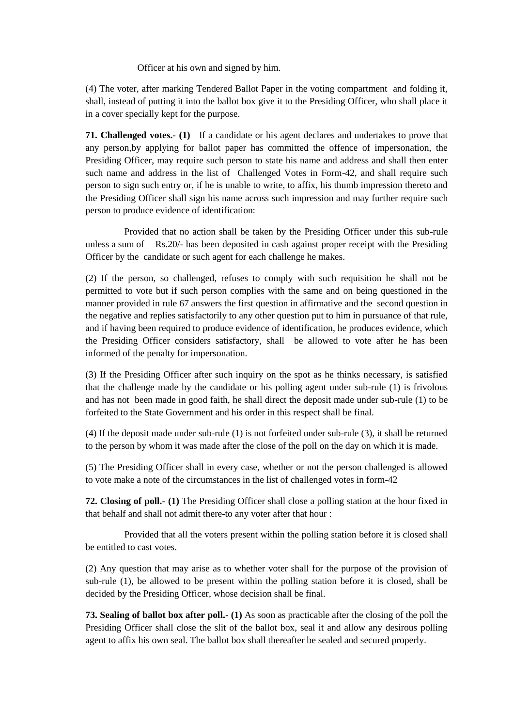Officer at his own and signed by him.

(4) The voter, after marking Tendered Ballot Paper in the voting compartment and folding it, shall, instead of putting it into the ballot box give it to the Presiding Officer, who shall place it in a cover specially kept for the purpose.

**71. Challenged votes.- (1)** If a candidate or his agent declares and undertakes to prove that any person,by applying for ballot paper has committed the offence of impersonation, the Presiding Officer, may require such person to state his name and address and shall then enter such name and address in the list of Challenged Votes in Form-42, and shall require such person to sign such entry or, if he is unable to write, to affix, his thumb impression thereto and the Presiding Officer shall sign his name across such impression and may further require such person to produce evidence of identification:

Provided that no action shall be taken by the Presiding Officer under this sub-rule unless a sum of Rs.20/- has been deposited in cash against proper receipt with the Presiding Officer by the candidate or such agent for each challenge he makes.

(2) If the person, so challenged, refuses to comply with such requisition he shall not be permitted to vote but if such person complies with the same and on being questioned in the manner provided in rule 67 answers the first question in affirmative and the second question in the negative and replies satisfactorily to any other question put to him in pursuance of that rule, and if having been required to produce evidence of identification, he produces evidence, which the Presiding Officer considers satisfactory, shall be allowed to vote after he has been informed of the penalty for impersonation.

(3) If the Presiding Officer after such inquiry on the spot as he thinks necessary, is satisfied that the challenge made by the candidate or his polling agent under sub-rule (1) is frivolous and has not been made in good faith, he shall direct the deposit made under sub-rule (1) to be forfeited to the State Government and his order in this respect shall be final.

(4) If the deposit made under sub-rule (1) is not forfeited under sub-rule (3), it shall be returned to the person by whom it was made after the close of the poll on the day on which it is made.

(5) The Presiding Officer shall in every case, whether or not the person challenged is allowed to vote make a note of the circumstances in the list of challenged votes in form-42

**72. Closing of poll.- (1)** The Presiding Officer shall close a polling station at the hour fixed in that behalf and shall not admit there-to any voter after that hour :

Provided that all the voters present within the polling station before it is closed shall be entitled to cast votes.

(2) Any question that may arise as to whether voter shall for the purpose of the provision of sub-rule (1), be allowed to be present within the polling station before it is closed, shall be decided by the Presiding Officer, whose decision shall be final.

**73. Sealing of ballot box after poll.- (1)** As soon as practicable after the closing of the poll the Presiding Officer shall close the slit of the ballot box, seal it and allow any desirous polling agent to affix his own seal. The ballot box shall thereafter be sealed and secured properly.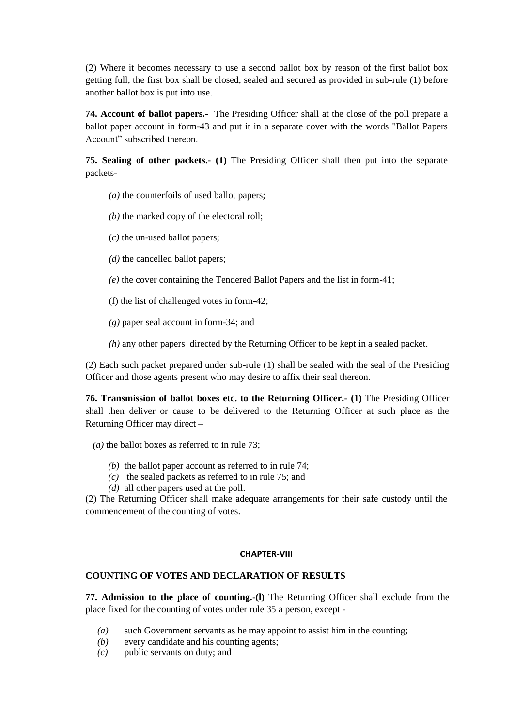(2) Where it becomes necessary to use a second ballot box by reason of the first ballot box getting full, the first box shall be closed, sealed and secured as provided in sub-rule (1) before another ballot box is put into use.

**74. Account of ballot papers.-** The Presiding Officer shall at the close of the poll prepare a ballot paper account in form-43 and put it in a separate cover with the words "Ballot Papers Account" subscribed thereon.

**75. Sealing of other packets.- (1)** The Presiding Officer shall then put into the separate packets-

- *(a)* the counterfoils of used ballot papers;
- *(b)* the marked copy of the electoral roll;
- (*c)* the un-used ballot papers;
- *(d)* the cancelled ballot papers;
- *(e)* the cover containing the Tendered Ballot Papers and the list in form-41;
- (f) the list of challenged votes in form-42;
- *(g)* paper seal account in form-34; and
- *(h)* any other papers directed by the Returning Officer to be kept in a sealed packet.

(2) Each such packet prepared under sub-rule (1) shall be sealed with the seal of the Presiding Officer and those agents present who may desire to affix their seal thereon.

**76. Transmission of ballot boxes etc. to the Returning Officer.- (1)** The Presiding Officer shall then deliver or cause to be delivered to the Returning Officer at such place as the Returning Officer may direct –

- *(a)* the ballot boxes as referred to in rule 73;
	- *(b)* the ballot paper account as referred to in rule 74;
	- *(c)* the sealed packets as referred to in rule 75; and
	- *(d)* all other papers used at the poll.

(2) The Returning Officer shall make adequate arrangements for their safe custody until the commencement of the counting of votes.

#### **CHAPTER-VIII**

#### **COUNTING OF VOTES AND DECLARATION OF RESULTS**

**77. Admission to the place of counting.-(l)** The Returning Officer shall exclude from the place fixed for the counting of votes under rule 35 a person, except -

- *(a)* such Government servants as he may appoint to assist him in the counting;
- *(b)* every candidate and his counting agents;
- *(c)* public servants on duty; and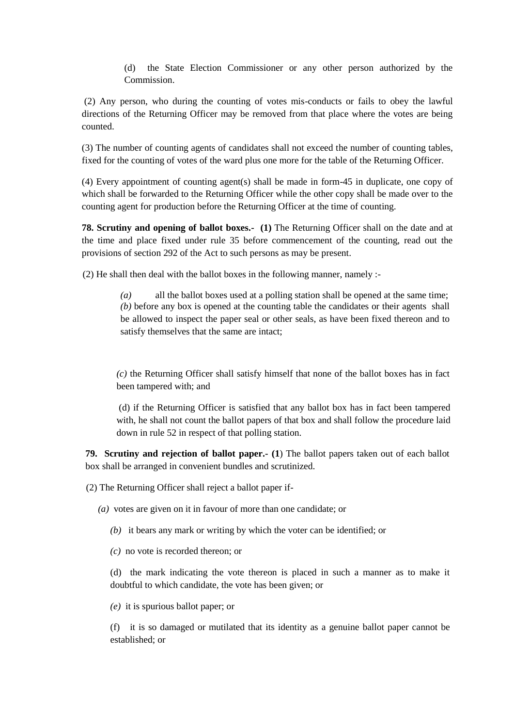(d) the State Election Commissioner or any other person authorized by the Commission.

(2) Any person, who during the counting of votes mis-conducts or fails to obey the lawful directions of the Returning Officer may be removed from that place where the votes are being counted.

(3) The number of counting agents of candidates shall not exceed the number of counting tables, fixed for the counting of votes of the ward plus one more for the table of the Returning Officer.

(4) Every appointment of counting agent(s) shall be made in form-45 in duplicate, one copy of which shall be forwarded to the Returning Officer while the other copy shall be made over to the counting agent for production before the Returning Officer at the time of counting.

**78. Scrutiny and opening of ballot boxes.- (1)** The Returning Officer shall on the date and at the time and place fixed under rule 35 before commencement of the counting, read out the provisions of section 292 of the Act to such persons as may be present.

(2) He shall then deal with the ballot boxes in the following manner, namely :-

*(a)* all the ballot boxes used at a polling station shall be opened at the same time; *(b)* before any box is opened at the counting table the candidates or their agents shall be allowed to inspect the paper seal or other seals, as have been fixed thereon and to satisfy themselves that the same are intact;

*(c)* the Returning Officer shall satisfy himself that none of the ballot boxes has in fact been tampered with; and

(d) if the Returning Officer is satisfied that any ballot box has in fact been tampered with, he shall not count the ballot papers of that box and shall follow the procedure laid down in rule 52 in respect of that polling station.

**79. Scrutiny and rejection of ballot paper.- (1**) The ballot papers taken out of each ballot box shall be arranged in convenient bundles and scrutinized.

(2) The Returning Officer shall reject a ballot paper if-

 *(a)* votes are given on it in favour of more than one candidate; or

- *(b)* it bears any mark or writing by which the voter can be identified; or
- *(c)* no vote is recorded thereon; or

(d) the mark indicating the vote thereon is placed in such a manner as to make it doubtful to which candidate, the vote has been given; or

*(e)* it is spurious ballot paper; or

(f) it is so damaged or mutilated that its identity as a genuine ballot paper cannot be established; or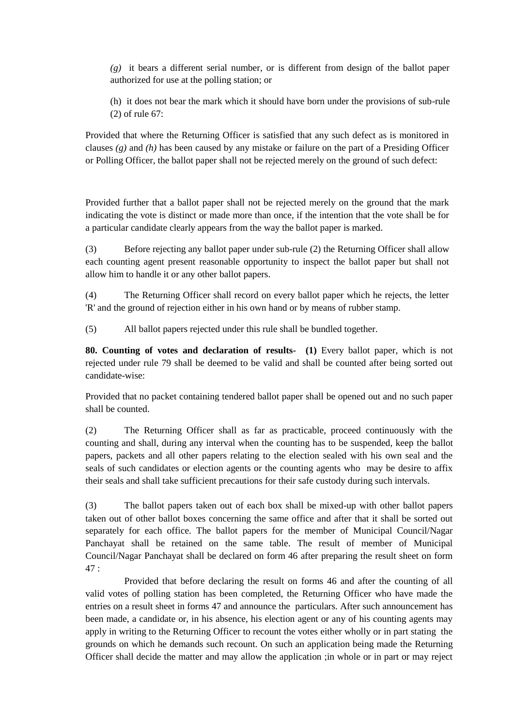*(g)* it bears a different serial number, or is different from design of the ballot paper authorized for use at the polling station; or

(h) it does not bear the mark which it should have born under the provisions of sub-rule (2) of rule 67:

Provided that where the Returning Officer is satisfied that any such defect as is monitored in clauses *(g)* and *(h)* has been caused by any mistake or failure on the part of a Presiding Officer or Polling Officer, the ballot paper shall not be rejected merely on the ground of such defect:

Provided further that a ballot paper shall not be rejected merely on the ground that the mark indicating the vote is distinct or made more than once, if the intention that the vote shall be for a particular candidate clearly appears from the way the ballot paper is marked.

(3) Before rejecting any ballot paper under sub-rule (2) the Returning Officer shall allow each counting agent present reasonable opportunity to inspect the ballot paper but shall not allow him to handle it or any other ballot papers.

(4) The Returning Officer shall record on every ballot paper which he rejects, the letter 'R' and the ground of rejection either in his own hand or by means of rubber stamp.

(5) All ballot papers rejected under this rule shall be bundled together.

**80. Counting of votes and declaration of results- (1)** Every ballot paper, which is not rejected under rule 79 shall be deemed to be valid and shall be counted after being sorted out candidate-wise:

Provided that no packet containing tendered ballot paper shall be opened out and no such paper shall be counted.

(2) The Returning Officer shall as far as practicable, proceed continuously with the counting and shall, during any interval when the counting has to be suspended, keep the ballot papers, packets and all other papers relating to the election sealed with his own seal and the seals of such candidates or election agents or the counting agents who may be desire to affix their seals and shall take sufficient precautions for their safe custody during such intervals.

(3) The ballot papers taken out of each box shall be mixed-up with other ballot papers taken out of other ballot boxes concerning the same office and after that it shall be sorted out separately for each office. The ballot papers for the member of Municipal Council/Nagar Panchayat shall be retained on the same table. The result of member of Municipal Council/Nagar Panchayat shall be declared on form 46 after preparing the result sheet on form 47 :

Provided that before declaring the result on forms 46 and after the counting of all valid votes of polling station has been completed, the Returning Officer who have made the entries on a result sheet in forms 47 and announce the particulars. After such announcement has been made, a candidate or, in his absence, his election agent or any of his counting agents may apply in writing to the Returning Officer to recount the votes either wholly or in part stating the grounds on which he demands such recount. On such an application being made the Returning Officer shall decide the matter and may allow the application ;in whole or in part or may reject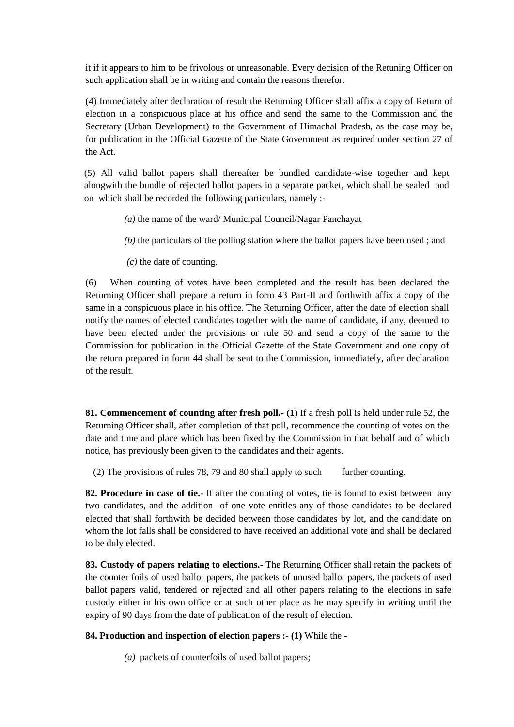it if it appears to him to be frivolous or unreasonable. Every decision of the Retuning Officer on such application shall be in writing and contain the reasons therefor.

(4) Immediately after declaration of result the Returning Officer shall affix a copy of Return of election in a conspicuous place at his office and send the same to the Commission and the Secretary (Urban Development) to the Government of Himachal Pradesh, as the case may be, for publication in the Official Gazette of the State Government as required under section 27 of the Act.

(5) All valid ballot papers shall thereafter be bundled candidate-wise together and kept alongwith the bundle of rejected ballot papers in a separate packet, which shall be sealed and on which shall be recorded the following particulars, namely :-

*(a)* the name of the ward/ Municipal Council/Nagar Panchayat

*(b)* the particulars of the polling station where the ballot papers have been used ; and

*(c)* the date of counting.

(6) When counting of votes have been completed and the result has been declared the Returning Officer shall prepare a return in form 43 Part-II and forthwith affix a copy of the same in a conspicuous place in his office. The Returning Officer, after the date of election shall notify the names of elected candidates together with the name of candidate, if any, deemed to have been elected under the provisions or rule 50 and send a copy of the same to the Commission for publication in the Official Gazette of the State Government and one copy of the return prepared in form 44 shall be sent to the Commission, immediately, after declaration of the result.

**81. Commencement of counting after fresh poll.-** (1) If a fresh poll is held under rule 52, the Returning Officer shall, after completion of that poll, recommence the counting of votes on the date and time and place which has been fixed by the Commission in that behalf and of which notice, has previously been given to the candidates and their agents.

(2) The provisions of rules 78, 79 and 80 shall apply to such further counting.

**82. Procedure in case of tie.-** If after the counting of votes, tie is found to exist between any two candidates, and the addition of one vote entitles any of those candidates to be declared elected that shall forthwith be decided between those candidates by lot, and the candidate on whom the lot falls shall be considered to have received an additional vote and shall be declared to be duly elected.

**83. Custody of papers relating to elections.-** The Returning Officer shall retain the packets of the counter foils of used ballot papers, the packets of unused ballot papers, the packets of used ballot papers valid, tendered or rejected and all other papers relating to the elections in safe custody either in his own office or at such other place as he may specify in writing until the expiry of 90 days from the date of publication of the result of election.

**84. Production and inspection of election papers :- (1)** While the -

*(a)* packets of counterfoils of used ballot papers;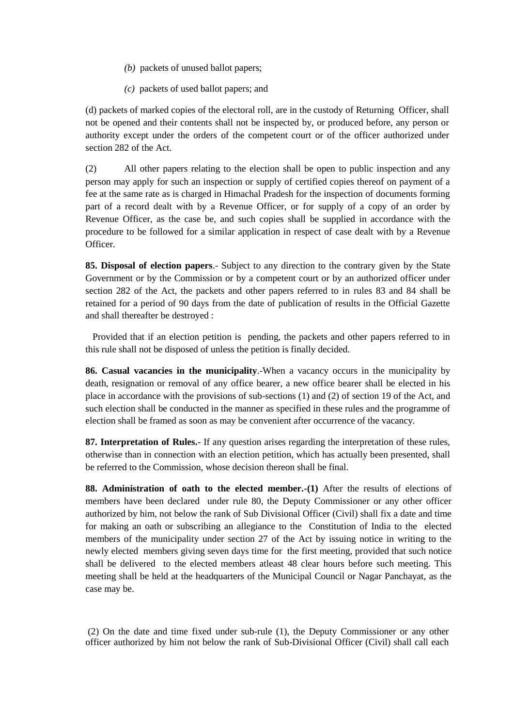- *(b)* packets of unused ballot papers;
- *(c)* packets of used ballot papers; and

(d) packets of marked copies of the electoral roll, are in the custody of Returning Officer, shall not be opened and their contents shall not be inspected by, or produced before, any person or authority except under the orders of the competent court or of the officer authorized under section 282 of the Act.

(2) All other papers relating to the election shall be open to public inspection and any person may apply for such an inspection or supply of certified copies thereof on payment of a fee at the same rate as is charged in Himachal Pradesh for the inspection of documents forming part of a record dealt with by a Revenue Officer, or for supply of a copy of an order by Revenue Officer, as the case be, and such copies shall be supplied in accordance with the procedure to be followed for a similar application in respect of case dealt with by a Revenue Officer.

**85. Disposal of election papers**.- Subject to any direction to the contrary given by the State Government or by the Commission or by a competent court or by an authorized officer under section 282 of the Act, the packets and other papers referred to in rules 83 and 84 shall be retained for a period of 90 days from the date of publication of results in the Official Gazette and shall thereafter be destroyed :

 Provided that if an election petition is pending, the packets and other papers referred to in this rule shall not be disposed of unless the petition is finally decided.

**86. Casual vacancies in the municipality**.-When a vacancy occurs in the municipality by death, resignation or removal of any office bearer, a new office bearer shall be elected in his place in accordance with the provisions of sub-sections (1) and (2) of section 19 of the Act, and such election shall be conducted in the manner as specified in these rules and the programme of election shall be framed as soon as may be convenient after occurrence of the vacancy.

**87. Interpretation of Rules.-** If any question arises regarding the interpretation of these rules, otherwise than in connection with an election petition, which has actually been presented, shall be referred to the Commission, whose decision thereon shall be final.

**88. Administration of oath to the elected member.-(1)** After the results of elections of members have been declared under rule 80, the Deputy Commissioner or any other officer authorized by him, not below the rank of Sub Divisional Officer (Civil) shall fix a date and time for making an oath or subscribing an allegiance to the Constitution of India to the elected members of the municipality under section 27 of the Act by issuing notice in writing to the newly elected members giving seven days time for the first meeting, provided that such notice shall be delivered to the elected members atleast 48 clear hours before such meeting. This meeting shall be held at the headquarters of the Municipal Council or Nagar Panchayat, as the case may be.

(2) On the date and time fixed under sub-rule (1), the Deputy Commissioner or any other officer authorized by him not below the rank of Sub-Divisional Officer (Civil) shall call each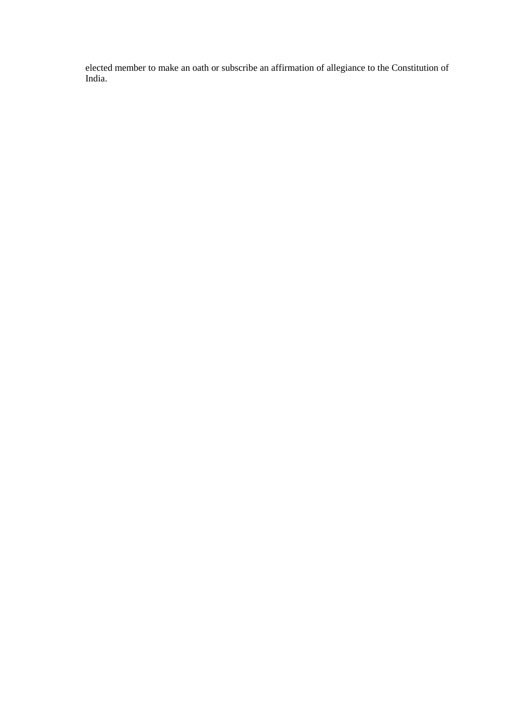elected member to make an oath or subscribe an affirmation of allegiance to the Constitution of India.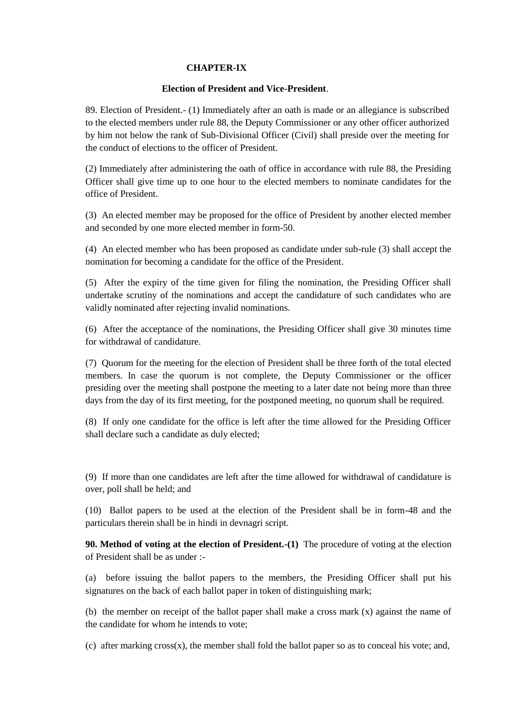#### **CHAPTER-IX**

#### **Election of President and Vice-President**.

89. Election of President.- (1) Immediately after an oath is made or an allegiance is subscribed to the elected members under rule 88, the Deputy Commissioner or any other officer authorized by him not below the rank of Sub-Divisional Officer (Civil) shall preside over the meeting for the conduct of elections to the officer of President.

(2) Immediately after administering the oath of office in accordance with rule 88, the Presiding Officer shall give time up to one hour to the elected members to nominate candidates for the office of President.

(3) An elected member may be proposed for the office of President by another elected member and seconded by one more elected member in form-50.

(4) An elected member who has been proposed as candidate under sub-rule (3) shall accept the nomination for becoming a candidate for the office of the President.

(5) After the expiry of the time given for filing the nomination, the Presiding Officer shall undertake scrutiny of the nominations and accept the candidature of such candidates who are validly nominated after rejecting invalid nominations.

(6) After the acceptance of the nominations, the Presiding Officer shall give 30 minutes time for withdrawal of candidature.

(7) Quorum for the meeting for the election of President shall be three forth of the total elected members. In case the quorum is not complete, the Deputy Commissioner or the officer presiding over the meeting shall postpone the meeting to a later date not being more than three days from the day of its first meeting, for the postponed meeting, no quorum shall be required.

(8) If only one candidate for the office is left after the time allowed for the Presiding Officer shall declare such a candidate as duly elected;

(9) If more than one candidates are left after the time allowed for withdrawal of candidature is over, poll shall be held; and

(10) Ballot papers to be used at the election of the President shall be in form-48 and the particulars therein shall be in hindi in devnagri script.

**90. Method of voting at the election of President.-(1)** The procedure of voting at the election of President shall be as under :-

(a) before issuing the ballot papers to the members, the Presiding Officer shall put his signatures on the back of each ballot paper in token of distinguishing mark;

(b) the member on receipt of the ballot paper shall make a cross mark (x) against the name of the candidate for whom he intends to vote;

(c) after marking  $\cos(x)$ , the member shall fold the ballot paper so as to conceal his vote; and,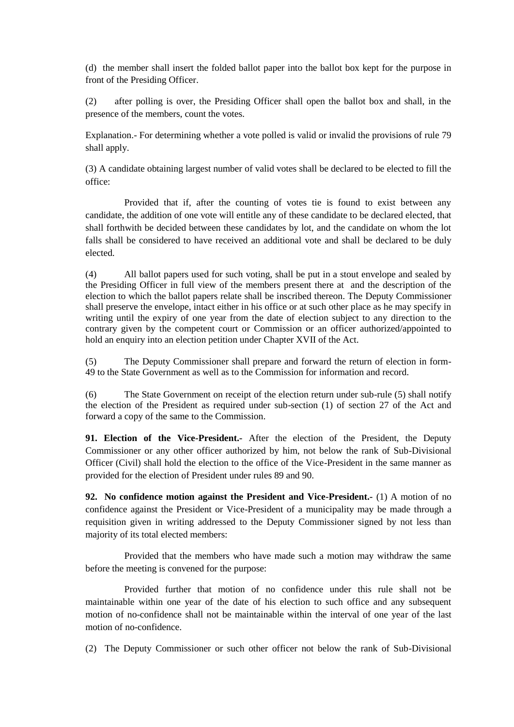(d) the member shall insert the folded ballot paper into the ballot box kept for the purpose in front of the Presiding Officer.

(2) after polling is over, the Presiding Officer shall open the ballot box and shall, in the presence of the members, count the votes.

Explanation.- For determining whether a vote polled is valid or invalid the provisions of rule 79 shall apply.

(3) A candidate obtaining largest number of valid votes shall be declared to be elected to fill the office:

Provided that if, after the counting of votes tie is found to exist between any candidate, the addition of one vote will entitle any of these candidate to be declared elected, that shall forthwith be decided between these candidates by lot, and the candidate on whom the lot falls shall be considered to have received an additional vote and shall be declared to be duly elected.

(4) All ballot papers used for such voting, shall be put in a stout envelope and sealed by the Presiding Officer in full view of the members present there at and the description of the election to which the ballot papers relate shall be inscribed thereon. The Deputy Commissioner shall preserve the envelope, intact either in his office or at such other place as he may specify in writing until the expiry of one year from the date of election subject to any direction to the contrary given by the competent court or Commission or an officer authorized/appointed to hold an enquiry into an election petition under Chapter XVII of the Act.

(5) The Deputy Commissioner shall prepare and forward the return of election in form-49 to the State Government as well as to the Commission for information and record.

(6) The State Government on receipt of the election return under sub-rule (5) shall notify the election of the President as required under sub-section (1) of section 27 of the Act and forward a copy of the same to the Commission.

**91. Election of the Vice-President.-** After the election of the President, the Deputy Commissioner or any other officer authorized by him, not below the rank of Sub-Divisional Officer (Civil) shall hold the election to the office of the Vice-President in the same manner as provided for the election of President under rules 89 and 90.

**92. No confidence motion against the President and Vice-President.-** (1) A motion of no confidence against the President or Vice-President of a municipality may be made through a requisition given in writing addressed to the Deputy Commissioner signed by not less than majority of its total elected members:

Provided that the members who have made such a motion may withdraw the same before the meeting is convened for the purpose:

Provided further that motion of no confidence under this rule shall not be maintainable within one year of the date of his election to such office and any subsequent motion of no-confidence shall not be maintainable within the interval of one year of the last motion of no-confidence.

(2) The Deputy Commissioner or such other officer not below the rank of Sub-Divisional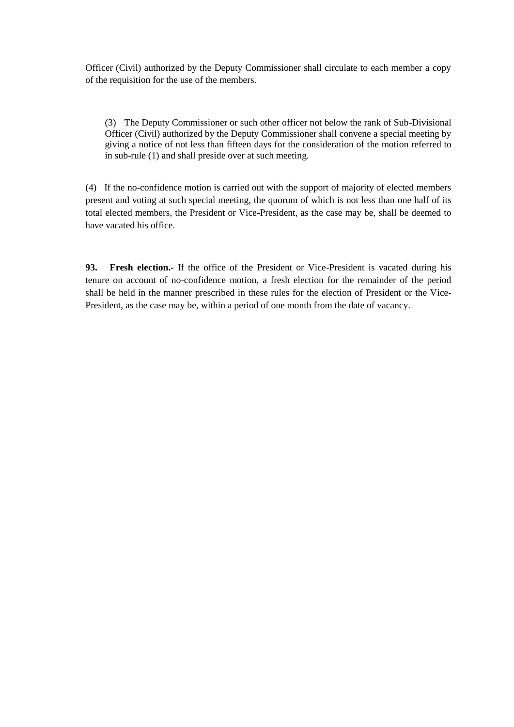Officer (Civil) authorized by the Deputy Commissioner shall circulate to each member a copy of the requisition for the use of the members.

(3) The Deputy Commissioner or such other officer not below the rank of Sub-Divisional Officer (Civil) authorized by the Deputy Commissioner shall convene a special meeting by giving a notice of not less than fifteen days for the consideration of the motion referred to in sub-rule (1) and shall preside over at such meeting.

(4) If the no-confidence motion is carried out with the support of majority of elected members present and voting at such special meeting, the quorum of which is not less than one half of its total elected members, the President or Vice-President, as the case may be, shall be deemed to have vacated his office.

**93. Fresh election.-** If the office of the President or Vice-President is vacated during his tenure on account of no-confidence motion, a fresh election for the remainder of the period shall be held in the manner prescribed in these rules for the election of President or the Vice-President, as the case may be, within a period of one month from the date of vacancy.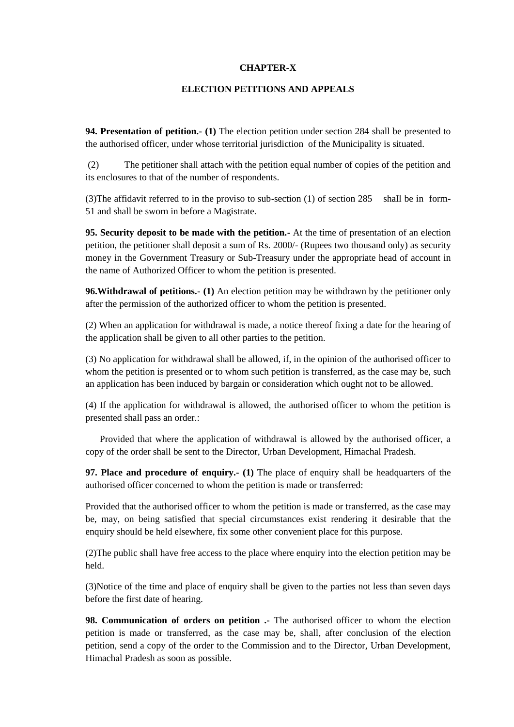#### **CHAPTER-X**

### **ELECTION PETITIONS AND APPEALS**

**94. Presentation of petition.- (1)** The election petition under section 284 shall be presented to the authorised officer, under whose territorial jurisdiction of the Municipality is situated.

(2) The petitioner shall attach with the petition equal number of copies of the petition and its enclosures to that of the number of respondents.

(3)The affidavit referred to in the proviso to sub-section (1) of section 285 shaIl be in form-51 and shall be sworn in before a Magistrate.

**95. Security deposit to be made with the petition.-** At the time of presentation of an election petition, the petitioner shall deposit a sum of Rs. 2000/- (Rupees two thousand only) as security money in the Government Treasury or Sub-Treasury under the appropriate head of account in the name of Authorized Officer to whom the petition is presented.

**96.Withdrawal of petitions.- (1)** An election petition may be withdrawn by the petitioner only after the permission of the authorized officer to whom the petition is presented.

(2) When an application for withdrawal is made, a notice thereof fixing a date for the hearing of the application shall be given to all other parties to the petition.

(3) No application for withdrawal shall be allowed, if, in the opinion of the authorised officer to whom the petition is presented or to whom such petition is transferred, as the case may be, such an application has been induced by bargain or consideration which ought not to be allowed.

(4) If the application for withdrawal is allowed, the authorised officer to whom the petition is presented shall pass an order.:

 Provided that where the application of withdrawal is allowed by the authorised officer, a copy of the order shall be sent to the Director, Urban Development, Himachal Pradesh.

**97. Place and procedure of enquiry.- (1)** The place of enquiry shall be headquarters of the authorised officer concerned to whom the petition is made or transferred:

Provided that the authorised officer to whom the petition is made or transferred, as the case may be, may, on being satisfied that special circumstances exist rendering it desirable that the enquiry should be held elsewhere, fix some other convenient place for this purpose.

(2)The public shall have free access to the place where enquiry into the election petition may be held.

(3)Notice of the time and place of enquiry shall be given to the parties not less than seven days before the first date of hearing.

**98. Communication of orders on petition .-** The authorised officer to whom the election petition is made or transferred, as the case may be, shall, after conclusion of the election petition, send a copy of the order to the Commission and to the Director, Urban Development, Himachal Pradesh as soon as possible.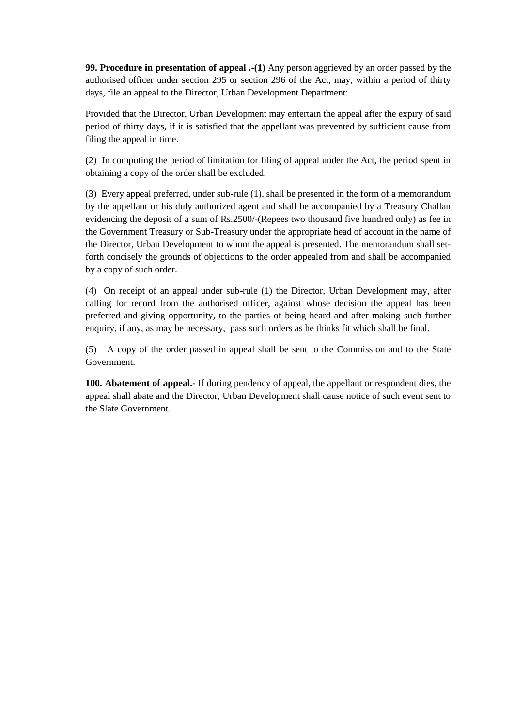**99. Procedure in presentation of appeal .-(1)** Any person aggrieved by an order passed by the authorised officer under section 295 or section 296 of the Act, may, within a period of thirty days, file an appeal to the Director, Urban Development Department:

Provided that the Director, Urban Development may entertain the appeal after the expiry of said period of thirty days, if it is satisfied that the appellant was prevented by sufficient cause from filing the appeal in time.

(2) In computing the period of limitation for filing of appeal under the Act, the period spent in obtaining a copy of the order shall be excluded.

(3) Every appeal preferred, under sub-rule (1), shall be presented in the form of a memorandum by the appellant or his duly authorized agent and shall be accompanied by a Treasury Challan evidencing the deposit of a sum of Rs.2500/-(Repees two thousand five hundred only) as fee in the Government Treasury or Sub-Treasury under the appropriate head of account in the name of the Director, Urban Development to whom the appeal is presented. The memorandum shall setforth concisely the grounds of objections to the order appealed from and shall be accompanied by a copy of such order.

(4) On receipt of an appeal under sub-rule (1) the Director, Urban Development may, after calling for record from the authorised officer, against whose decision the appeal has been preferred and giving opportunity*,* to the parties of being heard and after making such further enquiry, if any, as may be necessary, pass such orders as he thinks fit which shall be final.

(5) A copy of the order passed in appeal shall be sent to the Commission and to the State Government.

**100. Abatement of appeal.-** If during pendency of appeal, the appellant or respondent dies, the appeal shall abate and the Director, Urban Development shall cause notice of such event sent to the Slate Government.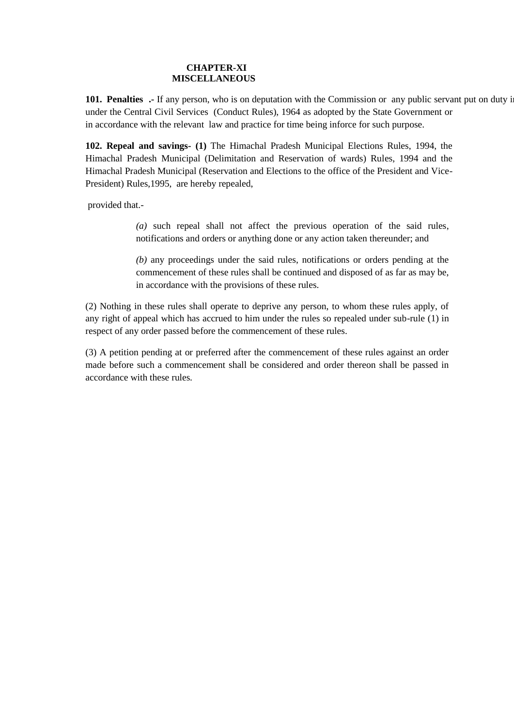### **CHAPTER-XI MISCELLANEOUS**

101. Penalties .- If any person, who is on deputation with the Commission or any public servant put on duty i under the Central Civil Services (Conduct Rules), 1964 as adopted by the State Government or in accordance with the relevant law and practice for time being inforce for such purpose.

**102. Repeal and savings- (1)** The Himachal Pradesh Municipal Elections Rules, 1994, the Himachal Pradesh Municipal (Delimitation and Reservation of wards) Rules, 1994 and the Himachal Pradesh Municipal (Reservation and Elections to the office of the President and Vice-President) Rules,1995, are hereby repealed,

provided that.-

*(a)* such repeal shall not affect the previous operation of the said rules, notifications and orders or anything done or any action taken thereunder; and

*(b)* any proceedings under the said rules, notifications or orders pending at the commencement of these rules shall be continued and disposed of as far as may be, in accordance with the provisions of these rules.

(2) Nothing in these rules shall operate to deprive any person, to whom these rules apply, of any right of appeal which has accrued to him under the rules so repealed under sub-rule (1) in respect of any order passed before the commencement of these rules.

(3) A petition pending at or preferred after the commencement of these rules against an order made before such a commencement shall be considered and order thereon shall be passed in accordance with these rules.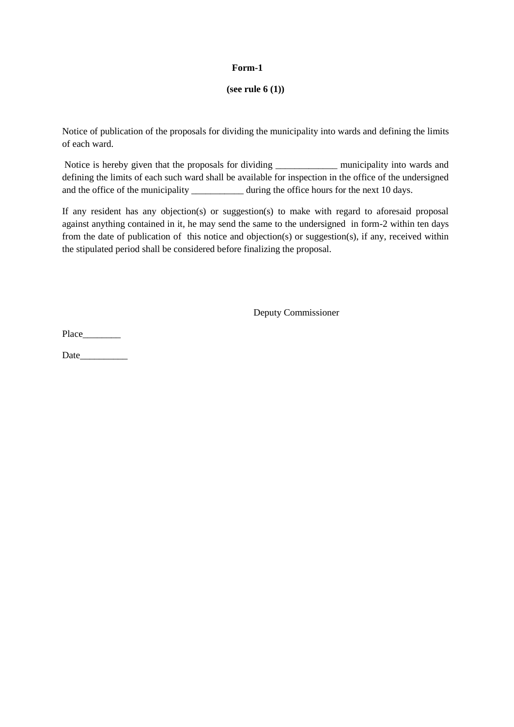### **Form-1**

## **(see rule 6 (1))**

Notice of publication of the proposals for dividing the municipality into wards and defining the limits of each ward.

Notice is hereby given that the proposals for dividing \_\_\_\_\_\_\_\_\_\_\_\_\_ municipality into wards and defining the limits of each such ward shall be available for inspection in the office of the undersigned and the office of the municipality \_\_\_\_\_\_\_\_\_\_\_\_ during the office hours for the next 10 days.

If any resident has any objection(s) or suggestion(s) to make with regard to aforesaid proposal against anything contained in it, he may send the same to the undersigned in form-2 within ten days from the date of publication of this notice and objection(s) or suggestion(s), if any, received within the stipulated period shall be considered before finalizing the proposal.

Deputy Commissioner

Place\_\_\_\_\_\_\_\_

Date\_\_\_\_\_\_\_\_\_\_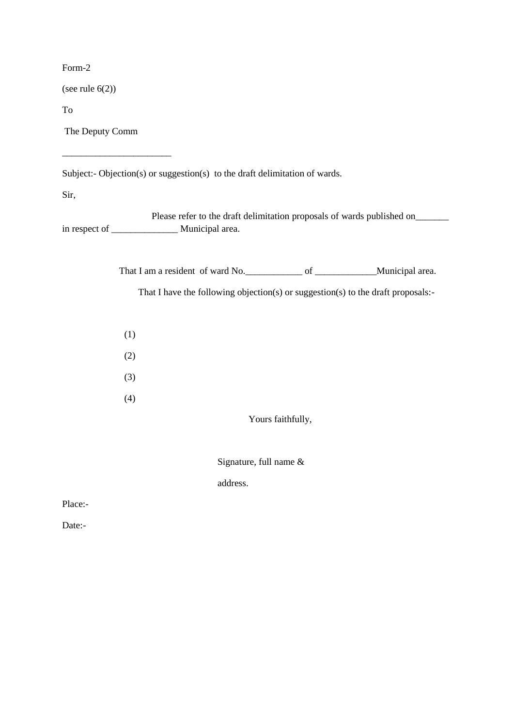Form-2

(see rule 6(2))

To

The Deputy Comm

\_\_\_\_\_\_\_\_\_\_\_\_\_\_\_\_\_\_\_\_\_\_\_

Subject:- Objection(s) or suggestion(s) to the draft delimitation of wards.

Sir,

Please refer to the draft delimitation proposals of wards published on\_\_\_\_\_\_\_\_\_ in respect of \_\_\_\_\_\_\_\_\_\_\_\_\_\_ Municipal area.

That I am a resident of ward No.  $\qquad \qquad$  of  $\qquad \qquad$  Municipal area.

That I have the following objection(s) or suggestion(s) to the draft proposals:-

(1) (2) (3) (4)

Yours faithfully,

Signature, full name &

address.

Place:-

Date:-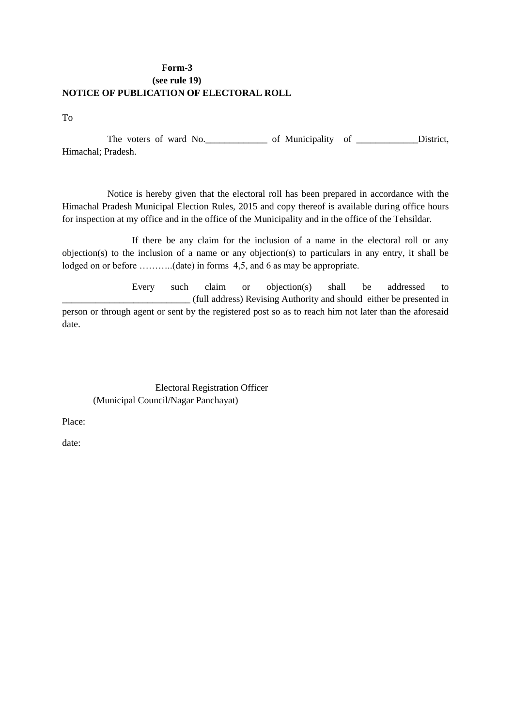## **Form-3 (see rule 19) NOTICE OF PUBLICATION OF ELECTORAL ROLL**

To

The voters of ward No. Himachal; Pradesh.

 Notice is hereby given that the electoral roll has been prepared in accordance with the Himachal Pradesh Municipal Election Rules, 2015 and copy thereof is available during office hours for inspection at my office and in the office of the Municipality and in the office of the Tehsildar.

If there be any claim for the inclusion of a name in the electoral roll or any objection(s) to the inclusion of a name or any objection(s) to particulars in any entry, it shall be lodged on or before ………..(date) in forms 4,5, and 6 as may be appropriate.

Every such claim or objection(s) shall be addressed to \_\_\_\_\_\_\_\_\_\_\_\_\_\_\_\_\_\_\_\_\_\_\_\_\_\_\_ (full address) Revising Authority and should either be presented in person or through agent or sent by the registered post so as to reach him not later than the aforesaid date.

 Electoral Registration Officer (Municipal Council/Nagar Panchayat)

Place:

date: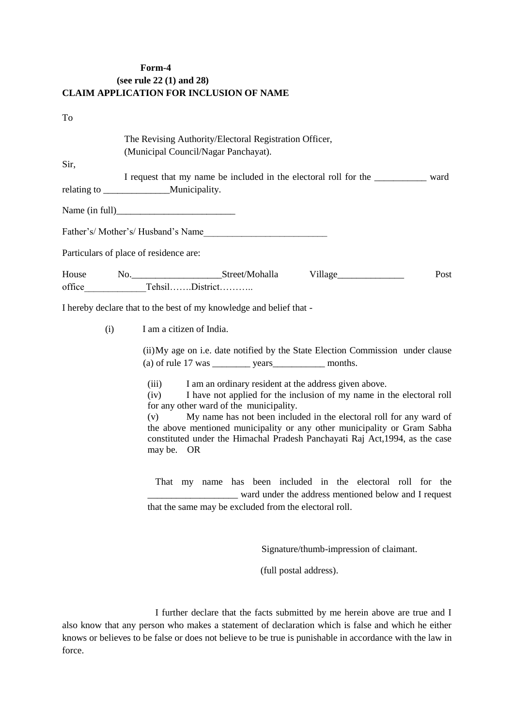### **Form-4 (see rule 22 (1) and 28) CLAIM APPLICATION FOR INCLUSION OF NAME**

| 전 사<br>I<br>×<br>M.<br>۰. |
|---------------------------|
|                           |

|      | The Revising Authority/Electoral Registration Officer,<br>(Municipal Council/Nagar Panchayat). |      |
|------|------------------------------------------------------------------------------------------------|------|
| Sir, | I request that my name be included in the electoral roll for the _______________               | ward |
|      |                                                                                                |      |
|      |                                                                                                |      |
|      | Father's/ Mother's/ Husband's Name                                                             |      |
|      | Particulars of place of residence are:                                                         |      |
|      | House No. Street/Mohalla Village<br>office TehsilDistrict                                      | Post |
|      | I hereby declare that to the best of my knowledge and belief that -                            |      |
| (i)  | I am a citizen of India.                                                                       |      |

(ii)My age on i.e. date notified by the State Election Commission under clause (a) of rule 17 was vears months.

(iii) I am an ordinary resident at the address given above.

(iv) I have not applied for the inclusion of my name in the electoral roll for any other ward of the municipality.

(v) My name has not been included in the electoral roll for any ward of the above mentioned municipality or any other municipality or Gram Sabha constituted under the Himachal Pradesh Panchayati Raj Act,1994, as the case may be. OR

That my name has been included in the electoral roll for the \_\_\_\_\_\_\_\_\_\_\_\_\_\_\_\_\_\_\_ ward under the address mentioned below and I request that the same may be excluded from the electoral roll.

Signature/thumb-impression of claimant.

(full postal address).

I further declare that the facts submitted by me herein above are true and I also know that any person who makes a statement of declaration which is false and which he either knows or believes to be false or does not believe to be true is punishable in accordance with the law in force.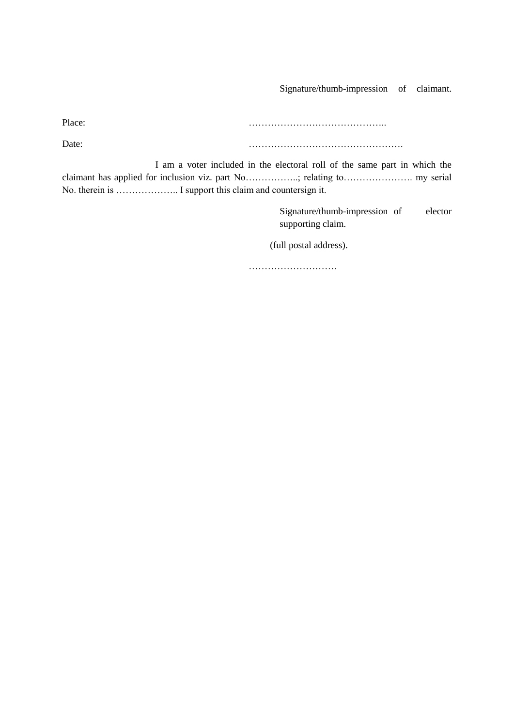Signature/thumb-impression of claimant.

| Place: |  |
|--------|--|
| Date:  |  |

I am a voter included in the electoral roll of the same part in which the claimant has applied for inclusion viz. part No……………..; relating to…………………. my serial No. therein is ……………….. I support this claim and countersign it.

> Signature/thumb-impression of elector supporting claim.

(full postal address).

……………………….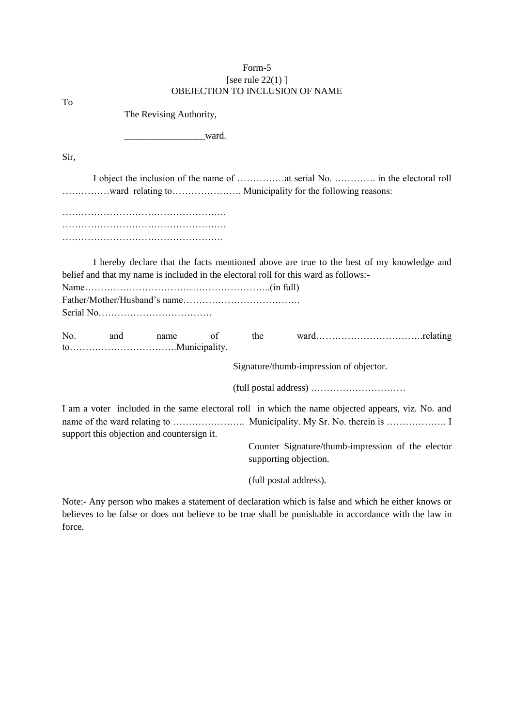|      |     |                                                                                                                                                                                  | [see rule $22(1)$ ] | OBEJECTION TO INCLUSION OF NAME         |                                                   |  |
|------|-----|----------------------------------------------------------------------------------------------------------------------------------------------------------------------------------|---------------------|-----------------------------------------|---------------------------------------------------|--|
| To   |     | The Revising Authority,                                                                                                                                                          |                     |                                         |                                                   |  |
|      |     | <u>ward.</u>                                                                                                                                                                     |                     |                                         |                                                   |  |
| Sir, |     |                                                                                                                                                                                  |                     |                                         |                                                   |  |
|      |     | ward relating to Municipality for the following reasons:                                                                                                                         |                     |                                         |                                                   |  |
|      |     |                                                                                                                                                                                  |                     |                                         |                                                   |  |
|      |     | I hereby declare that the facts mentioned above are true to the best of my knowledge and<br>belief and that my name is included in the electoral roll for this ward as follows:- |                     |                                         |                                                   |  |
|      |     |                                                                                                                                                                                  |                     |                                         |                                                   |  |
| No.  | and | of<br>name                                                                                                                                                                       | the                 |                                         |                                                   |  |
|      |     |                                                                                                                                                                                  |                     | Signature/thumb-impression of objector. |                                                   |  |
|      |     |                                                                                                                                                                                  |                     |                                         |                                                   |  |
|      |     | I am a voter included in the same electoral roll in which the name objected appears, viz. No. and<br>support this objection and countersign it.                                  |                     |                                         |                                                   |  |
|      |     |                                                                                                                                                                                  |                     | supporting objection.                   | Counter Signature/thumb-impression of the elector |  |
|      |     |                                                                                                                                                                                  |                     | (full postal address).                  |                                                   |  |

Form-5

Note:- Any person who makes a statement of declaration which is false and which he either knows or believes to be false or does not believe to be true shall be punishable in accordance with the law in force.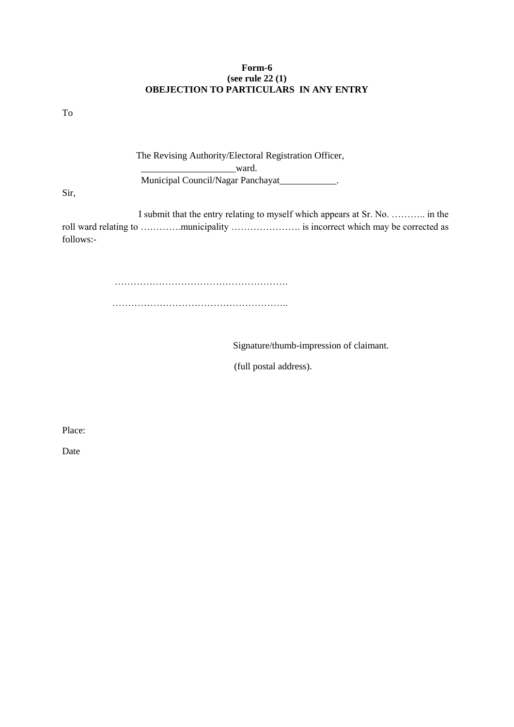### **Form-6 (see rule 22 (1) OBEJECTION TO PARTICULARS IN ANY ENTRY**

To

 The Revising Authority/Electoral Registration Officer, ward.

Municipal Council/Nagar Panchayat\_\_\_\_\_\_\_\_\_\_\_\_.

Sir,

 I submit that the entry relating to myself which appears at Sr. No. ……….. in the roll ward relating to ………….municipality …………………. is incorrect which may be corrected as follows:-

> ………………………………………………. …………………………………………………………

> > Signature/thumb-impression of claimant.

(full postal address).

Place:

Date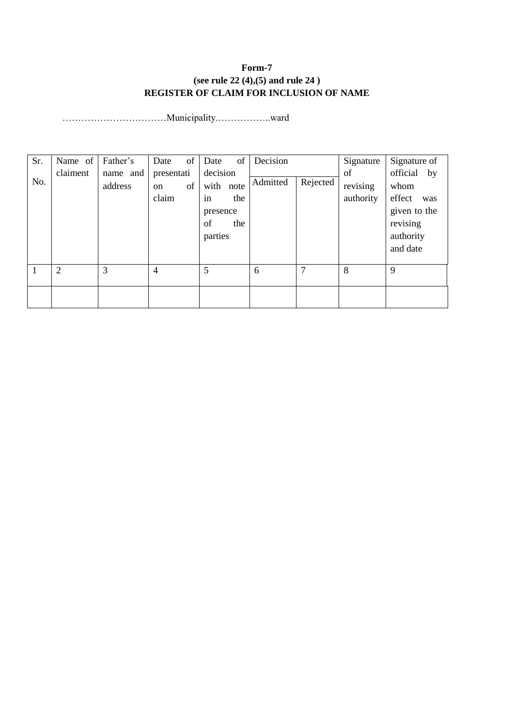# **Form-7 (see rule 22 (4),(5) and rule 24 ) REGISTER OF CLAIM FOR INCLUSION OF NAME**

……………………………Municipality.……………..ward

| Sr. | Name of        | Father's            | of<br>Date                                 | of<br>Date                                                             | Decision |          | Signature                   | Signature of                                                                                 |
|-----|----------------|---------------------|--------------------------------------------|------------------------------------------------------------------------|----------|----------|-----------------------------|----------------------------------------------------------------------------------------------|
| No. | claiment       | name and<br>address | presentati<br>of<br><sub>on</sub><br>claim | decision<br>with note<br>in<br>the<br>presence<br>of<br>the<br>parties | Admitted | Rejected | of<br>revising<br>authority | official<br>by<br>whom<br>effect<br>was<br>given to the<br>revising<br>authority<br>and date |
| 1   | $\overline{2}$ | 3                   | $\overline{4}$                             | 5                                                                      | 6        | 7        | 8                           | 9                                                                                            |
|     |                |                     |                                            |                                                                        |          |          |                             |                                                                                              |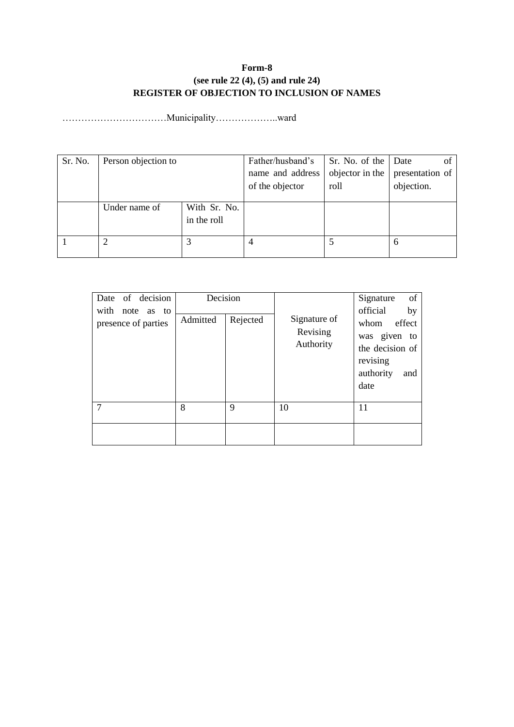## **Form-8 (see rule 22 (4), (5) and rule 24) REGISTER OF OBJECTION TO INCLUSION OF NAMES**

……………………………Municipality………………..ward

| Sr. No. | Person objection to |              | Father/husband's | Sr. No. of the   Date |                 | of |
|---------|---------------------|--------------|------------------|-----------------------|-----------------|----|
|         |                     |              | name and address | objector in the       | presentation of |    |
|         |                     |              | of the objector  | roll                  | objection.      |    |
|         |                     |              |                  |                       |                 |    |
|         | Under name of       | With Sr. No. |                  |                       |                 |    |
|         |                     | in the roll  |                  |                       |                 |    |
|         |                     | 3            | 4                |                       | 6               |    |

| Date of decision                       | Decision |          |                                       | of<br>Signature                                                                                             |
|----------------------------------------|----------|----------|---------------------------------------|-------------------------------------------------------------------------------------------------------------|
| with note as to<br>presence of parties | Admitted | Rejected | Signature of<br>Revising<br>Authority | official<br>by<br>effect<br>whom<br>was given to<br>the decision of<br>revising<br>authority<br>and<br>date |
|                                        | 8        | 9        | 10                                    | 11                                                                                                          |
|                                        |          |          |                                       |                                                                                                             |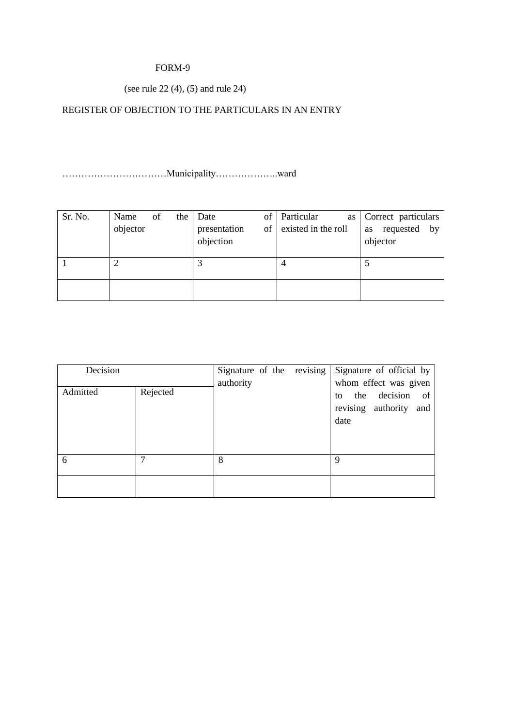## FORM-9

(see rule 22 (4), (5) and rule 24)

# REGISTER OF OBJECTION TO THE PARTICULARS IN AN ENTRY

……………………………Municipality………………..ward

| Sr. No. | Name     | of | the | Date         | of | Particular<br>as    | Correct particulars |
|---------|----------|----|-----|--------------|----|---------------------|---------------------|
|         | objector |    |     | presentation | οf | existed in the roll | requested by<br>as  |
|         |          |    |     | objection    |    |                     | objector            |
|         |          |    |     |              |    |                     |                     |
|         |          |    |     |              |    |                     |                     |
|         |          |    |     |              |    |                     |                     |
|         |          |    |     |              |    |                     |                     |
|         |          |    |     |              |    |                     |                     |

| Decision |          | Signature of the revising | Signature of official by                                                                  |
|----------|----------|---------------------------|-------------------------------------------------------------------------------------------|
| Admitted | Rejected | authority                 | whom effect was given<br>decision<br>the<br>of<br>to<br>revising authority<br>and<br>date |
| 6        |          | 8                         | Q                                                                                         |
|          |          |                           |                                                                                           |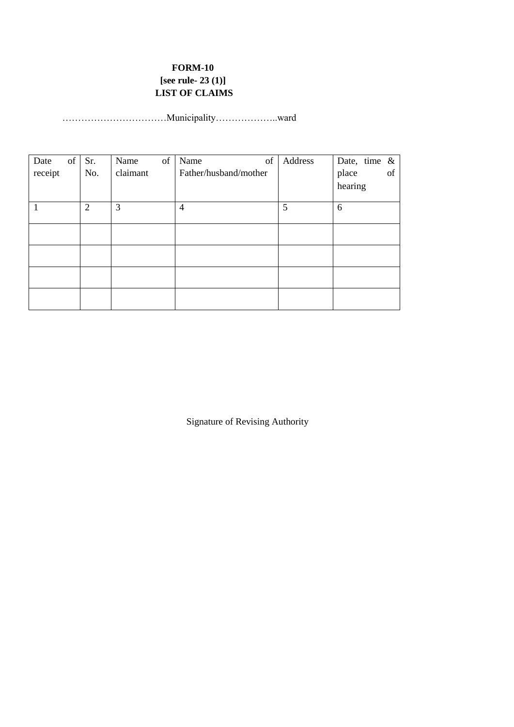## **FORM-10 [see rule- 23 (1)] LIST OF CLAIMS**

……………………………Municipality………………..ward

| of<br>Date | Sr.<br>No. | Name<br>claimant | of | of<br>Name<br>Father/husband/mother | Address | Date, time $\&$<br>of |
|------------|------------|------------------|----|-------------------------------------|---------|-----------------------|
| receipt    |            |                  |    |                                     |         | place<br>hearing      |
|            |            |                  |    |                                     |         |                       |
|            | 2          | 3                |    | $\overline{4}$                      | 5       | 6                     |
|            |            |                  |    |                                     |         |                       |
|            |            |                  |    |                                     |         |                       |
|            |            |                  |    |                                     |         |                       |
|            |            |                  |    |                                     |         |                       |
|            |            |                  |    |                                     |         |                       |
|            |            |                  |    |                                     |         |                       |
|            |            |                  |    |                                     |         |                       |
|            |            |                  |    |                                     |         |                       |

Signature of Revising Authority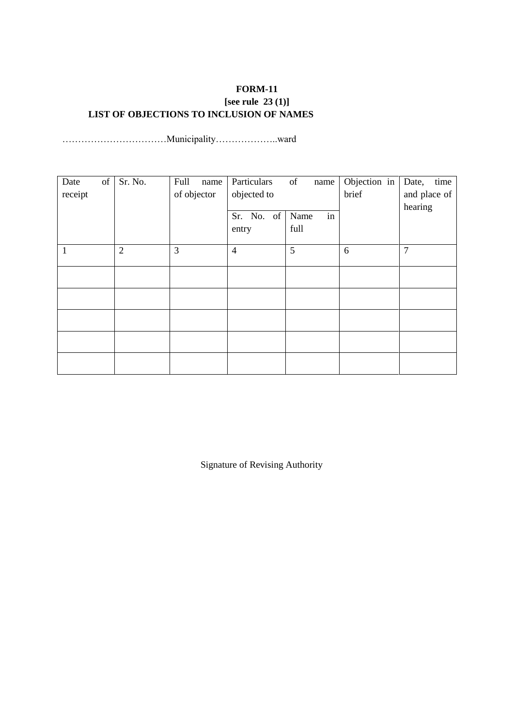## **FORM-11 [see rule 23 (1)] LIST OF OBJECTIONS TO INCLUSION OF NAMES**

……………………………Municipality………………..ward

| of<br>Date<br>receipt | Sr. No.        | Full<br>name<br>of objector | Particulars<br>objected to | of<br>name         | Objection in<br>brief | time<br>Date,<br>and place of<br>hearing |
|-----------------------|----------------|-----------------------------|----------------------------|--------------------|-----------------------|------------------------------------------|
|                       |                |                             | Sr. No. of<br>entry        | in<br>Name<br>full |                       |                                          |
| 1                     | $\overline{2}$ | 3                           | $\overline{4}$             | 5                  | 6                     | 7                                        |
|                       |                |                             |                            |                    |                       |                                          |
|                       |                |                             |                            |                    |                       |                                          |
|                       |                |                             |                            |                    |                       |                                          |
|                       |                |                             |                            |                    |                       |                                          |
|                       |                |                             |                            |                    |                       |                                          |

Signature of Revising Authority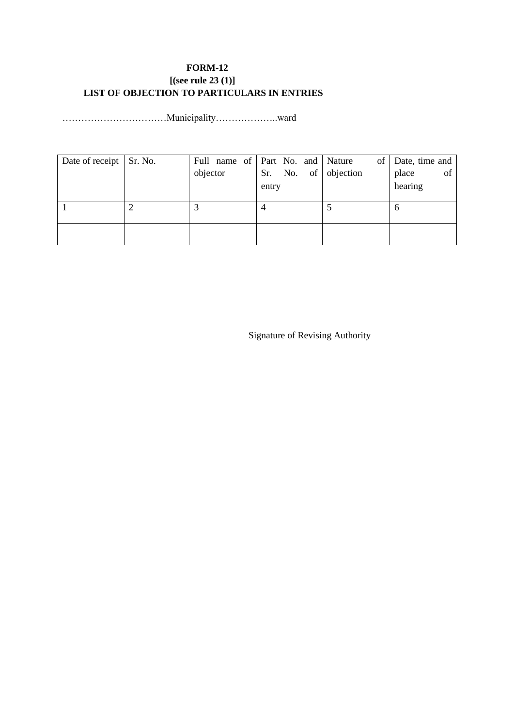# **FORM-12 [(see rule 23 (1)] LIST OF OBJECTION TO PARTICULARS IN ENTRIES**

……………………………Municipality………………..ward

| Date of receipt   Sr. No. |          | Full name of   Part No. and   Nature | of        | Date, time and |
|---------------------------|----------|--------------------------------------|-----------|----------------|
|                           | objector | of <sub>1</sub><br>Sr. No.           | objection | place<br>of    |
|                           |          | entry                                |           | hearing        |
|                           |          |                                      |           |                |
|                           |          | 4                                    |           | O              |
|                           |          |                                      |           |                |
|                           |          |                                      |           |                |
|                           |          |                                      |           |                |

Signature of Revising Authority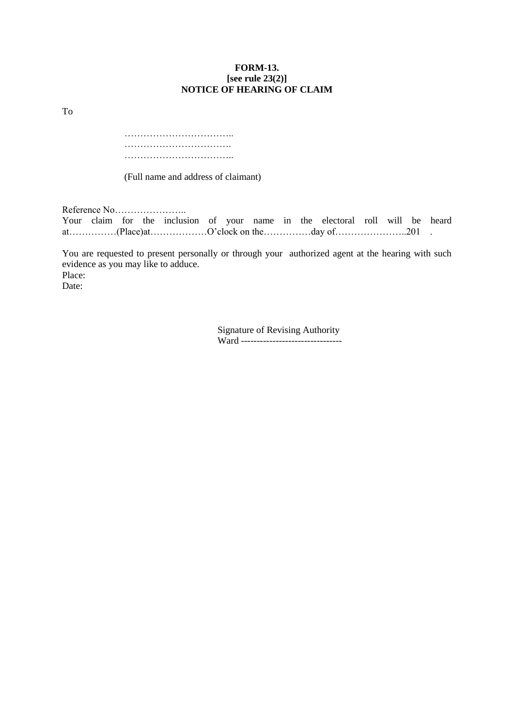#### **FORM-13. [see rule 23(2)] NOTICE OF HEARING OF CLAIM**

To

…………………………….. ……………………………. ……………………………..

(Full name and address of claimant)

Reference No…………………..

Your claim for the inclusion of your name in the electoral roll will be heard at……………(Place)at………………O'clock on the……………day of…………………..201 .

You are requested to present personally or through your authorized agent at the hearing with such evidence as you may like to adduce. Place:

Date:

Signature of Revising Authority Ward --------------------------------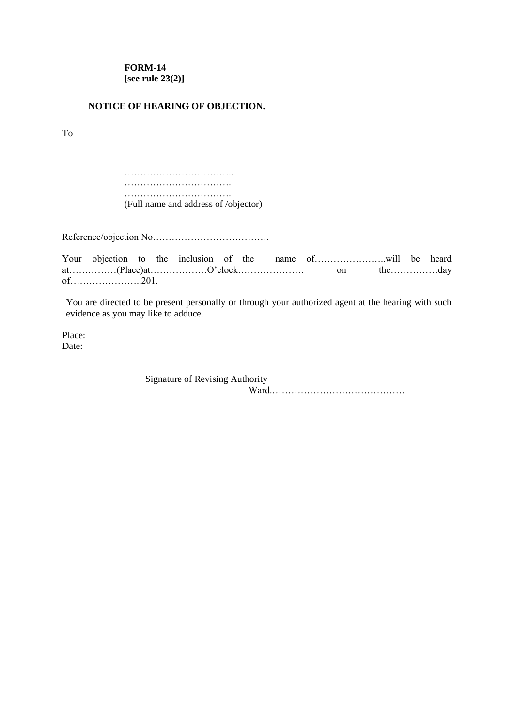**FORM-14 [see rule 23(2)]**

### **NOTICE OF HEARING OF OBJECTION.**

To

…………………………….. ……………………………. ……………………………. (Full name and address of /objector)

Reference/objection No……………………………….

Your objection to the inclusion of the name of…………………..will be heard at……………(Place)at………………O'clock………………… on the……………day of…………………..201.

You are directed to be present personally or through your authorized agent at the hearing with such evidence as you may like to adduce.

Place: Date:

> Signature of Revising Authority Ward.……………………………………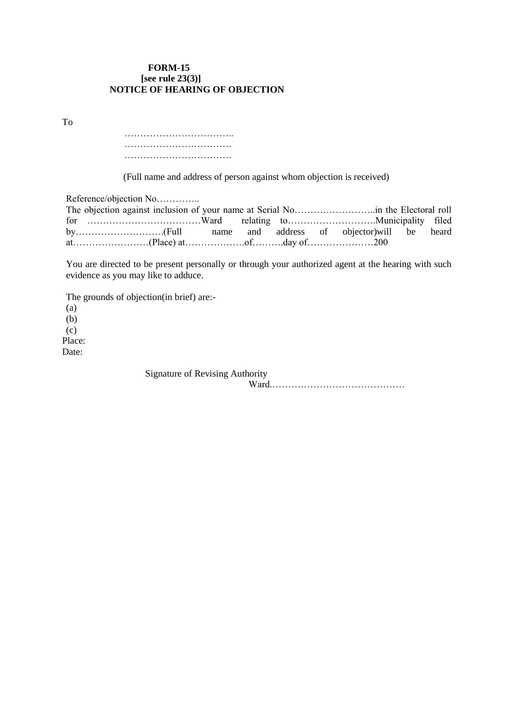#### **FORM-15 [see rule 23(3)] NOTICE OF HEARING OF OBJECTION**

To

…………………………….. ……………………………. …………………………….

(Full name and address of person against whom objection is received)

Reference/objection No…………..

You are directed to be present personally or through your authorized agent at the hearing with such evidence as you may like to adduce.

The grounds of objection(in brief) are:- (a)  $(b)$ 

(c)

Place:

Date:

Signature of Revising Authority Ward.……………………………………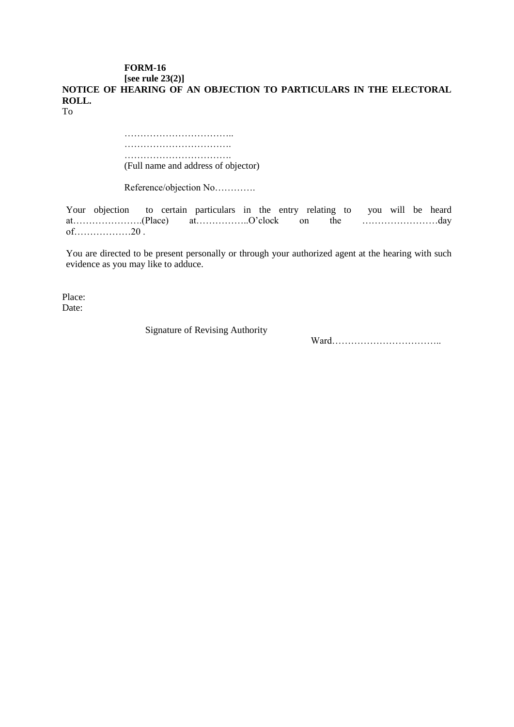# **FORM-16**

**[see rule 23(2)] NOTICE OF HEARING OF AN OBJECTION TO PARTICULARS IN THE ELECTORAL ROLL.**  To

> …………………………….. ……………………………. ……………………………. (Full name and address of objector)

Reference/objection No………….

Your objection to certain particulars in the entry relating to you will be heard at………………….(Place) at……………..O'clock on the ……………………day of………………20 .

You are directed to be present personally or through your authorized agent at the hearing with such evidence as you may like to adduce.

Place: Date:

Signature of Revising Authority

Ward……………………………..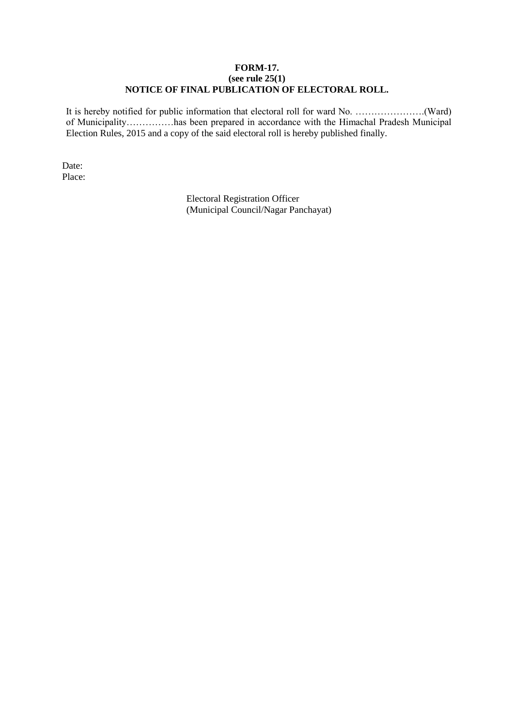### **FORM-17. (see rule 25(1) NOTICE OF FINAL PUBLICATION OF ELECTORAL ROLL.**

It is hereby notified for public information that electoral roll for ward No. ………………….(Ward) of Municipality……………has been prepared in accordance with the Himachal Pradesh Municipal Election Rules, 2015 and a copy of the said electoral roll is hereby published finally.

Date: Place:

> Electoral Registration Officer (Municipal Council/Nagar Panchayat)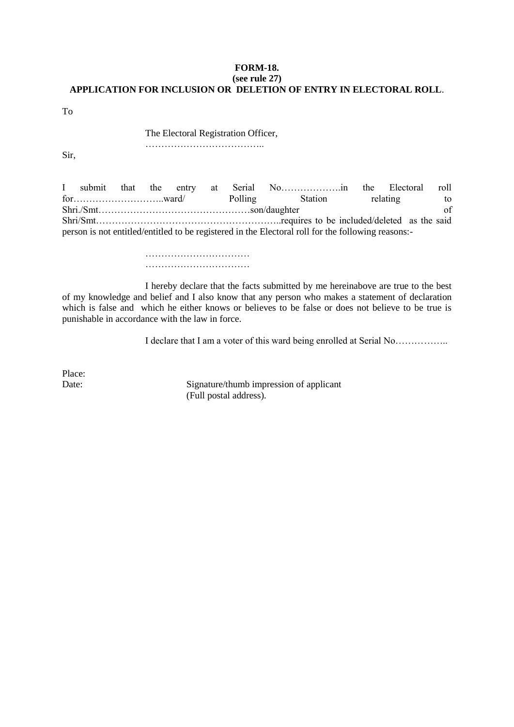#### **FORM-18. (see rule 27) APPLICATION FOR INCLUSION OR DELETION OF ENTRY IN ELECTORAL ROLL**.

To

The Electoral Registration Officer, ………………………………..

Sir,

I submit that the entry at Serial No……………….in the Electoral roll for………………………………………ward/ Polling Station relating to Shri./Smt…………………………………………son/daughter of Shri/Smt…………………………………………………..requires to be included/deleted as the said person is not entitled/entitled to be registered in the Electoral roll for the following reasons:-

> …………………………… ……………………………

I hereby declare that the facts submitted by me hereinabove are true to the best of my knowledge and belief and I also know that any person who makes a statement of declaration which is false and which he either knows or believes to be false or does not believe to be true is punishable in accordance with the law in force.

I declare that I am a voter of this ward being enrolled at Serial No……………..

Place:

Date: Signature/thumb impression of applicant (Full postal address).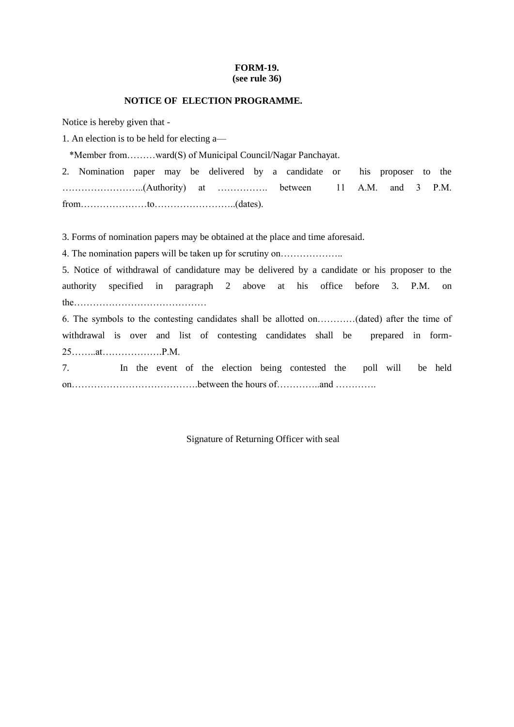#### **FORM-19. (see rule 36)**

### **NOTICE OF ELECTION PROGRAMME.**

Notice is hereby given that -

1. An election is to be held for electing a—

\*Member from………ward(S) of Municipal Council/Nagar Panchayat.

2. Nomination paper may be delivered by a candidate or his proposer to the ……………………..(Authority) at ……………. between 11 A.M. and 3 P.M. from…………………to……………………..(dates).

3. Forms of nomination papers may be obtained at the place and time aforesaid.

4. The nomination papers will be taken up for scrutiny on………………..

5. Notice of withdrawal of candidature may be delivered by a candidate or his proposer to the authority specified in paragraph 2 above at his office before 3. P.M. on the……………………………………

6. The symbols to the contesting candidates shall be allotted on…………(dated) after the time of withdrawal is over and list of contesting candidates shall be prepared in form-25……..at……………….P.M.

7. In the event of the election being contested the poll will be held on………………………………….between the hours of…………..and ………….

Signature of Returning Officer with seal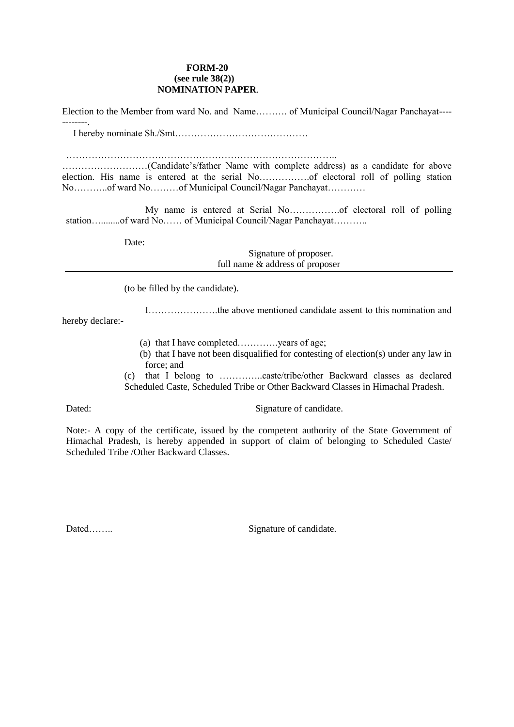#### **FORM-20 (see rule 38(2)) NOMINATION PAPER**.

Election to the Member from ward No. and Name………. of Municipal Council/Nagar Panchayat---- --------. I hereby nominate Sh./Smt…………………………………… ………………………………………………………………………….. ………………………(Candidate's/father Name with complete address) as a candidate for above election. His name is entered at the serial No…………….of electoral roll of polling station No………..of ward No………of Municipal Council/Nagar Panchayat…………

My name is entered at Serial No…………….of electoral roll of polling station…........of ward No…… of Municipal Council/Nagar Panchayat……….

Date:

Signature of proposer. full name & address of proposer

(to be filled by the candidate).

I………………….the above mentioned candidate assent to this nomination and

hereby declare:-

- (a) that I have completed………….years of age;
- (b) that I have not been disqualified for contesting of election(s) under any law in force; and
- (c) that I belong to …………..caste/tribe/other Backward classes as declared Scheduled Caste, Scheduled Tribe or Other Backward Classes in Himachal Pradesh.

Dated: Signature of candidate.

Note:- A copy of the certificate, issued by the competent authority of the State Government of Himachal Pradesh, is hereby appended in support of claim of belonging to Scheduled Caste/ Scheduled Tribe /Other Backward Classes.

Dated…….. Signature of candidate.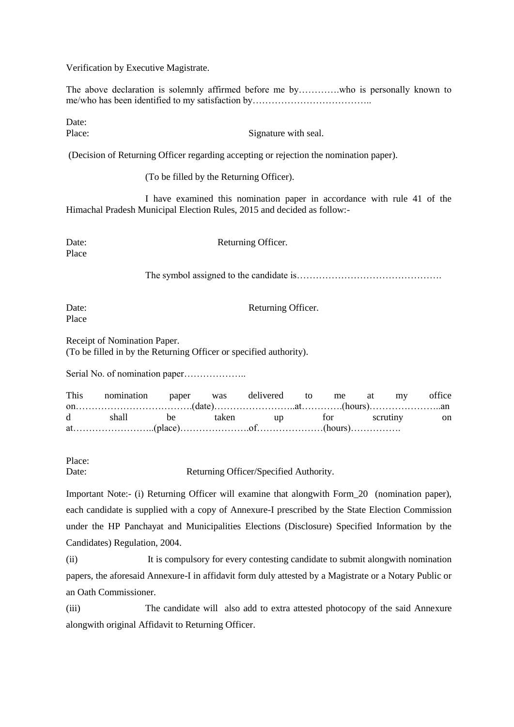Verification by Executive Magistrate.

The above declaration is solemnly affirmed before me by………….who is personally known to me/who has been identified to my satisfaction by………………………………..

Date:

Place: Signature with seal.

(Decision of Returning Officer regarding accepting or rejection the nomination paper).

(To be filled by the Returning Officer).

I have examined this nomination paper in accordance with rule 41 of the Himachal Pradesh Municipal Election Rules, 2015 and decided as follow:-

Place

Date: Returning Officer.

The symbol assigned to the candidate is……………………………………….

Date: Returning Officer. Place

Receipt of Nomination Paper. (To be filled in by the Returning Officer or specified authority).

Serial No. of nomination paper…………………..

| This nomination paper was delivered to me at my office |  |  |  |    |
|--------------------------------------------------------|--|--|--|----|
|                                                        |  |  |  |    |
| d shall be taken up for scrutiny                       |  |  |  | on |
|                                                        |  |  |  |    |

Place:

Date: Returning Officer/Specified Authority.

Important Note:- (i) Returning Officer will examine that alongwith Form\_20 (nomination paper), each candidate is supplied with a copy of Annexure-I prescribed by the State Election Commission under the HP Panchayat and Municipalities Elections (Disclosure) Specified Information by the Candidates) Regulation, 2004.

(ii) It is compulsory for every contesting candidate to submit alongwith nomination papers, the aforesaid Annexure-I in affidavit form duly attested by a Magistrate or a Notary Public or an Oath Commissioner.

(iii) The candidate will also add to extra attested photocopy of the said Annexure alongwith original Affidavit to Returning Officer.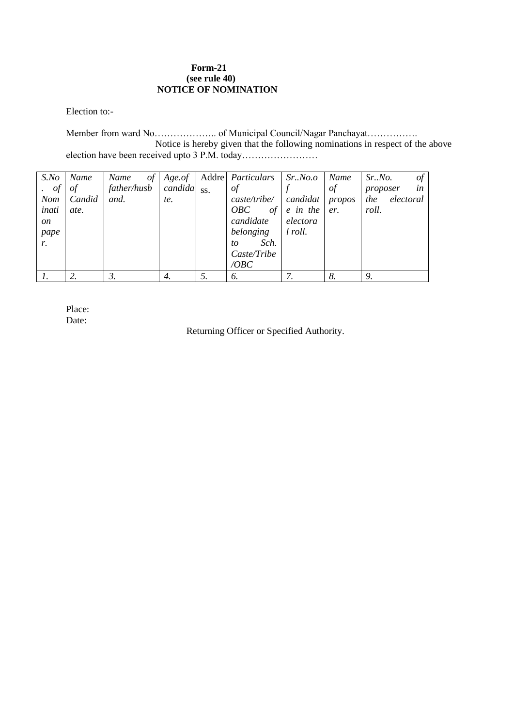#### **Form-21 (see rule 40) NOTICE OF NOMINATION**

Election to:-

Member from ward No……………….. of Municipal Council/Nagar Panchayat……………. Notice is hereby given that the following nominations in respect of the above election have been received upto 3 P.M. today……………………

| $S$ .No    | Name   | Name                             |     | of   Age.of   Addre   Particulars   Sr. No.o   Name |                                                   |    | Sr. No.<br>οf  |
|------------|--------|----------------------------------|-----|-----------------------------------------------------|---------------------------------------------------|----|----------------|
| $\cdot$ of | of     | father/husb $\alpha$ candida ss. |     | of                                                  |                                                   | οf | in<br>proposer |
| Nom        | Candid | and.                             | te. | caste/tribe/                                        | $c$ andidat propos                                |    | the electoral  |
| inati      | ate.   |                                  |     | OBC                                                 | of $\left  e \right $ in the $\left  e \right $ . |    | roll.          |
| <i>on</i>  |        |                                  |     | candidate                                           | electora                                          |    |                |
| pape       |        |                                  |     | belonging                                           | l roll.                                           |    |                |
| $r_{\rm}$  |        |                                  |     | Sch.<br>to                                          |                                                   |    |                |
|            |        |                                  |     | Caste/Tribe                                         |                                                   |    |                |
|            |        |                                  |     | $\angle$ OBC                                        |                                                   |    |                |
|            |        | 3.                               | 4.  | O.                                                  |                                                   | 8. |                |

Place: Date:

Returning Officer or Specified Authority.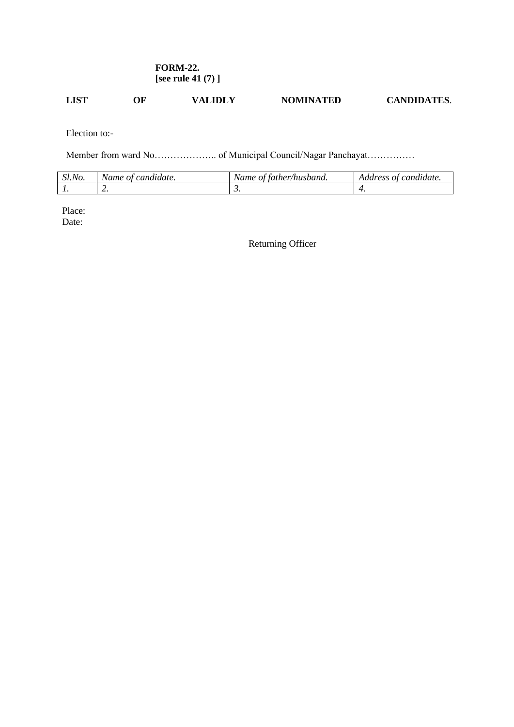## **FORM-22. [see rule 41 (7) ]**

## **LIST OF VALIDLY NOMINATED CANDIDATES**.

Election to:-

Member from ward No……………….. of Municipal Council/Nagar Panchayat……………

| Sl.No. | Name of candidate. | Name of father/husband. | Address of candidate. |
|--------|--------------------|-------------------------|-----------------------|
|        | <u>.</u>           | ◡.                      |                       |

Place: Date:

Returning Officer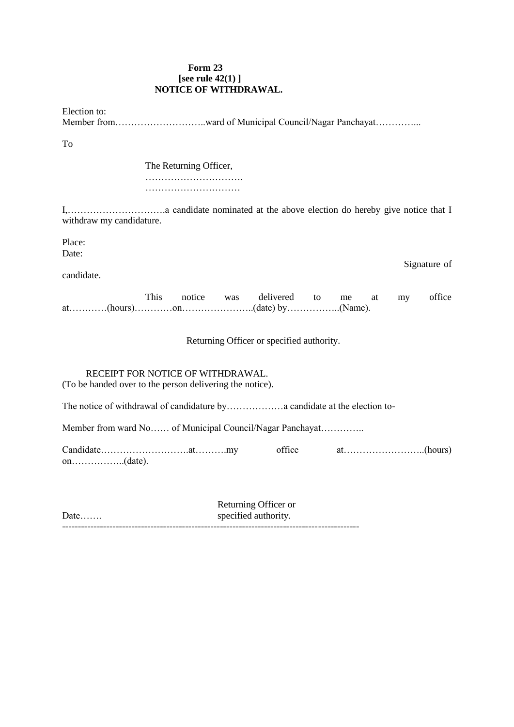#### **Form 23 [see rule 42(1) ] NOTICE OF WITHDRAWAL.**

Member from………………………..ward of Municipal Council/Nagar Panchayat…………...

To

The Returning Officer,

…………………………. …………………………

I,………………………….a candidate nominated at the above election do hereby give notice that I withdraw my candidature.

Place: Date<sup>·</sup>

candidate.

Signature of

|  |  | This notice was delivered to me at my office |  |  |  |
|--|--|----------------------------------------------|--|--|--|
|  |  |                                              |  |  |  |

Returning Officer or specified authority.

## RECEIPT FOR NOTICE OF WITHDRAWAL.

(To be handed over to the person delivering the notice).

The notice of withdrawal of candidature by………………a candidate at the election to-

Member from ward No…… of Municipal Council/Nagar Panchayat…………..

Candidate……………………….at……….my office at……………………..(hours) on……………..(date).

Returning Officer or Date……. specified authority. ----------------------------------------------------------------------------------------------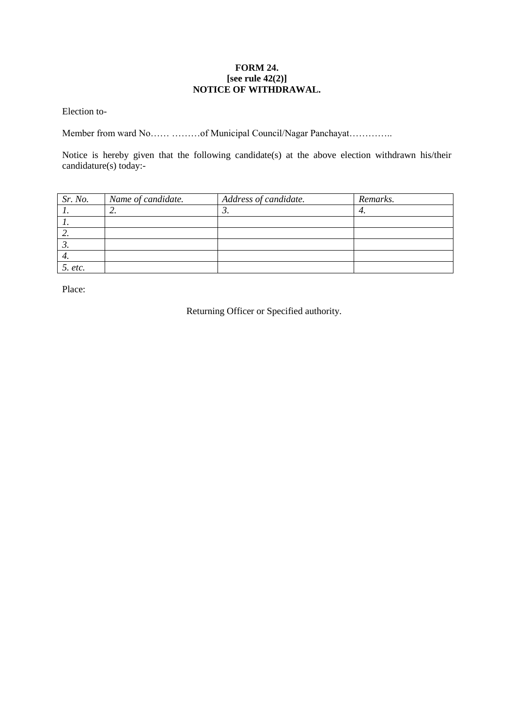### **FORM 24. [see rule 42(2)] NOTICE OF WITHDRAWAL.**

Election to-

Member from ward No…… ………of Municipal Council/Nagar Panchayat…………..

Notice is hereby given that the following candidate(s) at the above election withdrawn his/their candidature(s) today:-

| Sr. No. | Name of candidate. | Address of candidate. | Remarks. |
|---------|--------------------|-----------------------|----------|
|         | ۷.                 | ◡.                    | 4.       |
|         |                    |                       |          |
| ۷.      |                    |                       |          |
|         |                    |                       |          |
| 4.      |                    |                       |          |
| 5. etc. |                    |                       |          |

Place:

Returning Officer or Specified authority.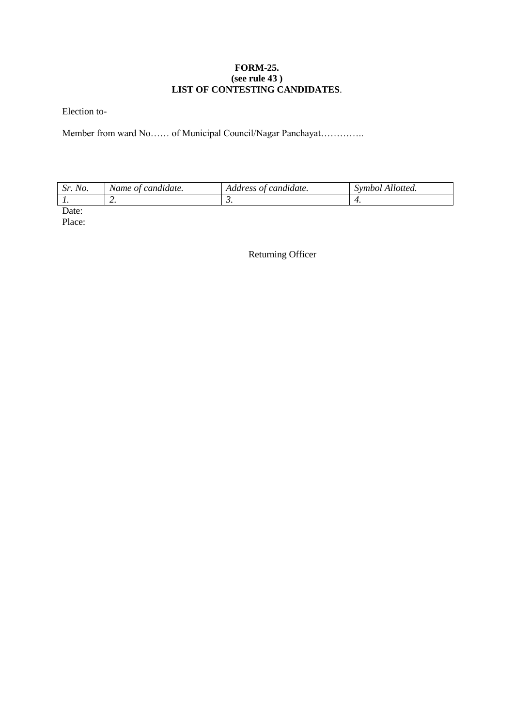## **FORM-25. (see rule 43 ) LIST OF CONTESTING CANDIDATES**.

Election to-

Member from ward No…… of Municipal Council/Nagar Panchayat…………..

| $\mathbf{v}$ | candidate. | candidate. | Allotted. |
|--------------|------------|------------|-----------|
| NO.          | Name ot    | Address of | Symbol    |
| . .          | ٠.         | $\ddotsc$  |           |

Date: Place:

Returning Officer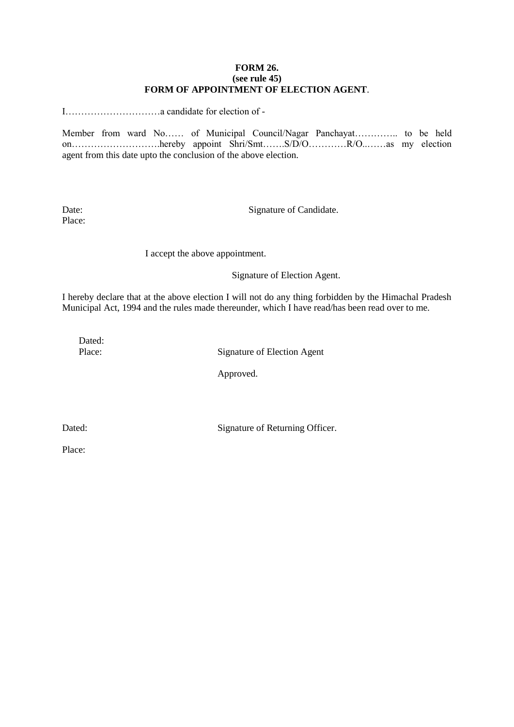#### **FORM 26. (see rule 45) FORM OF APPOINTMENT OF ELECTION AGENT**.

I…………………………a candidate for election of -

Member from ward No…… of Municipal Council/Nagar Panchayat………….. to be held on……………………….hereby appoint Shri/Smt…….S/D/O…………R/O..……as my election agent from this date upto the conclusion of the above election.

Place:

Date: Signature of Candidate.

I accept the above appointment.

Signature of Election Agent.

I hereby declare that at the above election I will not do any thing forbidden by the Himachal Pradesh Municipal Act, 1994 and the rules made thereunder, which I have read/has been read over to me.

Dated:

Place: Signature of Election Agent

Approved.

Dated: Signature of Returning Officer.

Place: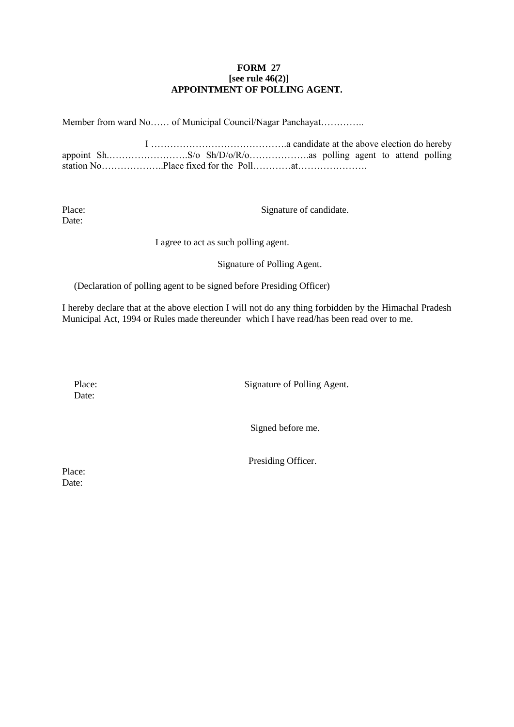## **FORM 27 [see rule 46(2)] APPOINTMENT OF POLLING AGENT.**

Member from ward No…… of Municipal Council/Nagar Panchayat…………..

I …………………………………….a candidate at the above election do hereby appoint Sh.…………………….S/o Sh/D/o/R/o……………….as polling agent to attend polling station No………………..Place fixed for the Poll…………at………………….

Date:

Place: Signature of candidate.

I agree to act as such polling agent.

Signature of Polling Agent.

(Declaration of polling agent to be signed before Presiding Officer)

I hereby declare that at the above election I will not do any thing forbidden by the Himachal Pradesh Municipal Act, 1994 or Rules made thereunder which I have read/has been read over to me.

Date:

Place: Signature of Polling Agent.

Signed before me.

Presiding Officer.

Place: Date: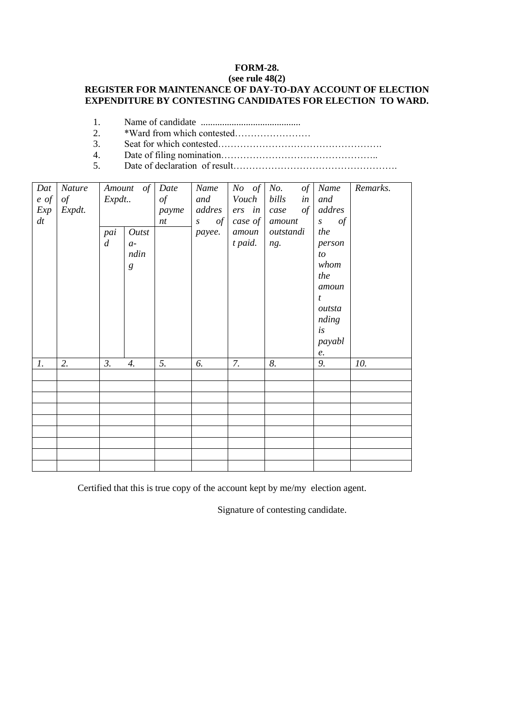## **FORM-28.**

#### **(see rule 48(2) REGISTER FOR MAINTENANCE OF DAY-TO-DAY ACCOUNT OF ELECTION EXPENDITURE BY CONTESTING CANDIDATES FOR ELECTION TO WARD.**

- 1. Name of candidate ..........................................
- 2. \*Ward from which contested……………………
- 3. Seat for which contested…………………………………………….
- 4. Date of filing nomination…………………………………………..
- 5. Date of declaration of result…………………………………………….

| Dat<br>$e \text{ of }$<br>$\mathit{Exp}$<br>dt | Nature<br>of<br>Expdt. | Expdt<br>pai<br>$\overline{d}$ | Amount of<br>Outst<br>$a-$<br>ndin<br>g | Date<br>$\circ f$<br>payme<br>nt | Name<br>and<br>addres<br>of<br>$\boldsymbol{S}$<br>payee. | $No$ of<br>Vouch<br>$ers$ in<br>case of<br>a moun<br>t paid. | No.<br>of<br>bills<br>in<br>of<br>$case$<br>amount<br>outstandi<br>ng. | Name<br>and<br>addres<br>of<br>S<br>the<br>person<br>to<br>whom<br>the<br>amoun<br>$\mathfrak{t}$<br>outsta<br>nding<br>is<br>payabl | Remarks. |
|------------------------------------------------|------------------------|--------------------------------|-----------------------------------------|----------------------------------|-----------------------------------------------------------|--------------------------------------------------------------|------------------------------------------------------------------------|--------------------------------------------------------------------------------------------------------------------------------------|----------|
| 1.                                             | 2.                     | 3.                             | $\boldsymbol{4}$ .                      | 5.                               | 6.                                                        | 7.                                                           | 8.                                                                     | е.<br>9.                                                                                                                             | 10.      |
|                                                |                        |                                |                                         |                                  |                                                           |                                                              |                                                                        |                                                                                                                                      |          |
|                                                |                        |                                |                                         |                                  |                                                           |                                                              |                                                                        |                                                                                                                                      |          |
|                                                |                        |                                |                                         |                                  |                                                           |                                                              |                                                                        |                                                                                                                                      |          |
|                                                |                        |                                |                                         |                                  |                                                           |                                                              |                                                                        |                                                                                                                                      |          |
|                                                |                        |                                |                                         |                                  |                                                           |                                                              |                                                                        |                                                                                                                                      |          |
|                                                |                        |                                |                                         |                                  |                                                           |                                                              |                                                                        |                                                                                                                                      |          |
|                                                |                        |                                |                                         |                                  |                                                           |                                                              |                                                                        |                                                                                                                                      |          |
|                                                |                        |                                |                                         |                                  |                                                           |                                                              |                                                                        |                                                                                                                                      |          |

Certified that this is true copy of the account kept by me/my election agent.

Signature of contesting candidate.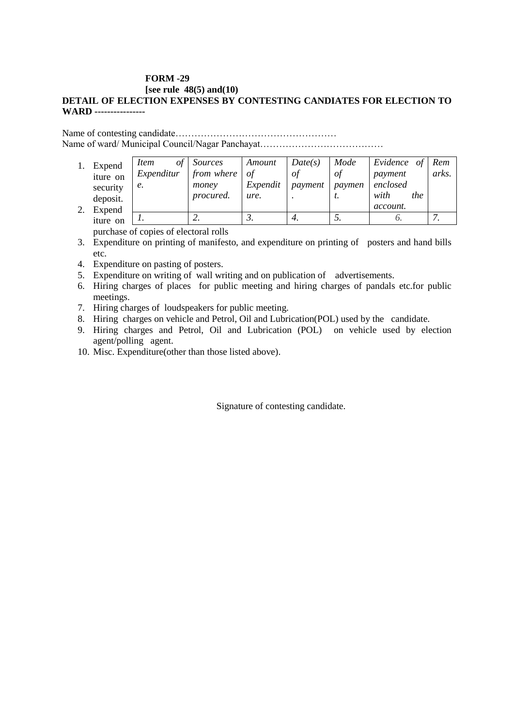## **FORM -29 [see rule 48(5) and(10) DETAIL OF ELECTION EXPENSES BY CONTESTING CANDIATES FOR ELECTION TO WARD ----------------**

Name of contesting candidate…………………………………………… Name of ward/ Municipal Council/Nagar Panchayat…………………………………

| Expend<br>iture on<br>security<br>deposit.<br>Expend | Item<br>ot<br>Expenditur<br>e. | <i>Sources</i><br>from where<br>money<br>procured. | Amount<br>of<br>Expendit<br>ure. | Date(s)<br>οt<br>payment | Mode<br>$\sigma f$<br>paymen<br>ι. | Evidence of Rem<br>payment<br>enclosed<br>with<br>the<br>account. | arks. |
|------------------------------------------------------|--------------------------------|----------------------------------------------------|----------------------------------|--------------------------|------------------------------------|-------------------------------------------------------------------|-------|
| iture on                                             |                                | ٠.                                                 |                                  | 4.                       |                                    |                                                                   |       |

purchase of copies of electoral rolls

3. Expenditure on printing of manifesto, and expenditure on printing of posters and hand bills etc.

- 4. Expenditure on pasting of posters.
- 5. Expenditure on writing of wall writing and on publication of advertisements.
- 6. Hiring charges of places for public meeting and hiring charges of pandals etc.for public meetings.
- 7. Hiring charges of loudspeakers for public meeting.
- 8. Hiring charges on vehicle and Petrol, Oil and Lubrication(POL) used by the candidate.
- 9. Hiring charges and Petrol, Oil and Lubrication (POL) on vehicle used by election agent/polling agent.
- 10. Misc. Expenditure(other than those listed above).

Signature of contesting candidate.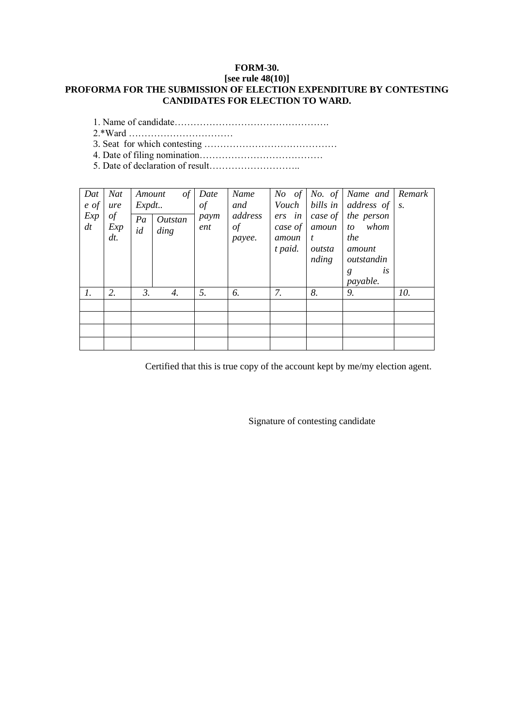## **FORM-30. [see rule 48(10)] PROFORMA FOR THE SUBMISSION OF ELECTION EXPENDITURE BY CONTESTING CANDIDATES FOR ELECTION TO WARD.**

- 1. Name of candidate………………………………………….
- 2.\*Ward ……………………………
- 3. Seat for which contesting ……………………………………
- 4. Date of filing nomination…………………………………
- 5. Date of declaration of result………………………..

| Dat<br>$e \text{ of }$<br>Exp<br>dt | Nat<br>ure<br>of<br>Exp<br>$dt$ . | Amount<br>Expat.<br>Pa<br>id | of<br>Outstan<br>$\text{diag}$ | Date<br>$\sigma f$<br>paym<br>ent | Name<br>and<br>address<br>of<br>payee. | $No$ of<br>Vouch<br>ers in<br>case of<br>amoun<br>t paid. | bills in<br>case of<br>amoun<br>$\boldsymbol{t}$<br>outsta<br>nding | No. of Name and<br>address of<br>the person<br>whom<br>to<br>the<br>amount<br>outstandin<br>is<br>g<br>payable. | Remark<br>$S$ . |
|-------------------------------------|-----------------------------------|------------------------------|--------------------------------|-----------------------------------|----------------------------------------|-----------------------------------------------------------|---------------------------------------------------------------------|-----------------------------------------------------------------------------------------------------------------|-----------------|
| $\mathfrak{1}.$                     | 2.                                | $\mathfrak{Z}$ .             | 4.                             | 5.                                | 6.                                     | 7.                                                        | 8.                                                                  | 9.                                                                                                              | 10.             |
|                                     |                                   |                              |                                |                                   |                                        |                                                           |                                                                     |                                                                                                                 |                 |
|                                     |                                   |                              |                                |                                   |                                        |                                                           |                                                                     |                                                                                                                 |                 |
|                                     |                                   |                              |                                |                                   |                                        |                                                           |                                                                     |                                                                                                                 |                 |

Certified that this is true copy of the account kept by me/my election agent.

Signature of contesting candidate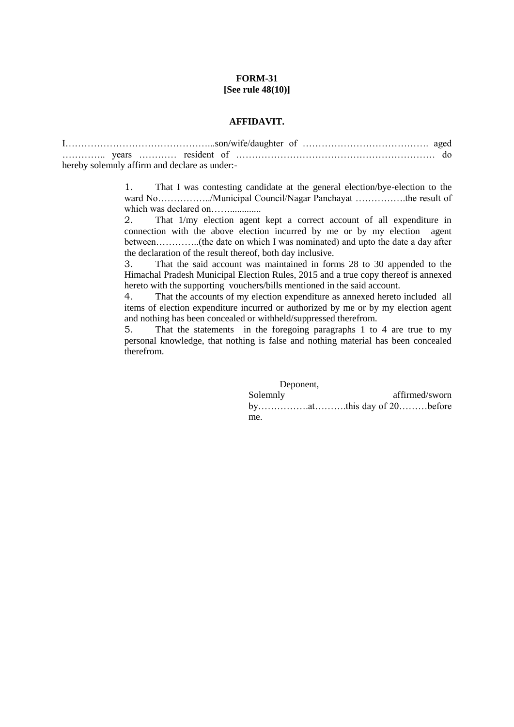### **FORM-31 [See rule 48(10)]**

#### **AFFIDAVIT.**

| version was well as the series of the contract of the series of the series of the series of the series of the series of the series of the series of the series of the series of the series of the series of the series of the |  |
|-------------------------------------------------------------------------------------------------------------------------------------------------------------------------------------------------------------------------------|--|
| hereby solemnly affirm and declare as under:-                                                                                                                                                                                 |  |

1. That I was contesting candidate at the general election/bye-election to the ward No……………../Municipal Council/Nagar Panchayat …………….the result of which was declared on…….............

2. That 1/my election agent kept a correct account of all expenditure in connection with the above election incurred by me or by my election agent between…………..(the date on which I was nominated) and upto the date a day after the declaration of the result thereof, both day inclusive.

3. That the said account was maintained in forms 28 to 30 appended to the Himachal Pradesh Municipal Election Rules, 2015 and a true copy thereof is annexed hereto with the supporting vouchers/bills mentioned in the said account.

4. That the accounts of my election expenditure as annexed hereto included all items of election expenditure incurred or authorized by me or by my election agent and nothing has been concealed or withheld/suppressed therefrom.

5. That the statements in the foregoing paragraphs 1 to 4 are true to my personal knowledge, that nothing is false and nothing material has been concealed therefrom.

> Deponent, Solemnly affirmed/sworn by…………….at……….this day of 20………before me.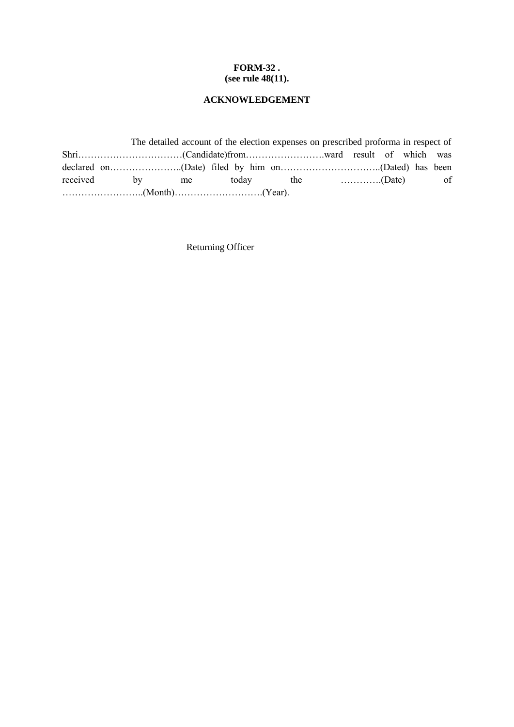## **FORM-32 . (see rule 48(11).**

## **ACKNOWLEDGEMENT**

|  | The detailed account of the election expenses on prescribed proforma in respect of |  |  |  |
|--|------------------------------------------------------------------------------------|--|--|--|
|  |                                                                                    |  |  |  |
|  |                                                                                    |  |  |  |
|  |                                                                                    |  |  |  |
|  |                                                                                    |  |  |  |

Returning Officer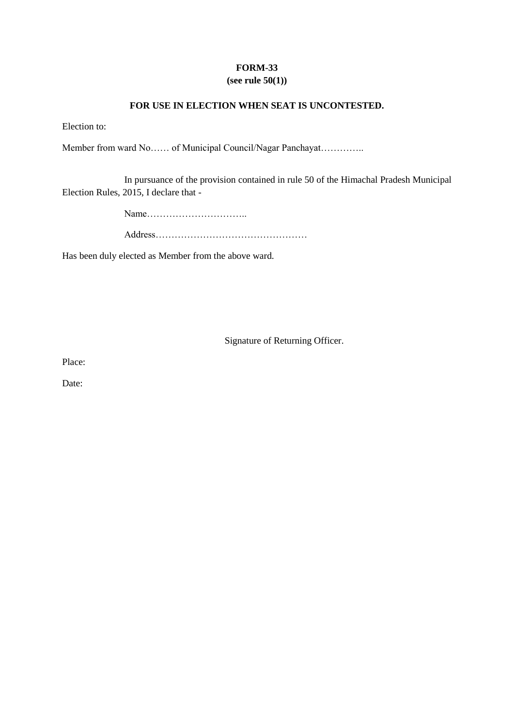## **FORM-33 (see rule 50(1))**

## **FOR USE IN ELECTION WHEN SEAT IS UNCONTESTED.**

Election to:

Member from ward No…… of Municipal Council/Nagar Panchayat…………..

In pursuance of the provision contained in rule 50 of the Himachal Pradesh Municipal Election Rules, 2015, I declare that -

Name…………………………..

Address…………………………………………

Has been duly elected as Member from the above ward.

Signature of Returning Officer.

Place:

Date: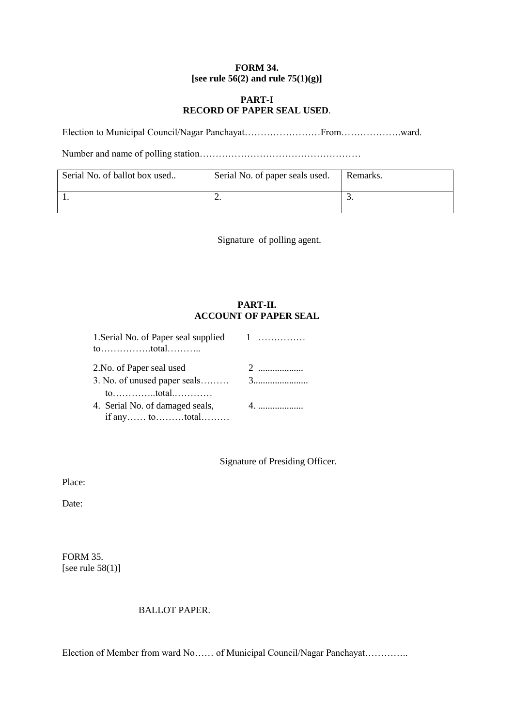## **FORM 34. [see rule 56(2) and rule 75(1)(g)]**

## **PART-I RECORD OF PAPER SEAL USED**.

Election to Municipal Council/Nagar Panchayat……………………From……………….ward.

Number and name of polling station……………………………………………

| Serial No. of ballot box used | Serial No. of paper seals used. | Remarks. |
|-------------------------------|---------------------------------|----------|
|                               | <u>.</u>                        | <u>.</u> |

Signature of polling agent.

## **PART-II. ACCOUNT OF PAPER SEAL**

| 2. No. of Paper seal used       | 2  |
|---------------------------------|----|
|                                 |    |
|                                 |    |
| 4. Serial No. of damaged seals, | 4. |
| if any tototal                  |    |

Signature of Presiding Officer.

Place:

Date:

FORM 35. [see rule  $58(1)$ ]

## BALLOT PAPER.

Election of Member from ward No…… of Municipal Council/Nagar Panchayat………….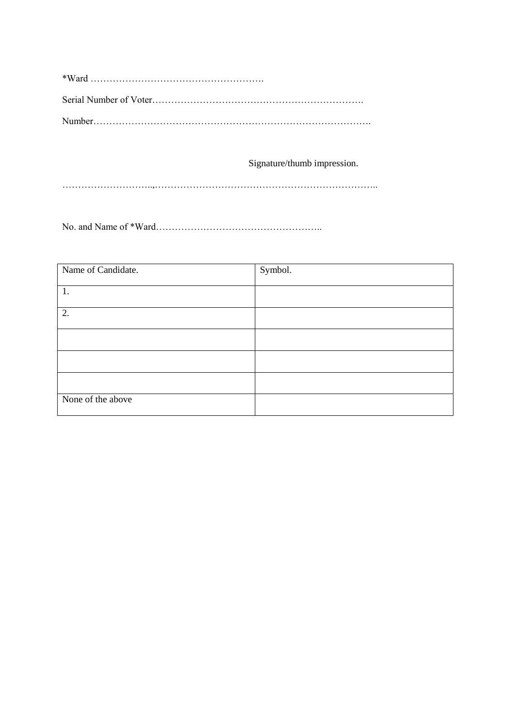Number…………………………………………………………………………….

Signature/thumb impression.

………………………..,……………………………………………………………..

No. and Name of \*Ward……………………………………………..

| Name of Candidate. | Symbol. |
|--------------------|---------|
| 1.                 |         |
| 2.                 |         |
|                    |         |
|                    |         |
|                    |         |
|                    |         |
| None of the above  |         |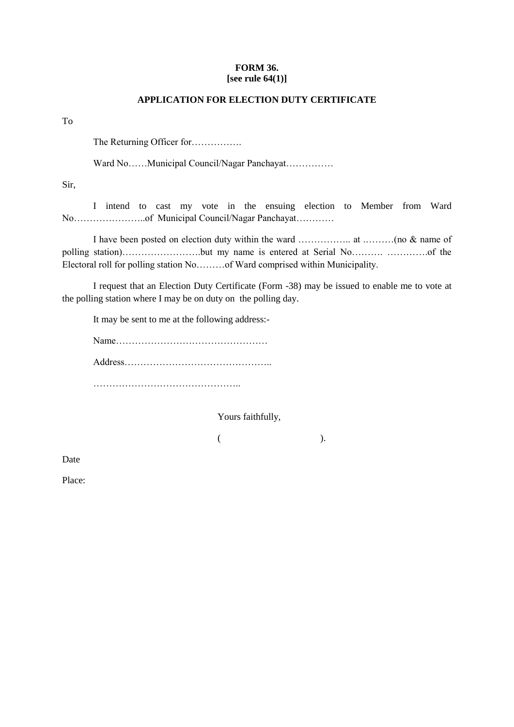#### **FORM 36. [see rule 64(1)]**

## **APPLICATION FOR ELECTION DUTY CERTIFICATE**

To

The Returning Officer for…………….

Ward No……Municipal Council/Nagar Panchayat……………

Sir,

I intend to cast my vote in the ensuing election to Member from Ward No…………………..of Municipal Council/Nagar Panchayat…………

I have been posted on election duty within the ward …………….. at .………(no & name of polling station)…………………….but my name is entered at Serial No………. ………….of the Electoral roll for polling station No………of Ward comprised within Municipality.

I request that an Election Duty Certificate (Form -38) may be issued to enable me to vote at the polling station where I may be on duty on the polling day.

It may be sent to me at the following address:-

Name………………………………………… Address……………………………………….. ………………………………………..

Yours faithfully,

 $($  ).

Date

Place: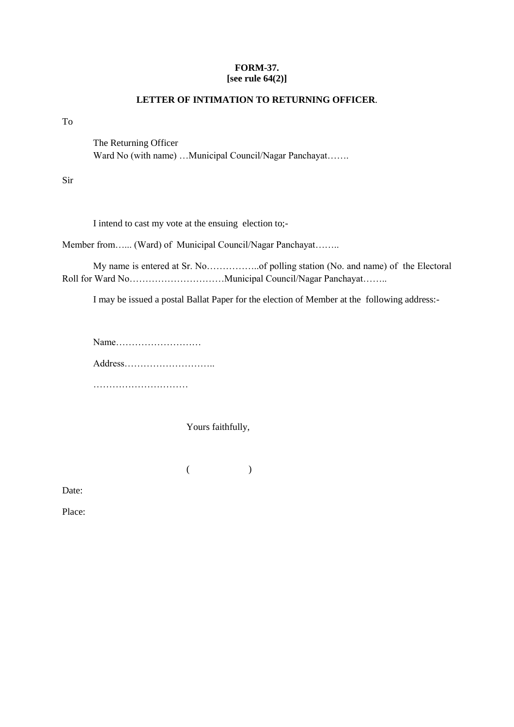#### **FORM-37. [see rule 64(2)]**

## **LETTER OF INTIMATION TO RETURNING OFFICER**.

To

The Returning Officer Ward No (with name) …Municipal Council/Nagar Panchayat…….

Sir

I intend to cast my vote at the ensuing election to;-

Member from…... (Ward) of Municipal Council/Nagar Panchayat……..

My name is entered at Sr. No……………..of polling station (No. and name) of the Electoral Roll for Ward No…………………………Municipal Council/Nagar Panchayat……..

I may be issued a postal Ballat Paper for the election of Member at the following address:-

Name……………………… Address……………………….. …………………………

Yours faithfully,

 $($  )

Date:

Place: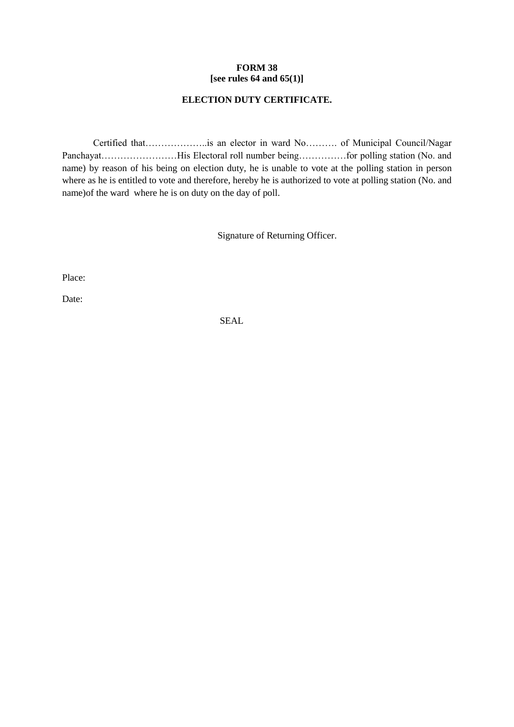### **FORM 38 [see rules 64 and 65(1)]**

## **ELECTION DUTY CERTIFICATE.**

Certified that………………..is an elector in ward No………. of Municipal Council/Nagar Panchayat……………………His Electoral roll number being……………for polling station (No. and name) by reason of his being on election duty, he is unable to vote at the polling station in person where as he is entitled to vote and therefore, hereby he is authorized to vote at polling station (No. and name)of the ward where he is on duty on the day of poll.

Signature of Returning Officer.

Place:

Date:

SEAL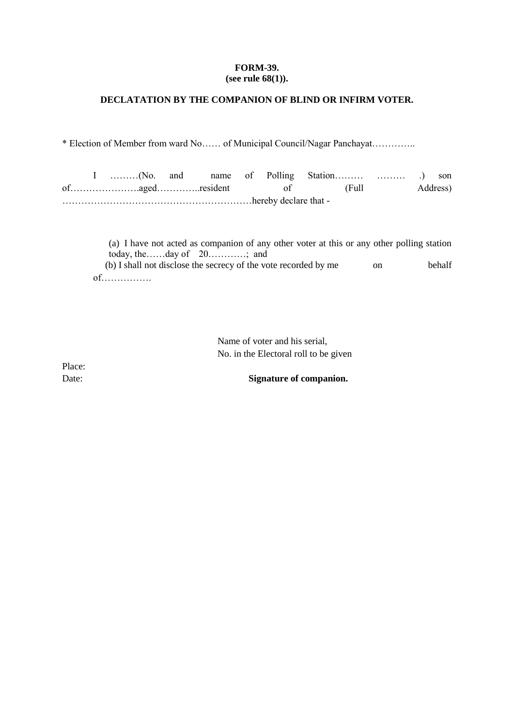#### **FORM-39. (see rule 68(1)).**

## **DECLATATION BY THE COMPANION OF BLIND OR INFIRM VOTER.**

\* Election of Member from ward No…… of Municipal Council/Nagar Panchayat…………..

I ………(No. and name of Polling Station……… ……… .) son of………………….aged…………..resident of (Full Address) ……………………………………………………hereby declare that -

(a) I have not acted as companion of any other voter at this or any other polling station today, the……day of 20…………; and (b) I shall not disclose the secrecy of the vote recorded by me on behalf of…………….

> Name of voter and his serial, No. in the Electoral roll to be given

Place:

Date: **Signature of companion.**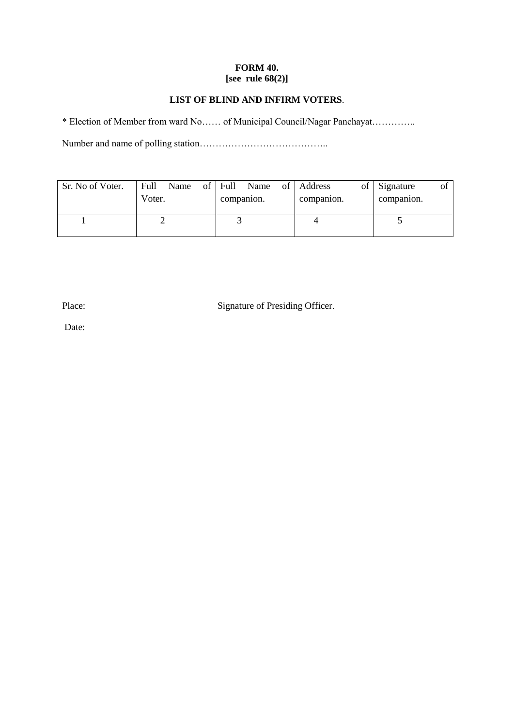## **FORM 40. [see rule 68(2)]**

## **LIST OF BLIND AND INFIRM VOTERS**.

\* Election of Member from ward No…… of Municipal Council/Nagar Panchayat…………..

Number and name of polling station…………………………………..

| Sr. No of Voter. | Full<br>Voter. | Name | of | Full<br>companion. | Name | of Address<br>companion. | οf | Signature<br>companion. | O1 |
|------------------|----------------|------|----|--------------------|------|--------------------------|----|-------------------------|----|
|                  |                |      |    |                    |      |                          |    |                         |    |

Place: Signature of Presiding Officer.

Date: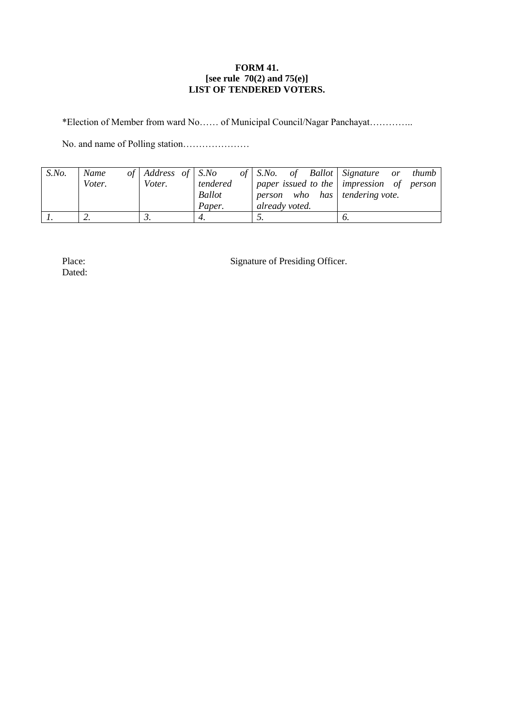## **FORM 41. [see rule 70(2) and 75(e)] LIST OF TENDERED VOTERS.**

\*Election of Member from ward No…… of Municipal Council/Nagar Panchayat…………..

No. and name of Polling station…………………

| $S$ .No. | Name<br>Voter. | $of$ Address of S.No<br>Voter. | tendered<br><b>Ballot</b><br>Paper. | of S.No. of Ballot Signature or<br>person who has tendering vote.<br>already voted. | thumb<br>paper issued to the impression of person |
|----------|----------------|--------------------------------|-------------------------------------|-------------------------------------------------------------------------------------|---------------------------------------------------|
|          | ۷.             |                                |                                     | <u>.</u>                                                                            |                                                   |

Dated:

Place: Signature of Presiding Officer.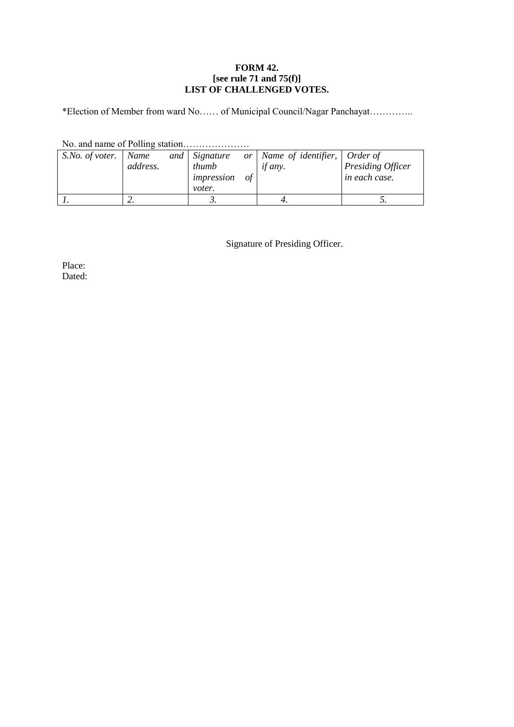## **FORM 42. [see rule 71 and 75(f)] LIST OF CHALLENGED VOTES.**

\*Election of Member from ward No…… of Municipal Council/Nagar Panchayat…………..

No. and name of Polling station…………………

| S.No. of voter. | <i>Name</i><br>address. | and Signature<br>thumb<br>impression<br>voter. | 0f | or   Name of identifier,   Order of<br><i>if any.</i> | <b>Presiding Officer</b><br>in each case. |
|-----------------|-------------------------|------------------------------------------------|----|-------------------------------------------------------|-------------------------------------------|
|                 | <u>.</u>                |                                                |    |                                                       |                                           |

Signature of Presiding Officer.

Place: Dated: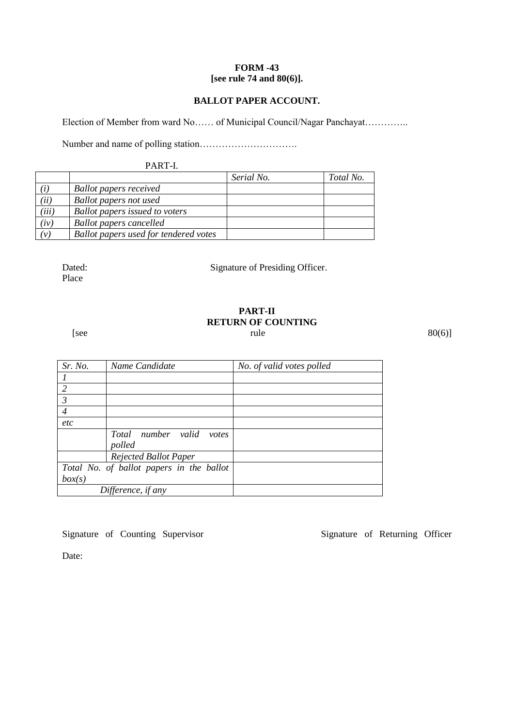## **FORM -43 [see rule 74 and 80(6)].**

## **BALLOT PAPER ACCOUNT.**

Election of Member from ward No…… of Municipal Council/Nagar Panchayat…………..

Number and name of polling station………………………….

## PART-I.

|       |                                       | Serial No. | Total No. |
|-------|---------------------------------------|------------|-----------|
| (i)   | <b>Ballot papers received</b>         |            |           |
| (ii)  | <b>Ballot</b> papers not used         |            |           |
| (iii) | <b>Ballot papers issued to voters</b> |            |           |
| (iv)  | <b>Ballot papers cancelled</b>        |            |           |
| (v)   | Ballot papers used for tendered votes |            |           |

Place

Dated: Signature of Presiding Officer.

## **PART-II RETURN OF COUNTING**  $[see$   $80(6)]$

| Sr. No.            | Name Candidate                           | No. of valid votes polled |
|--------------------|------------------------------------------|---------------------------|
|                    |                                          |                           |
| 2                  |                                          |                           |
| $\mathcal{Z}$      |                                          |                           |
| $\overline{4}$     |                                          |                           |
| etc                |                                          |                           |
|                    | number valid<br>Total<br>votes           |                           |
|                    | polled                                   |                           |
|                    | <b>Rejected Ballot Paper</b>             |                           |
|                    | Total No. of ballot papers in the ballot |                           |
| box(s)             |                                          |                           |
| Difference, if any |                                          |                           |

Signature of Counting Supervisor Signature of Returning Officer

Date: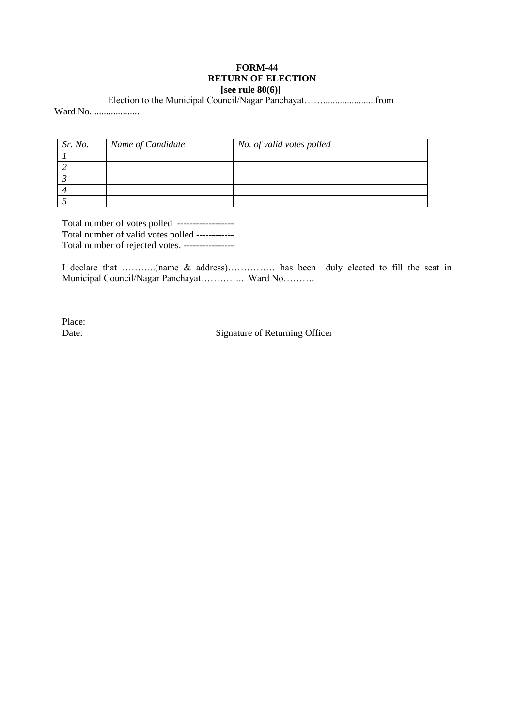## **FORM-44 RETURN OF ELECTION [see rule 80(6)]**

Election to the Municipal Council/Nagar Panchayat……......................from Ward No.....................

| Sr. No. | Name of Candidate | No. of valid votes polled |
|---------|-------------------|---------------------------|
|         |                   |                           |
|         |                   |                           |
|         |                   |                           |
|         |                   |                           |
|         |                   |                           |

Total number of votes polled ------------------ Total number of valid votes polled ------------ Total number of rejected votes. ----------------

I declare that ………..(name & address)…………… has been duly elected to fill the seat in Municipal Council/Nagar Panchayat………….. Ward No……….

Place:

Date: Signature of Returning Officer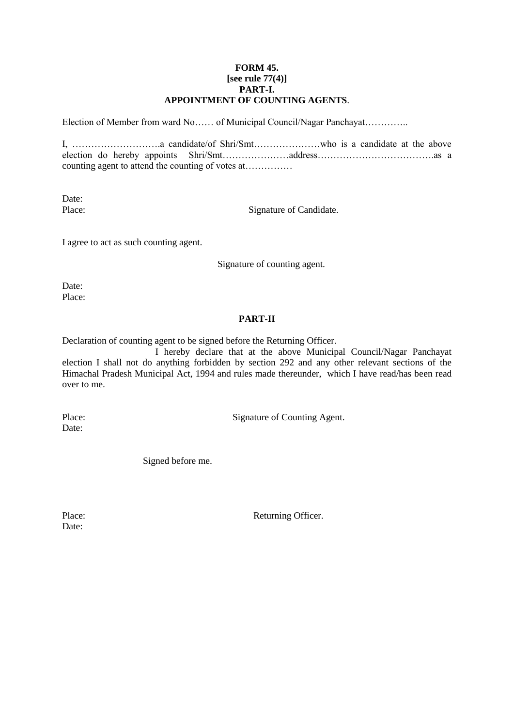#### **FORM 45. [see rule 77(4)] PART-I. APPOINTMENT OF COUNTING AGENTS**.

Election of Member from ward No…… of Municipal Council/Nagar Panchayat………….

I, ……………………….a candidate/of Shri/Smt…………………who is a candidate at the above election do hereby appoints Shri/Smt…………………address……………………………….as a counting agent to attend the counting of votes at……………

Date:

Place: Signature of Candidate.

I agree to act as such counting agent.

Signature of counting agent.

Date: Place:

## **PART-II**

Declaration of counting agent to be signed before the Returning Officer.

I hereby declare that at the above Municipal Council/Nagar Panchayat election I shall not do anything forbidden by section 292 and any other relevant sections of the Himachal Pradesh Municipal Act, 1994 and rules made thereunder, which I have read/has been read over to me.

Place: Signature of Counting Agent.

Date:

Signed before me.

Date:

Place: Returning Officer.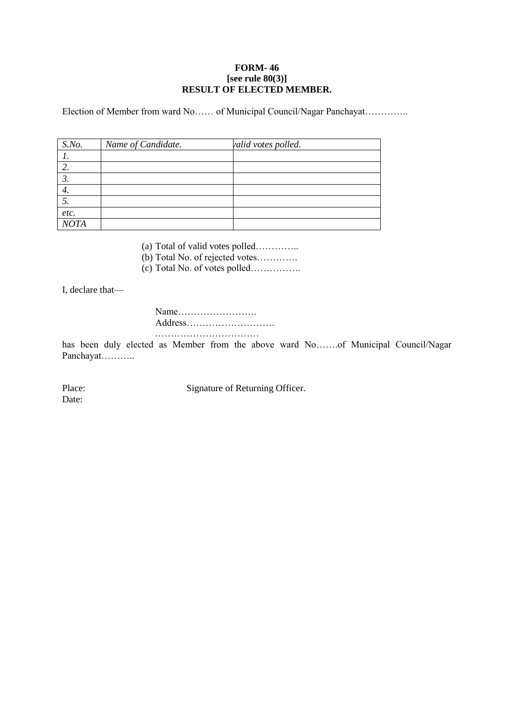#### **FORM- 46 [see rule 80(3)] RESULT OF ELECTED MEMBER.**

Election of Member from ward No…… of Municipal Council/Nagar Panchayat…………..

| $S$ .No.        | Name of Candidate. | valid votes polled. |
|-----------------|--------------------|---------------------|
|                 |                    |                     |
| 2.              |                    |                     |
| $\mathcal{L}$ . |                    |                     |
| 4.              |                    |                     |
|                 |                    |                     |
| etc.            |                    |                     |
| <b>NOTA</b>     |                    |                     |

(a) Total of valid votes polled…………..

(b) Total No. of rejected votes………….

(c) Total No. of votes polled…………….

I, declare that—

Name……………………. Address……………………….

……………………………

has been duly elected as Member from the above ward No…….of Municipal Council/Nagar Panchayat………..

Date:

Place: Signature of Returning Officer.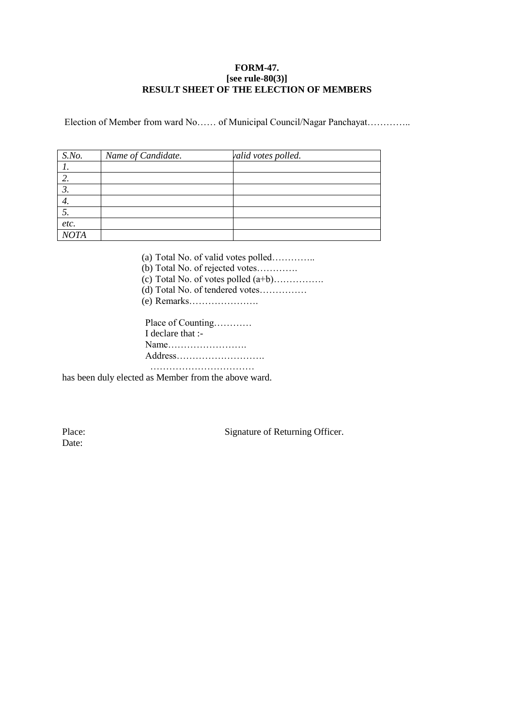#### **FORM-47. [see rule-80(3)] RESULT SHEET OF THE ELECTION OF MEMBERS**

Election of Member from ward No…… of Municipal Council/Nagar Panchayat…………..

| $S$ .No.    | Name of Candidate. | valid votes polled. |  |
|-------------|--------------------|---------------------|--|
|             |                    |                     |  |
| 2.          |                    |                     |  |
|             |                    |                     |  |
| 4.          |                    |                     |  |
|             |                    |                     |  |
| etc.        |                    |                     |  |
| <b>NOTA</b> |                    |                     |  |

- (a) Total No. of valid votes polled…………..
- (b) Total No. of rejected votes………….
- (c) Total No. of votes polled (a+b)…………….
- (d) Total No. of tendered votes……………
- (e) Remarks………………….

Place of Counting………… I declare that :- Name……………………. Address………………………. ……………………………

has been duly elected as Member from the above ward.

Date:

Place: Signature of Returning Officer.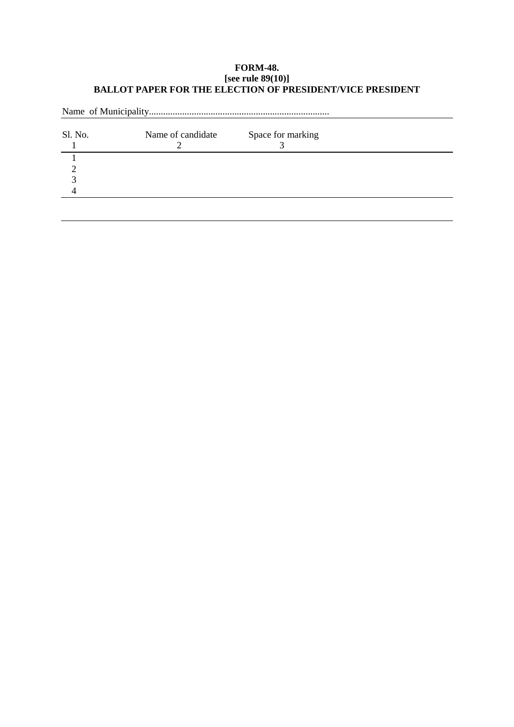#### **FORM-48. [see rule 89(10)] BALLOT PAPER FOR THE ELECTION OF PRESIDENT/VICE PRESIDENT**

| Sl. No. | Name of candidate | Space for marking |  |
|---------|-------------------|-------------------|--|
|         |                   |                   |  |
|         |                   |                   |  |
|         |                   |                   |  |
|         |                   |                   |  |
|         |                   |                   |  |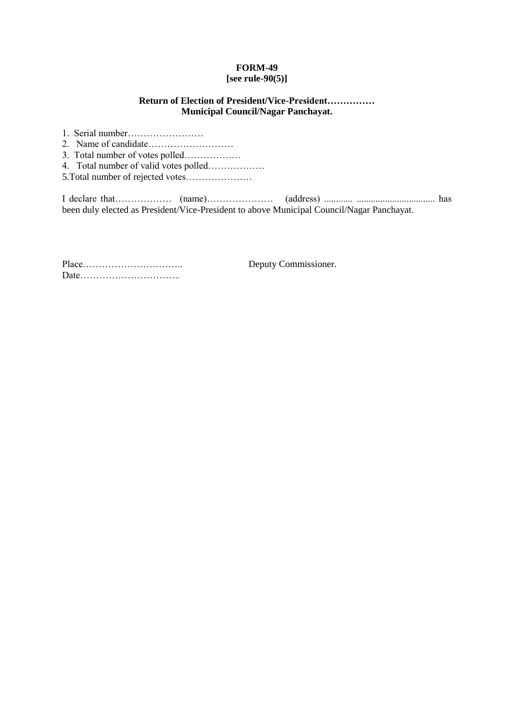# **FORM-49**

## **[see rule-90(5)]**

## **Return of Election of President/Vice-President…………… Municipal Council/Nagar Panchayat.**

- 1. Serial number……………………
- 2. Name of candidate………………………
- 3. Total number of votes polled………………
- 4. Total number of valid votes polled………………
- 5.Total number of rejected votes…………………

I declare that……………… (name)………………… (address) ............ ................................. has been duly elected as President/Vice-President to above Municipal Council/Nagar Panchayat.

Place………………………….. Deputy Commissioner. Date…………………………..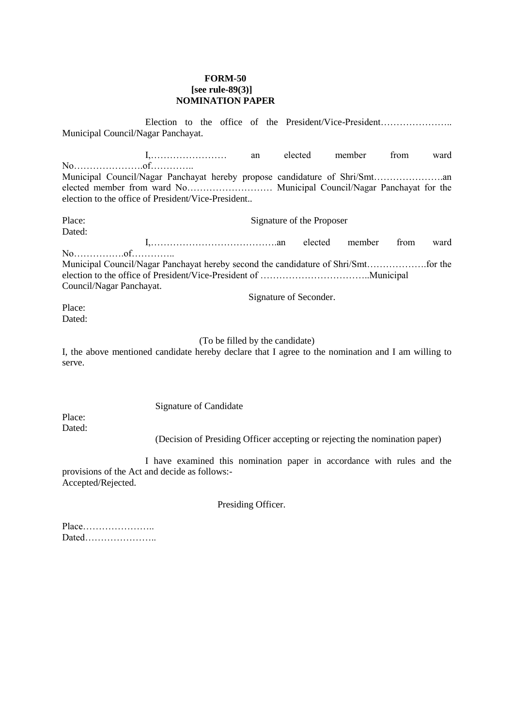#### **FORM-50 [see rule-89(3)] NOMINATION PAPER**

Election to the office of the President/Vice-President…………………… Municipal Council/Nagar Panchayat.

I,…………………… an elected member from ward No………………….of………….. Municipal Council/Nagar Panchayat hereby propose candidature of Shri/Smt………………….an elected member from ward No……………………… Municipal Council/Nagar Panchayat for the election to the office of President/Vice-President..

Place: Signature of the Proposer Dated: I,………………………………….an elected member from ward No…………….of………….. Municipal Council/Nagar Panchayat hereby second the candidature of Shri/Smt……………….for the election to the office of President/Vice-President of ……………………………..Municipal Council/Nagar Panchayat. Signature of Seconder.

Place: Dated:

(To be filled by the candidate)

I, the above mentioned candidate hereby declare that I agree to the nomination and I am willing to serve.

Signature of Candidate

Place: Dated:

(Decision of Presiding Officer accepting or rejecting the nomination paper)

I have examined this nomination paper in accordance with rules and the provisions of the Act and decide as follows:- Accepted/Rejected.

Presiding Officer.

Place………………….. Dated…………………..